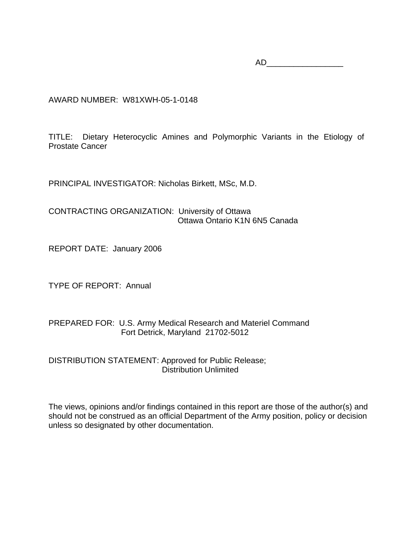AD\_\_\_\_\_\_\_\_\_\_\_\_\_\_\_\_\_

AWARD NUMBER: W81XWH-05-1-0148

TITLE: Dietary Heterocyclic Amines and Polymorphic Variants in the Etiology of Prostate Cancer

PRINCIPAL INVESTIGATOR: Nicholas Birkett, MSc, M.D.

CONTRACTING ORGANIZATION: University of Ottawa Ottawa Ontario K1N 6N5 Canada

REPORT DATE: January 2006

TYPE OF REPORT: Annual

PREPARED FOR: U.S. Army Medical Research and Materiel Command Fort Detrick, Maryland 21702-5012

DISTRIBUTION STATEMENT: Approved for Public Release; Distribution Unlimited

The views, opinions and/or findings contained in this report are those of the author(s) and should not be construed as an official Department of the Army position, policy or decision unless so designated by other documentation.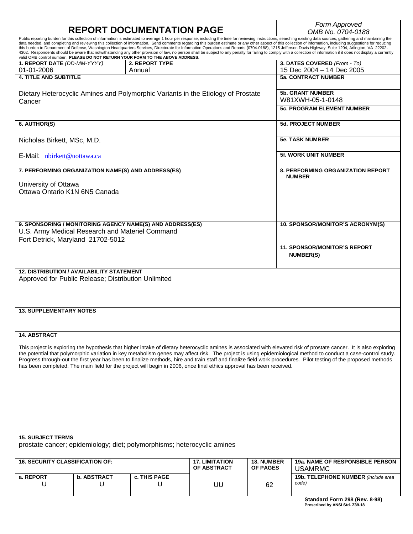|                                                                                                         | <b>REPORT DOCUMENTATION PAGE</b> |                                                                                                                      | Form Approved<br>OMB No. 0704-0188   |                                      |                                                                                                                                                                                                                                                                                                                                                                                                                                                                                                                                                                                                                                                                                                                                                                                                                                                                               |  |  |  |
|---------------------------------------------------------------------------------------------------------|----------------------------------|----------------------------------------------------------------------------------------------------------------------|--------------------------------------|--------------------------------------|-------------------------------------------------------------------------------------------------------------------------------------------------------------------------------------------------------------------------------------------------------------------------------------------------------------------------------------------------------------------------------------------------------------------------------------------------------------------------------------------------------------------------------------------------------------------------------------------------------------------------------------------------------------------------------------------------------------------------------------------------------------------------------------------------------------------------------------------------------------------------------|--|--|--|
|                                                                                                         |                                  | valid OMB control number. PLEASE DO NOT RETURN YOUR FORM TO THE ABOVE ADDRESS.                                       |                                      |                                      | Public reporting burden for this collection of information is estimated to average 1 hour per response, including the time for reviewing instructions, searching existing data sources, gathering and maintaining the<br>data needed, and completing and reviewing this collection of information. Send comments regarding this burden estimate or any other aspect of this collection of information, including suggestions for reducing<br>this burden to Department of Defense, Washington Headquarters Services, Directorate for Information Operations and Reports (0704-0188), 1215 Jefferson Davis Highway, Suite 1204, Arlington, VA 22202-<br>4302. Respondents should be aware that notwithstanding any other provision of law, no person shall be subject to any penalty for failing to comply with a collection of information if it does not display a currently |  |  |  |
| 1. REPORT DATE (DD-MM-YYYY)<br>01-01-2006                                                               |                                  | <b>2. REPORT TYPE</b><br>Annual                                                                                      |                                      |                                      | 3. DATES COVERED (From - To)<br>15 Dec 2004 - 14 Dec 2005                                                                                                                                                                                                                                                                                                                                                                                                                                                                                                                                                                                                                                                                                                                                                                                                                     |  |  |  |
| <b>4. TITLE AND SUBTITLE</b>                                                                            |                                  |                                                                                                                      |                                      |                                      | <b>5a. CONTRACT NUMBER</b>                                                                                                                                                                                                                                                                                                                                                                                                                                                                                                                                                                                                                                                                                                                                                                                                                                                    |  |  |  |
| Cancer                                                                                                  |                                  | Dietary Heterocyclic Amines and Polymorphic Variants in the Etiology of Prostate                                     |                                      |                                      | <b>5b. GRANT NUMBER</b><br>W81XWH-05-1-0148                                                                                                                                                                                                                                                                                                                                                                                                                                                                                                                                                                                                                                                                                                                                                                                                                                   |  |  |  |
|                                                                                                         |                                  |                                                                                                                      | <b>5c. PROGRAM ELEMENT NUMBER</b>    |                                      |                                                                                                                                                                                                                                                                                                                                                                                                                                                                                                                                                                                                                                                                                                                                                                                                                                                                               |  |  |  |
| 6. AUTHOR(S)                                                                                            |                                  |                                                                                                                      |                                      |                                      | <b>5d. PROJECT NUMBER</b>                                                                                                                                                                                                                                                                                                                                                                                                                                                                                                                                                                                                                                                                                                                                                                                                                                                     |  |  |  |
| Nicholas Birkett, MSc, M.D.                                                                             |                                  |                                                                                                                      |                                      |                                      | <b>5e. TASK NUMBER</b>                                                                                                                                                                                                                                                                                                                                                                                                                                                                                                                                                                                                                                                                                                                                                                                                                                                        |  |  |  |
| E-Mail: nbirkett@uottawa.ca                                                                             |                                  |                                                                                                                      |                                      |                                      | <b>5f. WORK UNIT NUMBER</b>                                                                                                                                                                                                                                                                                                                                                                                                                                                                                                                                                                                                                                                                                                                                                                                                                                                   |  |  |  |
| 7. PERFORMING ORGANIZATION NAME(S) AND ADDRESS(ES)                                                      |                                  |                                                                                                                      |                                      |                                      | <b>8. PERFORMING ORGANIZATION REPORT</b><br><b>NUMBER</b>                                                                                                                                                                                                                                                                                                                                                                                                                                                                                                                                                                                                                                                                                                                                                                                                                     |  |  |  |
| University of Ottawa<br>Ottawa Ontario K1N 6N5 Canada                                                   |                                  |                                                                                                                      |                                      |                                      |                                                                                                                                                                                                                                                                                                                                                                                                                                                                                                                                                                                                                                                                                                                                                                                                                                                                               |  |  |  |
|                                                                                                         |                                  |                                                                                                                      |                                      |                                      |                                                                                                                                                                                                                                                                                                                                                                                                                                                                                                                                                                                                                                                                                                                                                                                                                                                                               |  |  |  |
|                                                                                                         |                                  |                                                                                                                      |                                      |                                      |                                                                                                                                                                                                                                                                                                                                                                                                                                                                                                                                                                                                                                                                                                                                                                                                                                                                               |  |  |  |
| U.S. Army Medical Research and Materiel Command<br>Fort Detrick, Maryland 21702-5012                    |                                  | 9. SPONSORING / MONITORING AGENCY NAME(S) AND ADDRESS(ES)                                                            |                                      |                                      | 10. SPONSOR/MONITOR'S ACRONYM(S)                                                                                                                                                                                                                                                                                                                                                                                                                                                                                                                                                                                                                                                                                                                                                                                                                                              |  |  |  |
|                                                                                                         |                                  |                                                                                                                      |                                      |                                      | <b>11. SPONSOR/MONITOR'S REPORT</b><br><b>NUMBER(S)</b>                                                                                                                                                                                                                                                                                                                                                                                                                                                                                                                                                                                                                                                                                                                                                                                                                       |  |  |  |
| <b>12. DISTRIBUTION / AVAILABILITY STATEMENT</b><br>Approved for Public Release; Distribution Unlimited |                                  |                                                                                                                      |                                      |                                      |                                                                                                                                                                                                                                                                                                                                                                                                                                                                                                                                                                                                                                                                                                                                                                                                                                                                               |  |  |  |
|                                                                                                         |                                  |                                                                                                                      |                                      |                                      |                                                                                                                                                                                                                                                                                                                                                                                                                                                                                                                                                                                                                                                                                                                                                                                                                                                                               |  |  |  |
| <b>13. SUPPLEMENTARY NOTES</b>                                                                          |                                  |                                                                                                                      |                                      |                                      |                                                                                                                                                                                                                                                                                                                                                                                                                                                                                                                                                                                                                                                                                                                                                                                                                                                                               |  |  |  |
|                                                                                                         |                                  |                                                                                                                      |                                      |                                      |                                                                                                                                                                                                                                                                                                                                                                                                                                                                                                                                                                                                                                                                                                                                                                                                                                                                               |  |  |  |
| 14. ABSTRACT                                                                                            |                                  |                                                                                                                      |                                      |                                      | This project is exploring the hypothesis that higher intake of dietary heterocyclic amines is associated with elevated risk of prostate cancer. It is also exploring<br>the potential that polymorphic variation in key metabolism genes may affect risk. The project is using epidemiological method to conduct a case-control study.                                                                                                                                                                                                                                                                                                                                                                                                                                                                                                                                        |  |  |  |
|                                                                                                         |                                  | has been completed. The main field for the project will begin in 2006, once final ethics approval has been received. |                                      |                                      | Progress through-out the first year has been to finalize methods, hire and train staff and finalize field work procedures. Pilot testing of the proposed methods                                                                                                                                                                                                                                                                                                                                                                                                                                                                                                                                                                                                                                                                                                              |  |  |  |
|                                                                                                         |                                  |                                                                                                                      |                                      |                                      |                                                                                                                                                                                                                                                                                                                                                                                                                                                                                                                                                                                                                                                                                                                                                                                                                                                                               |  |  |  |
|                                                                                                         |                                  |                                                                                                                      |                                      |                                      |                                                                                                                                                                                                                                                                                                                                                                                                                                                                                                                                                                                                                                                                                                                                                                                                                                                                               |  |  |  |
|                                                                                                         |                                  |                                                                                                                      |                                      |                                      |                                                                                                                                                                                                                                                                                                                                                                                                                                                                                                                                                                                                                                                                                                                                                                                                                                                                               |  |  |  |
|                                                                                                         |                                  |                                                                                                                      |                                      |                                      |                                                                                                                                                                                                                                                                                                                                                                                                                                                                                                                                                                                                                                                                                                                                                                                                                                                                               |  |  |  |
| <b>15. SUBJECT TERMS</b>                                                                                |                                  |                                                                                                                      |                                      |                                      |                                                                                                                                                                                                                                                                                                                                                                                                                                                                                                                                                                                                                                                                                                                                                                                                                                                                               |  |  |  |
|                                                                                                         |                                  | prostate cancer; epidemiology; diet; polymorphisms; heterocyclic amines                                              |                                      |                                      |                                                                                                                                                                                                                                                                                                                                                                                                                                                                                                                                                                                                                                                                                                                                                                                                                                                                               |  |  |  |
| <b>16. SECURITY CLASSIFICATION OF:</b>                                                                  |                                  |                                                                                                                      | <b>17. LIMITATION</b><br>OF ABSTRACT | <b>18. NUMBER</b><br><b>OF PAGES</b> | <b>19a. NAME OF RESPONSIBLE PERSON</b><br><b>USAMRMC</b>                                                                                                                                                                                                                                                                                                                                                                                                                                                                                                                                                                                                                                                                                                                                                                                                                      |  |  |  |
| a. REPORT<br>U                                                                                          | <b>b. ABSTRACT</b><br>U          | c. THIS PAGE<br>U                                                                                                    | UU                                   | 62                                   | 19b. TELEPHONE NUMBER (include area<br>code)                                                                                                                                                                                                                                                                                                                                                                                                                                                                                                                                                                                                                                                                                                                                                                                                                                  |  |  |  |
|                                                                                                         |                                  |                                                                                                                      |                                      |                                      | Standard Form 298 (Rev. 8-98)                                                                                                                                                                                                                                                                                                                                                                                                                                                                                                                                                                                                                                                                                                                                                                                                                                                 |  |  |  |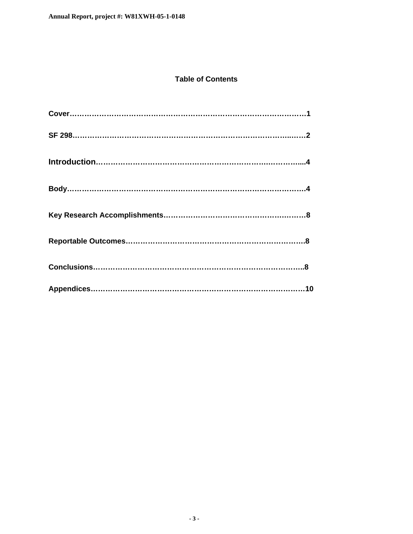#### **Table of Contents**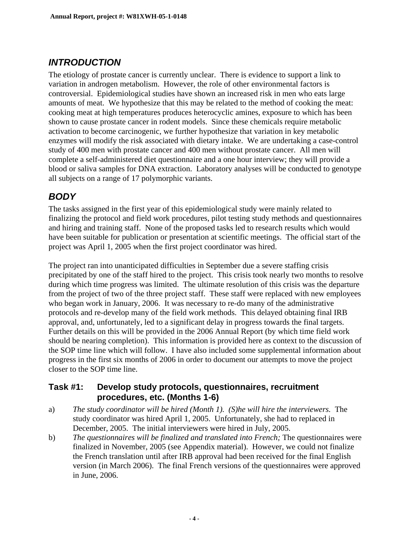#### *INTRODUCTION*

The etiology of prostate cancer is currently unclear. There is evidence to support a link to variation in androgen metabolism. However, the role of other environmental factors is controversial. Epidemiological studies have shown an increased risk in men who eats large amounts of meat. We hypothesize that this may be related to the method of cooking the meat: cooking meat at high temperatures produces heterocyclic amines, exposure to which has been shown to cause prostate cancer in rodent models. Since these chemicals require metabolic activation to become carcinogenic, we further hypothesize that variation in key metabolic enzymes will modify the risk associated with dietary intake. We are undertaking a case-control study of 400 men with prostate cancer and 400 men without prostate cancer. All men will complete a self-administered diet questionnaire and a one hour interview; they will provide a blood or saliva samples for DNA extraction. Laboratory analyses will be conducted to genotype all subjects on a range of 17 polymorphic variants.

#### *BODY*

The tasks assigned in the first year of this epidemiological study were mainly related to finalizing the protocol and field work procedures, pilot testing study methods and questionnaires and hiring and training staff. None of the proposed tasks led to research results which would have been suitable for publication or presentation at scientific meetings. The official start of the project was April 1, 2005 when the first project coordinator was hired.

The project ran into unanticipated difficulties in September due a severe staffing crisis precipitated by one of the staff hired to the project. This crisis took nearly two months to resolve during which time progress was limited. The ultimate resolution of this crisis was the departure from the project of two of the three project staff. These staff were replaced with new employees who began work in January, 2006. It was necessary to re-do many of the administrative protocols and re-develop many of the field work methods. This delayed obtaining final IRB approval, and, unfortunately, led to a significant delay in progress towards the final targets. Further details on this will be provided in the 2006 Annual Report (by which time field work should be nearing completion). This information is provided here as context to the discussion of the SOP time line which will follow. I have also included some supplemental information about progress in the first six months of 2006 in order to document our attempts to move the project closer to the SOP time line.

#### **Task #1: Develop study protocols, questionnaires, recruitment procedures, etc. (Months 1-6)**

- a) *The study coordinator will be hired (Month 1). (S)he will hire the interviewers.* The study coordinator was hired April 1, 2005. Unfortunately, she had to replaced in December, 2005. The initial interviewers were hired in July, 2005.
- b) *The questionnaires will be finalized and translated into French;* The questionnaires were finalized in November, 2005 (see Appendix material). However, we could not finalize the French translation until after IRB approval had been received for the final English version (in March 2006). The final French versions of the questionnaires were approved in June, 2006.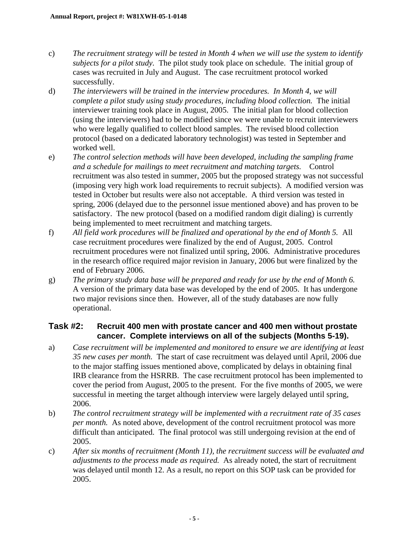- c) *The recruitment strategy will be tested in Month 4 when we will use the system to identify subjects for a pilot study.* The pilot study took place on schedule. The initial group of cases was recruited in July and August. The case recruitment protocol worked successfully.
- d) *The interviewers will be trained in the interview procedures. In Month 4, we will complete a pilot study using study procedures, including blood collection.* The initial interviewer training took place in August, 2005. The initial plan for blood collection (using the interviewers) had to be modified since we were unable to recruit interviewers who were legally qualified to collect blood samples. The revised blood collection protocol (based on a dedicated laboratory technologist) was tested in September and worked well.
- e) *The control selection methods will have been developed, including the sampling frame and a schedule for mailings to meet recruitment and matching targets.* Control recruitment was also tested in summer, 2005 but the proposed strategy was not successful (imposing very high work load requirements to recruit subjects). A modified version was tested in October but results were also not acceptable. A third version was tested in spring, 2006 (delayed due to the personnel issue mentioned above) and has proven to be satisfactory. The new protocol (based on a modified random digit dialing) is currently being implemented to meet recruitment and matching targets.
- f) *All field work procedures will be finalized and operational by the end of Month 5.* All case recruitment procedures were finalized by the end of August, 2005. Control recruitment procedures were not finalized until spring, 2006. Administrative procedures in the research office required major revision in January, 2006 but were finalized by the end of February 2006.
- g) *The primary study data base will be prepared and ready for use by the end of Month 6.* A version of the primary data base was developed by the end of 2005. It has undergone two major revisions since then. However, all of the study databases are now fully operational.

#### **Task #2: Recruit 400 men with prostate cancer and 400 men without prostate cancer. Complete interviews on all of the subjects (Months 5-19).**

- a) *Case recruitment will be implemented and monitored to ensure we are identifying at least 35 new cases per month.* The start of case recruitment was delayed until April, 2006 due to the major staffing issues mentioned above, complicated by delays in obtaining final IRB clearance from the HSRRB. The case recruitment protocol has been implemented to cover the period from August, 2005 to the present. For the five months of 2005, we were successful in meeting the target although interview were largely delayed until spring, 2006.
- b) *The control recruitment strategy will be implemented with a recruitment rate of 35 cases per month.* As noted above, development of the control recruitment protocol was more difficult than anticipated. The final protocol was still undergoing revision at the end of 2005.
- c) *After six months of recruitment (Month 11), the recruitment success will be evaluated and adjustments to the process made as required.* As already noted, the start of recruitment was delayed until month 12. As a result, no report on this SOP task can be provided for 2005.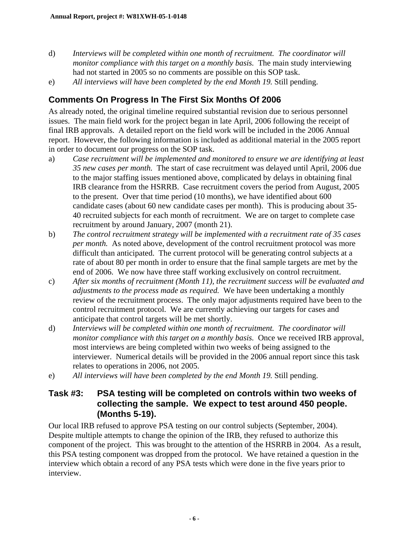- d) *Interviews will be completed within one month of recruitment. The coordinator will monitor compliance with this target on a monthly basis.* The main study interviewing had not started in 2005 so no comments are possible on this SOP task.
- e) *All interviews will have been completed by the end Month 19.* Still pending.

#### **Comments On Progress In The First Six Months Of 2006**

As already noted, the original timeline required substantial revision due to serious personnel issues. The main field work for the project began in late April, 2006 following the receipt of final IRB approvals. A detailed report on the field work will be included in the 2006 Annual report. However, the following information is included as additional material in the 2005 report in order to document our progress on the SOP task.

- a) *Case recruitment will be implemented and monitored to ensure we are identifying at least 35 new cases per month.* The start of case recruitment was delayed until April, 2006 due to the major staffing issues mentioned above, complicated by delays in obtaining final IRB clearance from the HSRRB. Case recruitment covers the period from August, 2005 to the present. Over that time period (10 months), we have identified about 600 candidate cases (about 60 new candidate cases per month). This is producing about 35- 40 recruited subjects for each month of recruitment. We are on target to complete case recruitment by around January, 2007 (month 21).
- b) *The control recruitment strategy will be implemented with a recruitment rate of 35 cases per month.* As noted above, development of the control recruitment protocol was more difficult than anticipated. The current protocol will be generating control subjects at a rate of about 80 per month in order to ensure that the final sample targets are met by the end of 2006. We now have three staff working exclusively on control recruitment.
- c) *After six months of recruitment (Month 11), the recruitment success will be evaluated and adjustments to the process made as required.* We have been undertaking a monthly review of the recruitment process. The only major adjustments required have been to the control recruitment protocol. We are currently achieving our targets for cases and anticipate that control targets will be met shortly.
- d) *Interviews will be completed within one month of recruitment. The coordinator will monitor compliance with this target on a monthly basis.* Once we received IRB approval, most interviews are being completed within two weeks of being assigned to the interviewer. Numerical details will be provided in the 2006 annual report since this task relates to operations in 2006, not 2005.
- e) *All interviews will have been completed by the end Month 19.* Still pending.

#### **Task #3: PSA testing will be completed on controls within two weeks of collecting the sample. We expect to test around 450 people. (Months 5-19).**

Our local IRB refused to approve PSA testing on our control subjects (September, 2004). Despite multiple attempts to change the opinion of the IRB, they refused to authorize this component of the project. This was brought to the attention of the HSRRB in 2004. As a result, this PSA testing component was dropped from the protocol. We have retained a question in the interview which obtain a record of any PSA tests which were done in the five years prior to interview.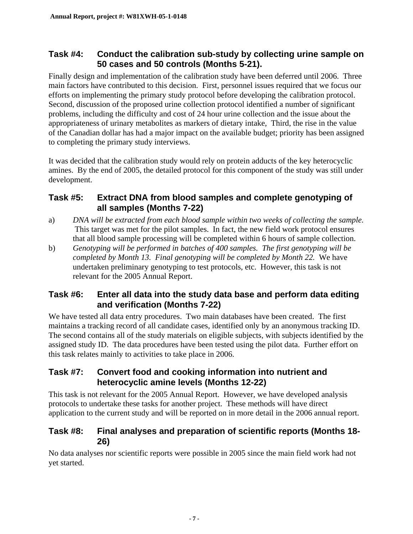#### **Task #4: Conduct the calibration sub-study by collecting urine sample on 50 cases and 50 controls (Months 5-21).**

Finally design and implementation of the calibration study have been deferred until 2006. Three main factors have contributed to this decision. First, personnel issues required that we focus our efforts on implementing the primary study protocol before developing the calibration protocol. Second, discussion of the proposed urine collection protocol identified a number of significant problems, including the difficulty and cost of 24 hour urine collection and the issue about the appropriateness of urinary metabolites as markers of dietary intake, Third, the rise in the value of the Canadian dollar has had a major impact on the available budget; priority has been assigned to completing the primary study interviews.

It was decided that the calibration study would rely on protein adducts of the key heterocyclic amines. By the end of 2005, the detailed protocol for this component of the study was still under development.

#### **Task #5: Extract DNA from blood samples and complete genotyping of all samples (Months 7-22)**

- a) *DNA will be extracted from each blood sample within two weeks of collecting the sample.* This target was met for the pilot samples. In fact, the new field work protocol ensures that all blood sample processing will be completed within 6 hours of sample collection.
- b) *Genotyping will be performed in batches of 400 samples. The first genotyping will be completed by Month 13. Final genotyping will be completed by Month 22.* We have undertaken preliminary genotyping to test protocols, etc. However, this task is not relevant for the 2005 Annual Report.

#### **Task #6: Enter all data into the study data base and perform data editing and verification (Months 7-22)**

We have tested all data entry procedures. Two main databases have been created. The first maintains a tracking record of all candidate cases, identified only by an anonymous tracking ID. The second contains all of the study materials on eligible subjects, with subjects identified by the assigned study ID. The data procedures have been tested using the pilot data. Further effort on this task relates mainly to activities to take place in 2006.

#### **Task #7: Convert food and cooking information into nutrient and heterocyclic amine levels (Months 12-22)**

This task is not relevant for the 2005 Annual Report. However, we have developed analysis protocols to undertake these tasks for another project. These methods will have direct application to the current study and will be reported on in more detail in the 2006 annual report.

#### **Task #8: Final analyses and preparation of scientific reports (Months 18- 26)**

No data analyses nor scientific reports were possible in 2005 since the main field work had not yet started.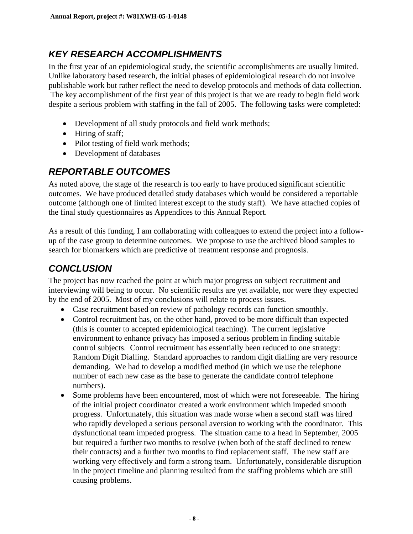#### *KEY RESEARCH ACCOMPLISHMENTS*

In the first year of an epidemiological study, the scientific accomplishments are usually limited. Unlike laboratory based research, the initial phases of epidemiological research do not involve publishable work but rather reflect the need to develop protocols and methods of data collection. The key accomplishment of the first year of this project is that we are ready to begin field work despite a serious problem with staffing in the fall of 2005. The following tasks were completed:

- Development of all study protocols and field work methods;
- Hiring of staff;
- Pilot testing of field work methods;
- Development of databases

#### *REPORTABLE OUTCOMES*

As noted above, the stage of the research is too early to have produced significant scientific outcomes. We have produced detailed study databases which would be considered a reportable outcome (although one of limited interest except to the study staff). We have attached copies of the final study questionnaires as Appendices to this Annual Report.

As a result of this funding, I am collaborating with colleagues to extend the project into a followup of the case group to determine outcomes. We propose to use the archived blood samples to search for biomarkers which are predictive of treatment response and prognosis.

#### *CONCLUSION*

The project has now reached the point at which major progress on subject recruitment and interviewing will being to occur. No scientific results are yet available, nor were they expected by the end of 2005. Most of my conclusions will relate to process issues.

- Case recruitment based on review of pathology records can function smoothly.
- Control recruitment has, on the other hand, proved to be more difficult than expected (this is counter to accepted epidemiological teaching). The current legislative environment to enhance privacy has imposed a serious problem in finding suitable control subjects. Control recruitment has essentially been reduced to one strategy: Random Digit Dialling. Standard approaches to random digit dialling are very resource demanding. We had to develop a modified method (in which we use the telephone number of each new case as the base to generate the candidate control telephone numbers).
- Some problems have been encountered, most of which were not foreseeable. The hiring of the initial project coordinator created a work environment which impeded smooth progress. Unfortunately, this situation was made worse when a second staff was hired who rapidly developed a serious personal aversion to working with the coordinator. This dysfunctional team impeded progress. The situation came to a head in September, 2005 but required a further two months to resolve (when both of the staff declined to renew their contracts) and a further two months to find replacement staff. The new staff are working very effectively and form a strong team. Unfortunately, considerable disruption in the project timeline and planning resulted from the staffing problems which are still causing problems.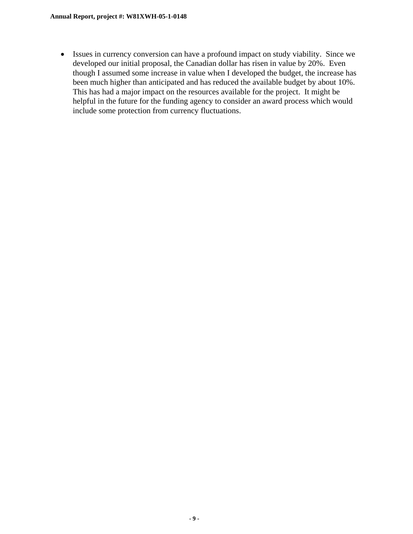• Issues in currency conversion can have a profound impact on study viability. Since we developed our initial proposal, the Canadian dollar has risen in value by 20%. Even though I assumed some increase in value when I developed the budget, the increase has been much higher than anticipated and has reduced the available budget by about 10%. This has had a major impact on the resources available for the project. It might be helpful in the future for the funding agency to consider an award process which would include some protection from currency fluctuations.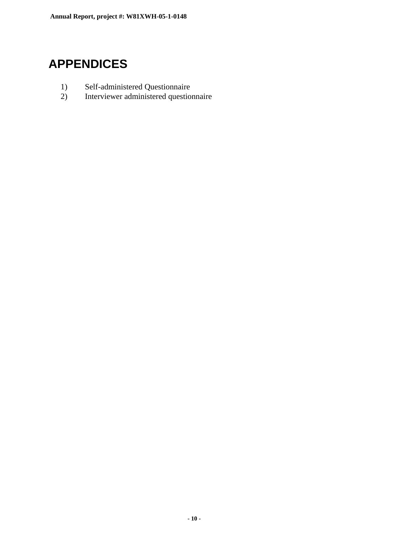#### **APPENDICES**

- 1) Self-administered Questionnaire
- 2) Interviewer administered questionnaire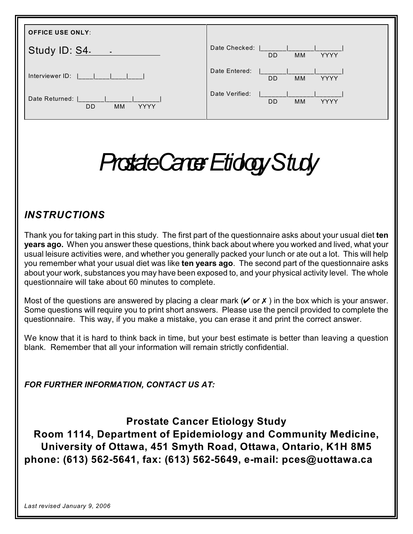| <b>OFFICE USE ONLY:</b>                                 |                                                         |
|---------------------------------------------------------|---------------------------------------------------------|
| Study ID: S4.<br>$\sim$ $-$                             | Date Checked:<br><b>DD</b><br><b>MM</b><br><b>YYYY</b>  |
| Interviewer ID:                                         | Date Entered:<br><b>DD</b><br><b>YYYY</b><br><b>MM</b>  |
| Date Returned:<br><b>DD</b><br><b>YYYY</b><br><b>MM</b> | Date Verified:<br><b>DD</b><br><b>MM</b><br><b>YYYY</b> |

## *Prostate Cancer Etiology Study*

#### *INSTRUCTIONS*

Thank you for taking part in this study. The first part of the questionnaire asks about your usual diet **ten years ago.** When you answer these questions, think back about where you worked and lived, what your usual leisure activities were, and whether you generally packed your lunch or ate out a lot. This will help you remember what your usual diet was like **ten years ago**. The second part of the questionnaire asks about your work, substances you may have been exposed to, and your physical activity level. The whole questionnaire will take about 60 minutes to complete.

Most of the questions are answered by placing a clear mark ( $\vee$  or  $\chi$ ) in the box which is your answer. Some questions will require you to print short answers. Please use the pencil provided to complete the questionnaire. This way, if you make a mistake, you can erase it and print the correct answer.

We know that it is hard to think back in time, but your best estimate is better than leaving a question blank. Remember that all your information will remain strictly confidential.

*FOR FURTHER INFORMATION, CONTACT US AT:*

**Prostate Cancer Etiology Study**

**Room 1114, Department of Epidemiology and Community Medicine, University of Ottawa, 451 Smyth Road, Ottawa, Ontario, K1H 8M5 phone: (613) 562-5641, fax: (613) 562-5649, e-mail: pces@uottawa.ca**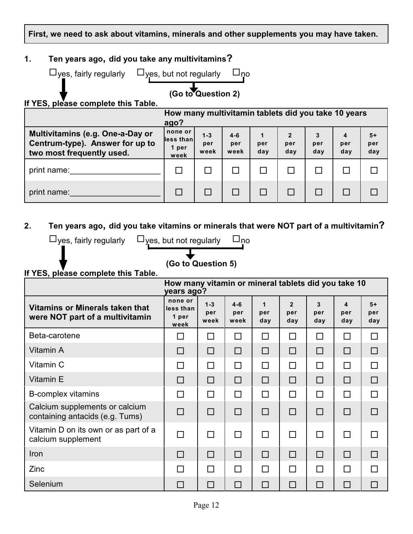**First, we need to ask about vitamins, minerals and other supplements you may have taken.**

#### **1. Ten years ago, did you take any multivitamins?**

| $\Box$ yes, fairly regularly $\Box$ yes, but not regularly $\Box$ no |                    |  |
|----------------------------------------------------------------------|--------------------|--|
|                                                                      | (Go to Question 2) |  |
| If YES, please complete this Table.                                  |                    |  |
|                                                                      | . .                |  |

|                                                                                                  | How many multivitamin tablets did you take 10 years<br>ago? |                        |                        |            |                            |                 |                 |                    |  |  |  |  |
|--------------------------------------------------------------------------------------------------|-------------------------------------------------------------|------------------------|------------------------|------------|----------------------------|-----------------|-----------------|--------------------|--|--|--|--|
| Multivitamins (e.g. One-a-Day or<br>Centrum-type). Answer for up to<br>two most frequently used. | none or<br>less than<br>1 per<br>week                       | $1 - 3$<br>per<br>week | $4 - 6$<br>per<br>week | per<br>day | $\mathbf{2}$<br>per<br>day | 3<br>per<br>day | 4<br>per<br>day | $5+$<br>per<br>day |  |  |  |  |
| print name:                                                                                      |                                                             |                        |                        |            |                            |                 |                 |                    |  |  |  |  |
| print name:                                                                                      |                                                             |                        |                        |            |                            |                 |                 |                    |  |  |  |  |

**2. Ten years ago, did you take vitamins or minerals that were NOT part of a multivitamin?**

| $\Box$ yes, fairly regularly<br>$\square_{\textsf{no}}$<br>$\bigcup$ yes, but not regularly |                                       |                        |                        |                           |                              |                 |                 |                    |  |  |  |  |
|---------------------------------------------------------------------------------------------|---------------------------------------|------------------------|------------------------|---------------------------|------------------------------|-----------------|-----------------|--------------------|--|--|--|--|
| (Go to Question 5)<br>If YES, please complete this Table.                                   |                                       |                        |                        |                           |                              |                 |                 |                    |  |  |  |  |
| How many vitamin or mineral tablets did you take 10<br>years ago?                           |                                       |                        |                        |                           |                              |                 |                 |                    |  |  |  |  |
| <b>Vitamins or Minerals taken that</b><br>were NOT part of a multivitamin                   | none or<br>less than<br>1 per<br>week | $1 - 3$<br>per<br>week | $4 - 6$<br>per<br>week | $\mathbf 1$<br>per<br>day | $\overline{2}$<br>per<br>day | 3<br>per<br>day | 4<br>per<br>day | $5+$<br>per<br>day |  |  |  |  |
| Beta-carotene                                                                               | $\Box$                                | П                      | $\Box$                 | П                         | П                            | □               | $\Box$          | $\Box$             |  |  |  |  |
| Vitamin A                                                                                   | $\Box$                                | $\Box$                 | $\Box$                 | $\Box$                    | □                            | $\Box$          | $\Box$          | $\Box$             |  |  |  |  |
| Vitamin C                                                                                   | $\Box$                                | $\Box$                 | П                      | $\Box$                    | $\Box$                       | П               | $\Box$          | $\Box$             |  |  |  |  |
| Vitamin E                                                                                   | $\Box$                                | $\Box$                 | $\Box$                 | $\Box$                    | $\Box$                       | $\Box$          | $\Box$          | $\Box$             |  |  |  |  |
| B-complex vitamins                                                                          | П                                     | П                      | $\Box$                 | П                         | П                            | П               | $\Box$          | $\Box$             |  |  |  |  |
| Calcium supplements or calcium<br>containing antacids (e.g. Tums)                           | $\Box$                                | $\Box$                 | $\Box$                 | $\Box$                    | $\Box$                       | $\Box$          | $\Box$          | $\Box$             |  |  |  |  |
| Vitamin D on its own or as part of a<br>calcium supplement                                  | $\Box$                                | П                      | П                      | ⊓                         | П                            | П               | $\Box$          | $\Box$             |  |  |  |  |
| Iron                                                                                        | $\Box$                                | $\Box$                 | $\Box$                 | $\Box$                    | $\Box$                       | $\Box$          | $\Box$          | $\Box$             |  |  |  |  |
| Zinc                                                                                        | П                                     | П                      | П                      | П                         | П                            | П               | П               | $\Box$             |  |  |  |  |
| Selenium                                                                                    | $\Box$                                | П                      | $\Box$                 | $\Box$                    | $\overline{\phantom{a}}$     | П               | $\Box$          | $\Box$             |  |  |  |  |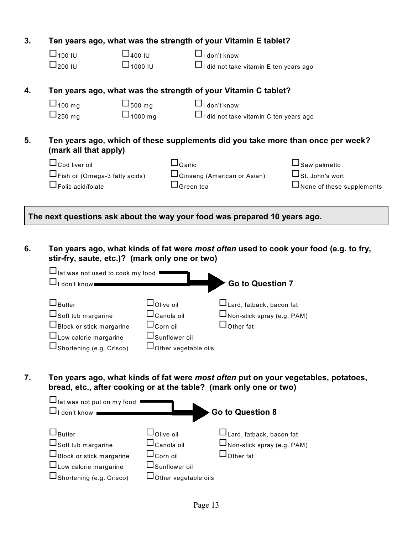| 3. |                                                                           |                                  |                             | Ten years ago, what was the strength of your Vitamin E tablet?     |                                                                                       |
|----|---------------------------------------------------------------------------|----------------------------------|-----------------------------|--------------------------------------------------------------------|---------------------------------------------------------------------------------------|
|    | $\Box$ 100 IU                                                             | $\Box$ <sub>400</sub> IU         |                             | $\Box$ I don't know                                                |                                                                                       |
|    | $\Box_{200}$ IU                                                           | $\Box$ 1000 IU                   |                             | $\Box$ I did not take vitamin E ten years ago                      |                                                                                       |
|    |                                                                           |                                  |                             |                                                                    |                                                                                       |
| 4. |                                                                           |                                  |                             | Ten years ago, what was the strength of your Vitamin C tablet?     |                                                                                       |
|    | $\Box$ 100 mg                                                             | $\sqcup$ <sub>500 mg</sub>       |                             | $\Box$ I don't know                                                |                                                                                       |
|    | $\Box_{250 \text{ mg}}$                                                   | $\Box$ 1000 mg                   |                             | $\Box$ I did not take vitamin C ten years ago                      |                                                                                       |
|    |                                                                           |                                  |                             |                                                                    |                                                                                       |
| 5. | (mark all that apply)                                                     |                                  |                             |                                                                    | Ten years ago, which of these supplements did you take more than once per week?       |
|    | $\sqcup_{\mathsf{Cod}}$ liver oil                                         |                                  | $\square$ Garlic            |                                                                    | $\Box$ Saw palmetto                                                                   |
|    |                                                                           |                                  |                             |                                                                    |                                                                                       |
|    | □Fish oil (Omega-3 fatty acids)                                           |                                  |                             | □Ginseng (American or Asian)                                       | $\Box$ St. John's wort                                                                |
|    | $\sqcup_{\mathsf{Folic\,acid/folate}}$                                    |                                  | $\sqcup$ Green tea          |                                                                    | $\square$ None of these supplements                                                   |
|    |                                                                           |                                  |                             |                                                                    |                                                                                       |
|    | The next questions ask about the way your food was prepared 10 years ago. |                                  |                             |                                                                    |                                                                                       |
| 6. | stir-fry, saute, etc.)? (mark only one or two)                            |                                  |                             |                                                                    | Ten years ago, what kinds of fat were most often used to cook your food (e.g. to fry, |
|    | $\Box$ fat was not used to cook my food                                   |                                  |                             |                                                                    |                                                                                       |
|    | $\Box$ I don't know                                                       |                                  |                             | Go to Question 7                                                   |                                                                                       |
|    |                                                                           |                                  |                             |                                                                    |                                                                                       |
|    | $\Box$ Butter                                                             | $\Box$ Olive oil                 |                             | $\Box$ Lard, fatback, bacon fat                                    |                                                                                       |
|    | $\Box$ Soft tub margarine                                                 | $\sqcup$ Canola oil              |                             | $\square$ Non-stick spray (e.g. PAM)                               |                                                                                       |
|    | □Block or stick margarine                                                 | $\Box$ Corn oil                  |                             | $\Box$ Other fat                                                   |                                                                                       |
|    |                                                                           | −                                |                             |                                                                    |                                                                                       |
|    | $\Box$ Low calorie margarine                                              |                                  | $\Box$ Sunflower oil        |                                                                    |                                                                                       |
|    | $\Box$ Shortening (e.g. Crisco)                                           |                                  | $\Box$ Other vegetable oils |                                                                    |                                                                                       |
|    |                                                                           |                                  |                             |                                                                    |                                                                                       |
| 7. |                                                                           |                                  |                             | bread, etc., after cooking or at the table? (mark only one or two) | Ten years ago, what kinds of fat were most often put on your vegetables, potatoes,    |
|    | $\Box$ fat was not put on my food                                         |                                  |                             |                                                                    |                                                                                       |
|    | $\Box$ I don't know                                                       |                                  |                             | <b>Go to Question 8</b>                                            |                                                                                       |
|    | $\mathsf{J}_\mathsf{Butter}$                                              | $\mathsf{I}_\mathsf{O}$ live oil |                             | $\mathsf{J}_\mathsf{Lard,\,fatback,\,bacon\,fat}$                  |                                                                                       |

| $\Box$ Soft tub margarine       | $\sqcup$ Canola oil         | $\Box$ Non-stick spray (e.g. PAM) |
|---------------------------------|-----------------------------|-----------------------------------|
| $\Box$ Block or stick margarine | $\sqcup$ Corn oil           | $\sqcup$ Other fat                |
| $\Box$ Low calorie margarine    | $\Box$ Sunflower oil        |                                   |
| $\Box$ Shortening (e.g. Crisco) | $\Box$ Other vegetable oils |                                   |
|                                 |                             |                                   |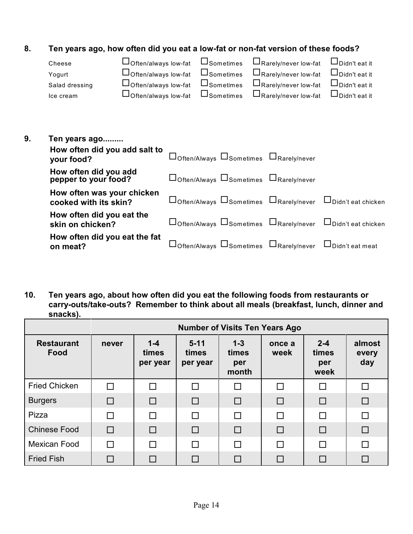#### **8. Ten years ago, how often did you eat a low-fat or non-fat version of these foods?**

| Cheese         | $\Box$ Often/always low-fat $\Box$ Sometimes $\Box$ Rarely/never low-fat |                     |                                | $\Box$ Didn't eat it |
|----------------|--------------------------------------------------------------------------|---------------------|--------------------------------|----------------------|
| Yogurt         | $\Box$ Often/always low-fat                                              | $\Box$ Sometimes    | $\square$ Rarely/never low-fat | $\Box$ Didn't eat it |
| Salad dressing | $\Box$ Often/always low-fat                                              | $\square$ Sometimes | $\Box$ Rarely/never low-fat    | $\Box$ Didn't eat it |
| Ice cream      | $\Box$ Often/always low-fat                                              | $\square$ Sometimes | $\Box$ Rarely/never low-fat    | $\Box$ Didn't eat it |
|                |                                                                          |                     |                                |                      |

| 9. | Ten years ago                                       |                                                                                    |  |
|----|-----------------------------------------------------|------------------------------------------------------------------------------------|--|
|    | How often did you add salt to<br>your food?         | Doften/Always DSometimes DRarely/never                                             |  |
|    | How often did you add<br>pepper to your food?       | $\Box$ Often/Always $\Box$ Sometimes $\Box$ Rarely/never                           |  |
|    | How often was your chicken<br>cooked with its skin? | $\Box$ Often/Always $\Box$ Sometimes $\Box$ Rarely/never $\Box$ Didn't eat chicken |  |
|    | How often did you eat the<br>skin on chicken?       | $\Box$ Often/Always $\Box$ Sometimes $\Box$ Rarely/never $\Box$ Didn't eat chicken |  |
|    | How often did you eat the fat<br>on meat?           | $\Box$ Often/Always $\Box$ Sometimes $\Box$ Rarely/never $\Box$ Didn't eat meat    |  |

**10. Ten years ago, about how often did you eat the following foods from restaurants or carry-outs/take-outs? Remember to think about all meals (breakfast, lunch, dinner and snacks).**

| <b>Number of Visits Ten Years Ago</b> |        |                              |                               |                                  |                |   |                        |  |  |  |  |  |  |
|---------------------------------------|--------|------------------------------|-------------------------------|----------------------------------|----------------|---|------------------------|--|--|--|--|--|--|
| <b>Restaurant</b><br>Food             | never  | $1 - 4$<br>times<br>per year | $5 - 11$<br>times<br>per year | $1 - 3$<br>times<br>per<br>month | once a<br>week |   | almost<br>every<br>day |  |  |  |  |  |  |
| <b>Fried Chicken</b>                  | П      | П                            |                               | П                                | П              |   | П                      |  |  |  |  |  |  |
| <b>Burgers</b>                        | $\Box$ | $\Box$                       | $\Box$                        | $\Box$                           | $\Box$         |   | $\Box$                 |  |  |  |  |  |  |
| Pizza                                 |        | $\Box$                       | П                             | П                                | $\Box$         |   | П                      |  |  |  |  |  |  |
| <b>Chinese Food</b>                   | $\Box$ | $\Box$                       | П                             | П                                | $\Box$         | П | $\Box$                 |  |  |  |  |  |  |
| Mexican Food                          |        | П                            |                               | П                                | $\Box$         |   | $\Box$                 |  |  |  |  |  |  |
| <b>Fried Fish</b>                     |        | $\Box$                       |                               |                                  | □              |   | $\Box$                 |  |  |  |  |  |  |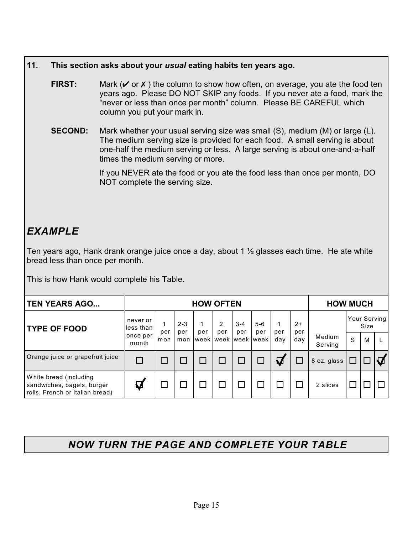#### **11. This section asks about your** *usual* **eating habits ten years ago.**

- **FIRST:** Mark ( $\vee$  or  $\theta$ ) the column to show how often, on average, you ate the food ten years ago. Please DO NOT SKIP any foods. If you never ate a food, mark the "never or less than once per month" column. Please BE CAREFUL which column you put your mark in.
- **SECOND:** Mark whether your usual serving size was small (S), medium (M) or large (L). The medium serving size is provided for each food. A small serving is about one-half the medium serving or less. A large serving is about one-and-a-half times the medium serving or more.

If you NEVER ate the food or you ate the food less than once per month, DO NOT complete the serving size.

#### *EXAMPLE*

Ten years ago, Hank drank orange juice once a day, about 1 ½ glasses each time. He ate white bread less than once per month.

This is how Hank would complete his Table.

| <b>TEN YEARS AGO</b>                                                                    | <b>HOW OFTEN</b>       |     |                |                         |          |                |              |                       | <b>HOW MUCH</b> |                   |   |      |              |
|-----------------------------------------------------------------------------------------|------------------------|-----|----------------|-------------------------|----------|----------------|--------------|-----------------------|-----------------|-------------------|---|------|--------------|
| <b>TYPE OF FOOD</b>                                                                     | never or<br>lless than | per | $2 - 3$<br>per | per                     | 2<br>per | $3 - 4$<br>per | $5-6$<br>per | per                   | $2+$<br>per     |                   |   | Size | Your Serving |
|                                                                                         | once per<br>month      | mon | mon            | Iweek Iweek Iweek Iweek |          |                |              | day                   | day             | Medium<br>Serving | S | M    |              |
| Orange juice or grapefruit juice                                                        |                        |     |                |                         |          |                |              | $\boldsymbol{\nabla}$ |                 | 8 oz. glass       |   |      |              |
| White bread (including<br>sandwiches, bagels, burger<br>rolls, French or Italian bread) | $\boldsymbol{U}$       |     |                |                         |          |                |              |                       |                 | 2 slices          |   |      |              |

#### *NOW TURN THE PAGE AND COMPLETE YOUR TABLE*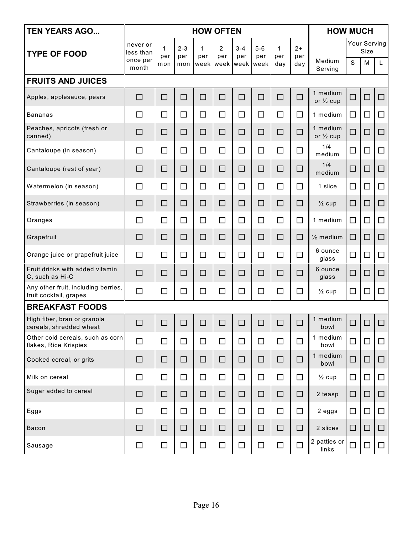| <b>TEN YEARS AGO</b>                                          | <b>HOW OFTEN</b>                  |                 |                       |          |                       |                                  |                      |                            |                    | <b>HOW MUCH</b>       |        |                                  |        |  |
|---------------------------------------------------------------|-----------------------------------|-----------------|-----------------------|----------|-----------------------|----------------------------------|----------------------|----------------------------|--------------------|-----------------------|--------|----------------------------------|--------|--|
| <b>TYPE OF FOOD</b>                                           | never or<br>less than<br>once per | 1<br>per<br>mon | $2 - 3$<br>per<br>mon | 1<br>per | $\overline{2}$<br>per | $3 - 4$<br>per<br>week week week | $5-6$<br>per<br>week | $\mathbf{1}$<br>per<br>day | $2+$<br>per<br>day | Medium                | S      | Your Serving<br><b>Size</b><br>M | L      |  |
| <b>FRUITS AND JUICES</b>                                      | month                             |                 |                       |          |                       |                                  |                      |                            |                    | Serving               |        |                                  |        |  |
| Apples, applesauce, pears                                     | $\Box$                            | $\Box$          | □                     | $\Box$   | $\Box$                | $\Box$                           | $\Box$               | □                          | $\Box$             | 1 medium              | $\Box$ | $\Box$                           | $\Box$ |  |
|                                                               |                                   |                 |                       |          |                       |                                  |                      |                            |                    | or $\frac{1}{2}$ cup  |        |                                  |        |  |
| <b>Bananas</b><br>Peaches, apricots (fresh or                 | $\Box$                            | $\Box$          | $\Box$                | $\Box$   | $\Box$                | $\Box$                           | $\Box$               | $\Box$                     | $\Box$             | 1 medium<br>1 medium  | $\Box$ | $\Box$                           | $\Box$ |  |
| canned)                                                       | □                                 | $\Box$          | $\Box$                | □        | □                     | □                                | □                    | $\Box$                     | $\Box$             | or $\frac{1}{2}$ cup  | $\Box$ | $\Box$                           | $\Box$ |  |
| Cantaloupe (in season)                                        | □                                 | $\Box$          | $\Box$                | $\Box$   | $\Box$                | $\Box$                           | $\Box$               | $\Box$                     | $\Box$             | 1/4<br>medium         | $\Box$ | $\Box$                           | $\Box$ |  |
| Cantaloupe (rest of year)                                     | □                                 | $\Box$          | $\Box$                | □        | □                     | □                                | □                    | □                          | □                  | 1/4<br>medium         | $\Box$ | □                                | □      |  |
| Watermelon (in season)                                        | $\Box$                            | $\Box$          | $\Box$                | $\Box$   | $\Box$                | $\Box$                           | $\Box$               | $\Box$                     | $\Box$             | 1 slice               | $\Box$ | □                                | $\Box$ |  |
| Strawberries (in season)                                      | $\Box$                            | $\Box$          | □                     | □        | □                     | □                                | □                    | □                          | □                  | $\frac{1}{2}$ cup     | □      | □                                | □      |  |
| Oranges                                                       | □                                 | $\Box$          | $\Box$                | $\Box$   | $\Box$                | □                                | $\Box$               | $\Box$                     | $\Box$             | 1 medium              | □      | $\Box$                           | $\Box$ |  |
| Grapefruit                                                    | □                                 | $\Box$          | □                     | □        | □                     | □                                | □                    | □                          | □                  | $\frac{1}{2}$ medium  | □      | $\Box$                           | □      |  |
| Orange juice or grapefruit juice                              | $\Box$                            | $\Box$          | $\Box$                | $\Box$   | $\Box$                | $\Box$                           | $\Box$               | $\Box$                     | $\Box$             | 6 ounce<br>glass      | $\Box$ | □                                | $\Box$ |  |
| Fruit drinks with added vitamin<br>C, such as Hi-C            | $\Box$                            | $\Box$          | □                     | $\Box$   | □                     | $\Box$                           | □                    | $\Box$                     | $\Box$             | 6 ounce<br>glass      | □      | $\Box$                           | □      |  |
| Any other fruit, including berries,<br>fruit cocktail, grapes | $\Box$                            | $\Box$          | $\Box$                | $\Box$   | $\Box$                | □                                | $\Box$               | $\Box$                     | $\Box$             | $\frac{1}{2}$ cup     | $\Box$ | $\Box$                           | $\Box$ |  |
| <b>BREAKFAST FOODS</b>                                        |                                   |                 |                       |          |                       |                                  |                      |                            |                    |                       |        |                                  |        |  |
| High fiber, bran or granola<br>cereals, shredded wheat        | $\Box$                            | $\Box$          | П                     | П        | П                     | $\Box$                           |                      |                            | $\Box$             | 1 medium<br>bowl      | $\Box$ | $\Box$                           | $\Box$ |  |
| Other cold cereals, such as corn<br>flakes, Rice Krispies     | $\Box$                            | $\Box$          | $\Box$                | $\Box$   | $\Box$                | $\Box$                           | $\Box$               | $\Box$                     | $\Box$             | 1 medium<br>bowl      | $\Box$ | $\Box$                           | $\Box$ |  |
| Cooked cereal, or grits                                       | $\Box$                            | $\Box$          | □                     | $\Box$   | $\Box$                | □                                | □                    | □                          | $\Box$             | 1 medium<br>bowl      | □      | $\Box$                           | □      |  |
| Milk on cereal                                                | $\Box$                            | $\Box$          | $\Box$                | $\Box$   | $\Box$                | $\Box$                           | $\Box$               | $\Box$                     | $\Box$             | $\frac{1}{2}$ cup     | $\Box$ | $\Box$                           | $\Box$ |  |
| Sugar added to cereal                                         | $\Box$                            | $\Box$          | □                     | $\Box$   | $\Box$                | □                                | $\Box$               | □                          | $\Box$             | 2 teasp               | □      | $\Box$                           | $\Box$ |  |
| Eggs                                                          | $\Box$                            | $\Box$          | $\Box$                | $\Box$   | $\Box$                | $\Box$                           | $\Box$               | $\Box$                     | $\Box$             | 2 eggs                | $\Box$ | $\Box$                           | $\Box$ |  |
| <b>Bacon</b>                                                  | □                                 | □               | □                     | □        | $\Box$                | □                                | □                    | $\Box$                     | $\Box$             | 2 slices              | □      | $\Box$                           | □      |  |
| Sausage                                                       | $\Box$                            | $\Box$          | $\Box$                | $\Box$   | $\Box$                | $\Box$                           | $\Box$               | $\Box$                     | $\Box$             | 2 patties or<br>links | $\Box$ | $\Box$                           | $\Box$ |  |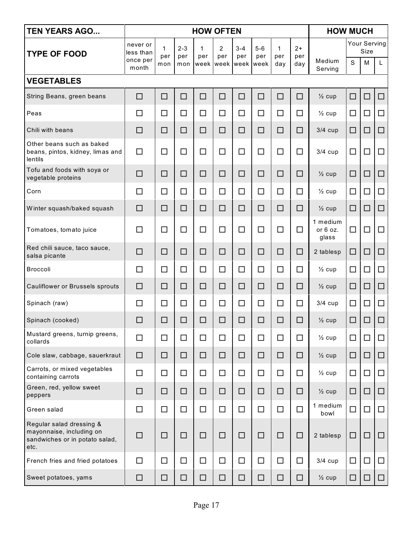| <b>TEN YEARS AGO</b>                                                                           | <b>HOW OFTEN</b>                  |                            |                       |          |                                              |                |                |                            | <b>HOW MUCH</b>    |                               |        |                           |        |
|------------------------------------------------------------------------------------------------|-----------------------------------|----------------------------|-----------------------|----------|----------------------------------------------|----------------|----------------|----------------------------|--------------------|-------------------------------|--------|---------------------------|--------|
| <b>TYPE OF FOOD</b>                                                                            | never or<br>less than<br>once per | $\mathbf{1}$<br>per<br>mon | $2 - 3$<br>per<br>mon | 1<br>per | $\overline{2}$<br>per<br>week week week week | $3 - 4$<br>per | $5 - 6$<br>per | $\mathbf{1}$<br>per<br>day | $2+$<br>per<br>day | Medium                        | S      | Your Serving<br>Size<br>M | L      |
| <b>VEGETABLES</b>                                                                              | month                             |                            |                       |          |                                              |                |                |                            |                    | Serving                       |        |                           |        |
|                                                                                                |                                   |                            |                       | $\Box$   | $\Box$                                       |                | $\Box$         | $\Box$                     |                    |                               |        |                           |        |
| String Beans, green beans                                                                      | $\Box$                            | $\Box$                     | $\Box$                |          |                                              | $\Box$         |                |                            | □                  | $\frac{1}{2}$ cup             | $\Box$ | □                         | $\Box$ |
| Peas                                                                                           | □                                 | $\Box$                     | $\Box$                | $\Box$   | $\Box$                                       | □              | $\Box$         | $\Box$                     | $\Box$             | $\frac{1}{2}$ cup             | $\Box$ | $\Box$                    | $\Box$ |
| Chili with beans                                                                               | □                                 | □                          | □                     | □        | □                                            | □              | □              | □                          | □                  | $3/4$ cup                     | $\Box$ | $\Box$                    | $\Box$ |
| Other beans such as baked<br>beans, pintos, kidney, limas and<br>lentils                       | $\Box$                            | $\Box$                     | □                     | $\Box$   | $\Box$                                       | □              | $\Box$         | $\Box$                     | $\Box$             | $3/4$ cup                     | $\Box$ | $\Box$                    | $\Box$ |
| Tofu and foods with soya or<br>vegetable proteins                                              | $\Box$                            | □                          | □                     | $\Box$   | □                                            | □              | □              | □                          | □                  | $\frac{1}{2}$ cup             | $\Box$ | □                         | □      |
| Corn                                                                                           | $\Box$                            | $\Box$                     | $\Box$                | $\Box$   | $\Box$                                       | □              | $\Box$         | □                          | □                  | $\frac{1}{2}$ cup             | $\Box$ | $\Box$                    | □      |
| Winter squash/baked squash                                                                     | $\Box$                            | □                          | □                     | □        | □                                            | □              | □              | □                          | □                  | $\frac{1}{2}$ cup             | $\Box$ | $\Box$                    | $\Box$ |
| Tomatoes, tomato juice                                                                         | $\Box$                            | $\Box$                     | □                     | $\Box$   | □                                            | $\Box$         | $\Box$         | $\Box$                     | □                  | 1 medium<br>or 6 oz.<br>glass | $\Box$ | $\Box$                    | $\Box$ |
| Red chili sauce, taco sauce,<br>salsa picante                                                  | □                                 | □                          | □                     | □        | □                                            | □              | □              | □                          | □                  | 2 tablesp                     | $\Box$ | $\Box$                    | $\Box$ |
| <b>Broccoli</b>                                                                                | $\Box$                            | $\Box$                     | □                     | $\Box$   | $\Box$                                       | $\Box$         | $\Box$         | □                          | $\Box$             | $\frac{1}{2}$ cup             | $\Box$ | □                         | $\Box$ |
| Cauliflower or Brussels sprouts                                                                | $\Box$                            | $\Box$                     | □                     | $\Box$   | □                                            | □              | □              | □                          | □                  | $\frac{1}{2}$ cup             | □      | □                         | $\Box$ |
| Spinach (raw)                                                                                  | $\Box$                            | $\Box$                     | $\Box$                | $\Box$   | $\Box$                                       | $\Box$         | $\Box$         | $\Box$                     | □                  | $3/4$ cup                     | $\Box$ | $\Box$                    | □      |
| Spinach (cooked)                                                                               | □                                 | □                          | □                     | □        | □                                            | □              | □              | $\Box$                     | $\Box$             | $\frac{1}{2}$ cup             | $\Box$ | $\Box$                    | $\Box$ |
| Mustard greens, turnip greens,<br>collards                                                     | $\Box$                            | $\Box$                     | $\Box$                | $\Box$   | $\Box$                                       | $\Box$         | $\Box$         | $\Box$                     | $\Box$             | $\frac{1}{2}$ cup             | $\Box$ | $\Box$                    | $\Box$ |
| Cole slaw, cabbage, sauerkraut                                                                 | $\Box$                            | $\Box$                     | □                     | □        | □                                            | $\Box$         | $\Box$         | $\Box$                     | □                  | $\frac{1}{2}$ cup             | $\Box$ | □                         | $\Box$ |
| Carrots, or mixed vegetables<br>containing carrots                                             | $\Box$                            | $\Box$                     | $\Box$                | $\Box$   | $\Box$                                       | □              | $\Box$         | □                          | $\Box$             | $\frac{1}{2}$ cup             | $\Box$ | □                         | $\Box$ |
| Green, red, yellow sweet<br>peppers                                                            | $\Box$                            | $\Box$                     | □                     | □        | □                                            | $\Box$         | $\Box$         | $\Box$                     | □                  | $\frac{1}{2}$ cup             | $\Box$ | □                         | $\Box$ |
| Green salad                                                                                    | $\Box$                            | $\Box$                     | $\Box$                | $\Box$   | $\Box$                                       | $\Box$         | $\Box$         | $\Box$                     | $\Box$             | 1 medium<br>bowl              | $\Box$ | $\Box$                    | $\Box$ |
| Regular salad dressing &<br>mayonnaise, including on<br>sandwiches or in potato salad,<br>etc. | $\Box$                            | $\Box$                     | $\Box$                | □        | □                                            | $\Box$         | □              | □                          | □                  | 2 tablesp                     | $\Box$ | $\Box$                    | $\Box$ |
| French fries and fried potatoes                                                                | $\Box$                            | $\Box$                     | $\Box$                | $\Box$   | $\Box$                                       | $\Box$         | $\Box$         | $\Box$                     | $\Box$             | $3/4$ cup                     | $\Box$ | $\Box$                    | $\Box$ |
| Sweet potatoes, yams                                                                           | $\Box$                            | □                          | □                     | □        | □                                            | □              | □              | □                          | □                  | $\frac{1}{2}$ cup             | $\Box$ | □                         | □      |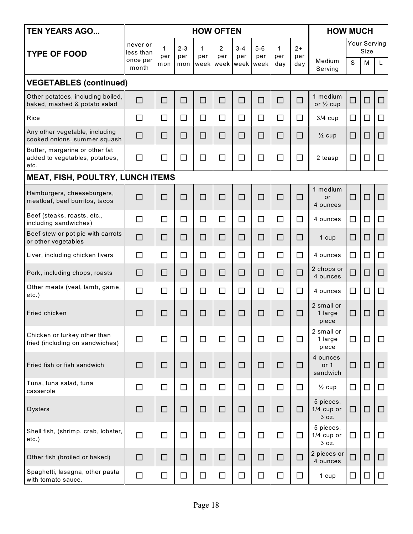| <b>TEN YEARS AGO</b>                                                     | <b>HOW OFTEN</b>                           |                 |                       |                  |                               |                |                           |                 |                    | <b>HOW MUCH</b>                    |        |                           |        |  |
|--------------------------------------------------------------------------|--------------------------------------------|-----------------|-----------------------|------------------|-------------------------------|----------------|---------------------------|-----------------|--------------------|------------------------------------|--------|---------------------------|--------|--|
| <b>TYPE OF FOOD</b>                                                      | never or<br>less than<br>once per<br>month | 1<br>per<br>mon | $2 - 3$<br>per<br>mon | 1<br>per<br>week | $\overline{2}$<br>per<br>week | $3 - 4$<br>per | $5-6$<br>per<br>week week | 1<br>per<br>day | $2+$<br>per<br>day | Medium<br>Serving                  | S      | Your Serving<br>Size<br>M | L      |  |
| <b>VEGETABLES (continued)</b>                                            |                                            |                 |                       |                  |                               |                |                           |                 |                    |                                    |        |                           |        |  |
| Other potatoes, including boiled,<br>baked, mashed & potato salad        | $\Box$                                     | $\Box$          | $\Box$                | $\Box$           | □                             | □              | □                         | $\Box$          | $\Box$             | 1 medium<br>or $\frac{1}{2}$ cup   | $\Box$ | $\Box$                    | $\Box$ |  |
| Rice                                                                     | □                                          | $\Box$          | $\Box$                | $\Box$           | $\Box$                        | $\Box$         | □                         | $\Box$          | □                  | $3/4$ cup                          | $\Box$ | $\Box$                    | $\Box$ |  |
| Any other vegetable, including<br>cooked onions, summer squash           | □                                          | $\Box$          | □                     | □                | □                             | □              | $\Box$                    | □               | □                  | $\frac{1}{2}$ cup                  | □      | $\Box$                    | $\Box$ |  |
| Butter, margarine or other fat<br>added to vegetables, potatoes,<br>etc. | $\Box$                                     | $\Box$          | $\Box$                | $\Box$           | □                             | $\Box$         | $\Box$                    | $\Box$          | $\Box$             | 2 teasp                            | □      | □                         | □      |  |
| <b>MEAT, FISH, POULTRY, LUNCH ITEMS</b>                                  |                                            |                 |                       |                  |                               |                |                           |                 |                    |                                    |        |                           |        |  |
| Hamburgers, cheeseburgers,<br>meatloaf, beef burritos, tacos             | П                                          | $\Box$          | □                     | $\Box$           | □                             | □              | □                         | $\Box$          | □                  | 1 medium<br>or<br>4 ounces         | $\Box$ | □                         | $\Box$ |  |
| Beef (steaks, roasts, etc.,<br>including sandwiches)                     | П                                          | $\Box$          | $\Box$                | $\Box$           | $\Box$                        | $\Box$         | □                         | $\Box$          | □                  | 4 ounces                           | $\Box$ | $\Box$                    | $\Box$ |  |
| Beef stew or pot pie with carrots<br>or other vegetables                 | □                                          | $\Box$          | □                     | □                | □                             | □              | □                         | □               | □                  | 1 cup                              | □      | $\Box$                    | $\Box$ |  |
| Liver, including chicken livers                                          | $\Box$                                     | $\Box$          | $\Box$                | $\Box$           | $\Box$                        | $\Box$         | $\Box$                    | $\Box$          | □                  | 4 ounces                           | $\Box$ | □                         | $\Box$ |  |
| Pork, including chops, roasts                                            | $\Box$                                     | □               | □                     | □                | □                             | □              | □                         | □               | $\Box$             | 2 chops or<br>4 ounces             | □      | □                         | $\Box$ |  |
| Other meats (veal, lamb, game,<br>etc.)                                  | $\Box$                                     | $\Box$          | $\Box$                | $\Box$           | □                             | □              | □                         | $\Box$          | □                  | 4 ounces                           | $\Box$ |                           | □      |  |
| Fried chicken                                                            | $\Box$                                     | □               | □                     | □                | □                             | □              | □                         | □               | □                  | 2 small or<br>1 large<br>piece     | О      | $\Box$                    | □      |  |
| Chicken or turkey other than<br>fried (including on sandwiches)          | $\Box$                                     | $\Box$          | $\Box$                | $\Box$           | $\Box$                        | $\Box$         | $\Box$                    | $\Box$          | □                  | 2 small or<br>1 large<br>piece     | $\Box$ | □                         | $\Box$ |  |
| Fried fish or fish sandwich                                              | $\Box$                                     | □               | $\Box$                | $\Box$           | $\Box$                        | □              | □                         | □               | □                  | 4 ounces<br>or $1$<br>sandwich     | $\Box$ | □                         | □      |  |
| Tuna, tuna salad, tuna<br>casserole                                      | $\Box$                                     | $\Box$          | $\Box$                | $\Box$           | $\Box$                        | $\Box$         | $\Box$                    | $\Box$          | $\Box$             | $\frac{1}{2}$ cup                  | □      | □                         | $\Box$ |  |
| Oysters                                                                  | □                                          | $\Box$          | $\Box$                | $\Box$           | $\Box$                        | $\Box$         | $\Box$                    | □               | □                  | 5 pieces,<br>$1/4$ cup or<br>3 oz. | $\Box$ | □                         | $\Box$ |  |
| Shell fish, (shrimp, crab, lobster,<br>etc.)                             | $\Box$                                     | $\Box$          | $\Box$                | $\Box$           | $\Box$                        | $\Box$         | $\Box$                    | $\Box$          | $\Box$             | 5 pieces,<br>$1/4$ cup or<br>3 oz. | $\Box$ | □                         | $\Box$ |  |
| Other fish (broiled or baked)                                            | □                                          | □               | $\Box$                | $\Box$           | $\Box$                        | □              | □                         | □               | $\Box$             | 2 pieces or<br>4 ounces            | $\Box$ | $\Box$                    | □      |  |
| Spaghetti, lasagna, other pasta<br>with tomato sauce.                    | $\Box$                                     | $\Box$          | $\Box$                | $\Box$           | $\Box$                        | $\Box$         | $\Box$                    | $\Box$          | □                  | 1 cup                              | $\Box$ | □                         | $\Box$ |  |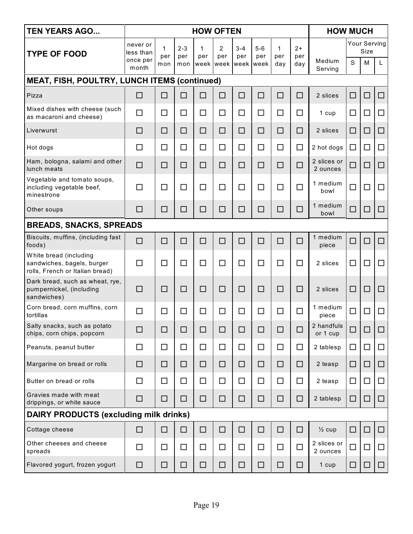| <b>TEN YEARS AGO</b>                                                                    | <b>HOW OFTEN</b>                           |                            |                       |          |                       |                                  |                      |                 |                    | <b>HOW MUCH</b>         |        |                           |        |
|-----------------------------------------------------------------------------------------|--------------------------------------------|----------------------------|-----------------------|----------|-----------------------|----------------------------------|----------------------|-----------------|--------------------|-------------------------|--------|---------------------------|--------|
| <b>TYPE OF FOOD</b>                                                                     | never or<br>less than<br>once per<br>month | $\mathbf{1}$<br>per<br>mon | $2 - 3$<br>per<br>mon | 1<br>per | $\overline{2}$<br>per | $3 - 4$<br>per<br>week week week | $5-6$<br>per<br>week | 1<br>per<br>day | $2+$<br>per<br>day | Medium<br>Serving       | S      | Your Serving<br>Size<br>M | L      |
| MEAT, FISH, POULTRY, LUNCH ITEMS (continued)                                            |                                            |                            |                       |          |                       |                                  |                      |                 |                    |                         |        |                           |        |
| Pizza                                                                                   | □                                          | $\Box$                     | □                     | □        | □                     | $\Box$                           | □                    | □               | □                  | 2 slices                | □      | $\Box$                    | □      |
| Mixed dishes with cheese (such<br>as macaroni and cheese)                               | $\Box$                                     | $\Box$                     | □                     | $\Box$   | □                     | $\Box$                           | □                    | □               | □                  | 1 cup                   | □      | $\Box$                    | $\Box$ |
| Liverwurst                                                                              | $\Box$                                     | □                          | □                     | □        | □                     | □                                | □                    | □               | $\Box$             | 2 slices                | □      | □                         | □      |
| Hot dogs                                                                                | $\Box$                                     | $\Box$                     | $\Box$                | $\Box$   | $\Box$                | $\Box$                           | $\Box$               | □               | $\Box$             | 2 hot dogs              | $\Box$ | $\Box$                    | $\Box$ |
| Ham, bologna, salami and other<br>lunch meats                                           | $\Box$                                     | □                          | □                     | $\Box$   | □                     | $\Box$                           | □                    | □               | $\Box$             | 2 slices or<br>2 ounces | □      | □                         | $\Box$ |
| Vegetable and tomato soups,<br>including vegetable beef,<br>minestrone                  | $\Box$                                     | $\Box$                     | □                     | $\Box$   | □                     | $\Box$                           | □                    | $\Box$          | $\Box$             | 1 medium<br>bowl        | $\Box$ | $\Box$                    | $\Box$ |
| Other soups                                                                             | □                                          | □                          | □                     | $\Box$   | □                     | □                                | □                    | □               | $\Box$             | 1 medium<br>bowl        | □      | $\Box$                    | $\Box$ |
| <b>BREADS, SNACKS, SPREADS</b>                                                          |                                            |                            |                       |          |                       |                                  |                      |                 |                    |                         |        |                           |        |
| Biscuits, muffins, (including fast<br>foods)                                            | $\Box$                                     | $\Box$                     | □                     | $\Box$   | □                     | $\Box$                           | □                    | □               | $\Box$             | 1 medium<br>piece       | □      | $\Box$                    | $\Box$ |
| White bread (including<br>sandwiches, bagels, burger<br>rolls, French or Italian bread) | $\Box$                                     | $\Box$                     | $\Box$                | $\Box$   | □                     | □                                | □                    | $\Box$          | $\Box$             | 2 slices                | $\Box$ | $\Box$                    | □      |
| Dark bread, such as wheat, rye,<br>pumpernickel, (including<br>sandwiches)              | $\Box$                                     | $\Box$                     | □                     | □        | □                     | □                                | □                    | □               | □                  | 2 slices                | □      | $\Box$                    | □      |
| Corn bread, corn muffins, corn<br>tortillas                                             | $\Box$                                     | $\Box$                     | □                     | $\Box$   | □                     | $\Box$                           | $\Box$               | $\Box$          | $\Box$             | 1 medium<br>piece       | $\Box$ | $\Box$                    | $\Box$ |
| Salty snacks, such as potato<br>chips, corn chips, popcorn                              | ⊔                                          | ⊔                          | ⊔                     |          | ⊔                     | ⊔                                | ⊔                    | ப               |                    | 2 handfuls<br>or 1 cup  |        |                           |        |
| Peanuts, peanut butter                                                                  | $\Box$                                     | $\Box$                     | □                     | $\Box$   | □                     | $\Box$                           | □                    | $\Box$          | □                  | 2 tablesp               | $\Box$ | $\Box$                    | $\Box$ |
| Margarine on bread or rolls                                                             | $\Box$                                     | $\Box$                     | $\Box$                | □        | □                     | □                                | □                    | □               | $\Box$             | 2 teasp                 | $\Box$ | □                         | □      |
| Butter on bread or rolls                                                                | □                                          | $\Box$                     | $\Box$                | □        | $\Box$                | □                                | □                    | □               | $\Box$             | 2 teasp                 | $\Box$ | □                         | $\Box$ |
| Gravies made with meat<br>drippings, or white sauce                                     | $\Box$                                     | □                          | □                     | □        | □                     | □                                | □                    | □               | □                  | 2 tablesp               | □      | □                         | □      |
| DAIRY PRODUCTS (excluding milk drinks)                                                  |                                            |                            |                       |          |                       |                                  |                      |                 |                    |                         |        |                           |        |
| Cottage cheese                                                                          | □                                          | $\Box$                     | □                     | $\Box$   | $\Box$                | $\Box$                           | □                    | □               | □                  | $\frac{1}{2}$ cup       | □      | □                         | □      |
| Other cheeses and cheese<br>spreads                                                     | □                                          | □                          | □                     | □        | □                     | □                                | □                    | □               | □                  | 2 slices or<br>2 ounces | $\Box$ | □                         | □      |
| Flavored yogurt, frozen yogurt                                                          | $\Box$                                     | $\Box$                     | □                     | □        | □                     | □                                | □                    | □               | □                  | 1 cup                   | $\Box$ | $\Box$                    | 0      |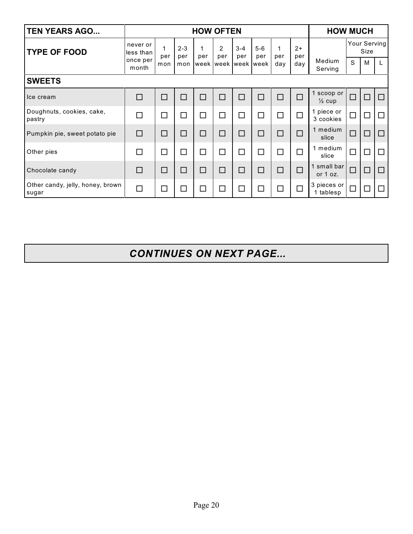| <b>TEN YEARS AGO</b>                      | <b>HOW OFTEN</b>      |          |                |                     |                      |                |              |          |             | <b>HOW MUCH</b>               |        |                      |        |
|-------------------------------------------|-----------------------|----------|----------------|---------------------|----------------------|----------------|--------------|----------|-------------|-------------------------------|--------|----------------------|--------|
| <b>TYPE OF FOOD</b>                       | never or<br>less than | 1<br>per | $2 - 3$<br>per | 1<br>per            | $\mathcal{P}$<br>per | $3 - 4$<br>per | $5-6$<br>per | 1<br>per | $2+$<br>per |                               |        | Your Serving<br>Size |        |
|                                           | once per<br>month     | mon      | mon            | week week week week |                      |                |              | day      | day         | Medium<br>Serving             | S      | M                    | L      |
| <b>SWEETS</b>                             |                       |          |                |                     |                      |                |              |          |             |                               |        |                      |        |
| Ice cream                                 | $\Box$                | $\Box$   | □              | □                   | $\Box$               | $\Box$         | $\Box$       | $\Box$   | $\Box$      | scoop or<br>$\frac{1}{2}$ cup | $\Box$ | $\Box$               | $\Box$ |
| Doughnuts, cookies, cake,<br>pastry       | П                     | □        | □              | $\Box$              | □                    | □              | □            | $\Box$   | $\Box$      | piece or<br>3 cookies         | $\Box$ | $\Box$               | $\Box$ |
| Pumpkin pie, sweet potato pie             | $\Box$                | $\Box$   | □              | □                   | □                    | □              | $\Box$       | $\Box$   | $\Box$      | 1 medium<br>slice             | $\Box$ | $\Box$               | $\Box$ |
| Other pies                                | $\Box$                | $\Box$   | $\Box$         | □                   | $\Box$               | $\Box$         | $\Box$       | $\Box$   | П           | 1 medium<br>slice             | $\Box$ | $\Box$               | $\Box$ |
| Chocolate candy                           | $\Box$                | $\Box$   | □              | □                   | □                    | □              | □            | □        | $\Box$      | 1 small bar<br>or $1$ oz.     | $\Box$ | $\Box$               | $\Box$ |
| Other candy, jelly, honey, brown<br>sugar | $\Box$                | $\Box$   |                |                     |                      |                | $\Box$       |          |             | 3 pieces or<br>1 tablesp      | $\Box$ | $\Box$               | П      |

*CONTINUES ON NEXT PAGE...*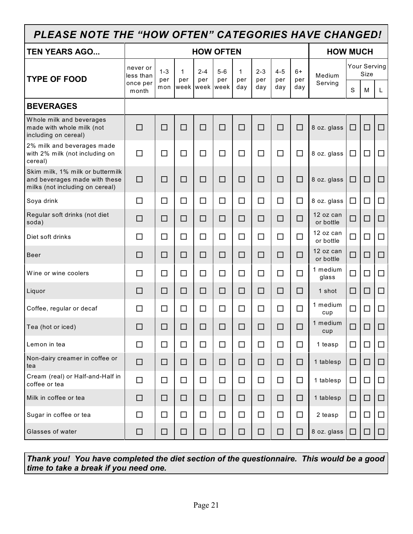| PLEASE NOTE THE "HOW OFTEN" CATEGORIES HAVE CHANGED!                                                 |                       |                |          |                |                  |                    |                |                |             |                        |        |                      |        |
|------------------------------------------------------------------------------------------------------|-----------------------|----------------|----------|----------------|------------------|--------------------|----------------|----------------|-------------|------------------------|--------|----------------------|--------|
| <b>TEN YEARS AGO</b>                                                                                 |                       |                |          |                | <b>HOW OFTEN</b> |                    |                |                |             | <b>HOW MUCH</b>        |        |                      |        |
| <b>TYPE OF FOOD</b>                                                                                  | never or<br>less than | $1 - 3$<br>per | 1<br>per | $2 - 4$<br>per | $5-6$<br>per     | $\mathbf 1$<br>per | $2 - 3$<br>per | $4 - 5$<br>per | $6+$<br>per | Medium                 |        | Your Serving<br>Size |        |
|                                                                                                      | once per<br>month     | mon            |          |                | week week week   | day                | day            | day            | day         | Serving                | S      | M                    | L      |
| <b>BEVERAGES</b>                                                                                     |                       |                |          |                |                  |                    |                |                |             |                        |        |                      |        |
| Whole milk and beverages<br>made with whole milk (not<br>including on cereal)                        | $\Box$                | □              | □        | $\Box$         | $\Box$           | □                  | □              | □              | □           | 8 oz. glass            | □      | $\Box$               | □      |
| 2% milk and beverages made<br>with 2% milk (not including on<br>cereal)                              | $\Box$                | $\Box$         | □        | $\Box$         | $\Box$           | □                  | $\Box$         | □              | $\Box$      | 8 oz. glass            | $\Box$ | $\Box$               | $\Box$ |
| Skim milk, 1% milk or buttermilk<br>and beverages made with these<br>milks (not including on cereal) | $\Box$                | □              | □        | □              | □                | □                  | □              | □              | □           | 8 oz. glass            | □      | $\Box$               | □      |
| Soya drink                                                                                           | $\Box$                | $\Box$         | $\Box$   | $\Box$         | $\Box$           | $\Box$             | $\Box$         | $\Box$         | $\Box$      | 8 oz. glass            | $\Box$ | □                    | $\Box$ |
| Regular soft drinks (not diet<br>soda)                                                               | $\Box$                | □              | □        | □              | □                | □                  | □              | □              | □           | 12 oz can<br>or bottle | $\Box$ | □                    | □      |
| Diet soft drinks                                                                                     | $\Box$                | $\Box$         | $\Box$   | □              | $\Box$           | $\Box$             | $\Box$         | $\Box$         | $\Box$      | 12 oz can<br>or bottle | $\Box$ | $\Box$               | □      |
| <b>Beer</b>                                                                                          | $\Box$                | □              | □        | □              | □                | $\Box$             | □              | □              | □           | 12 oz can<br>or bottle | $\Box$ | □                    | □      |
| Wine or wine coolers                                                                                 | □                     | $\Box$         | $\Box$   | $\Box$         | $\Box$           | □                  | $\Box$         | $\Box$         | $\Box$      | 1 medium<br>glass      | $\Box$ | $\Box$               | $\Box$ |
| Liquor                                                                                               | $\Box$                | □              | □        | □              | □                | □                  | □              | □              | □           | 1 shot                 | □      | $\Box$               | $\Box$ |
| Coffee, regular or decaf                                                                             | □                     | $\Box$         | □        | $\Box$         | □                | $\Box$             | $\Box$         | $\Box$         | П           | 1 medium<br>cup        | □      | □                    | □      |
| Tea (hot or iced)                                                                                    | □                     | $\Box$         | □        | □              | □                | □                  | $\Box$         | □              | $\Box$      | 1 medium<br>cup        | $\Box$ | $\Box$               | □      |
| Lemon in tea                                                                                         | $\Box$                | $\Box$         | $\Box$   | □              | $\Box$           | □                  | □              | $\Box$         | $\Box$      | 1 teasp                | $\Box$ | $\Box$               | $\Box$ |
| Non-dairy creamer in coffee or<br>tea                                                                | $\Box$                | □              | □        | □              | □                | $\Box$             | $\Box$         | $\Box$         | □           | 1 tablesp              | $\Box$ | $\Box$               | □      |
| Cream (real) or Half-and-Half in<br>coffee or tea                                                    | $\Box$                | □              | $\Box$   | $\Box$         | $\Box$           | $\Box$             | $\Box$         | $\Box$         | $\Box$      | 1 tablesp              | $\Box$ | $\Box$               | □      |
| Milk in coffee or tea                                                                                | $\Box$                | $\Box$         | $\Box$   | □              | □                | $\Box$             | $\Box$         | $\Box$         | $\Box$      | 1 tablesp              | $\Box$ | $\Box$               | □      |
| Sugar in coffee or tea                                                                               | $\Box$                | $\Box$         | $\Box$   | □              | $\Box$           | $\Box$             | □              | $\Box$         | $\Box$      | 2 teasp                | □      | $\Box$               | □      |
| Glasses of water                                                                                     | $\Box$                | □              | □        | □              | □                | □                  | $\Box$         | □              | □           | 8 oz. glass            | $\Box$ | □                    | $\Box$ |

*Thank you! You have completed the diet section of the questionnaire. This would be a good time to take a break if you need one.*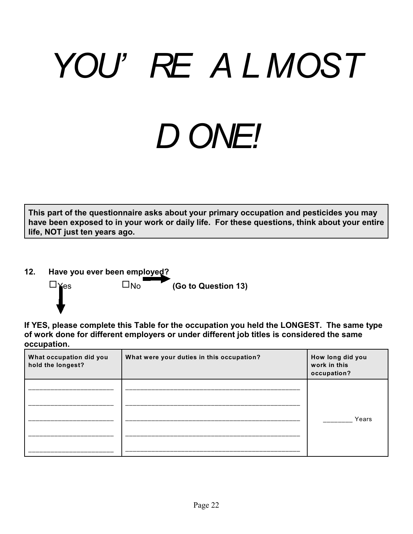# *YOU' RE A L MOST D ONE!*

**This part of the questionnaire asks about your primary occupation and pesticides you may have been exposed to in your work or daily life. For these questions, think about your entire life, NOT just ten years ago.** 

**12. Have you ever been employed?**



**If YES, please complete this Table for the occupation you held the LONGEST. The same type of work done for different employers or under different job titles is considered the same occupation.**

| What occupation did you<br>hold the longest? | What were your duties in this occupation? | How long did you<br>work in this<br>occupation? |
|----------------------------------------------|-------------------------------------------|-------------------------------------------------|
|                                              |                                           |                                                 |
|                                              |                                           | Years                                           |
|                                              |                                           |                                                 |
|                                              |                                           |                                                 |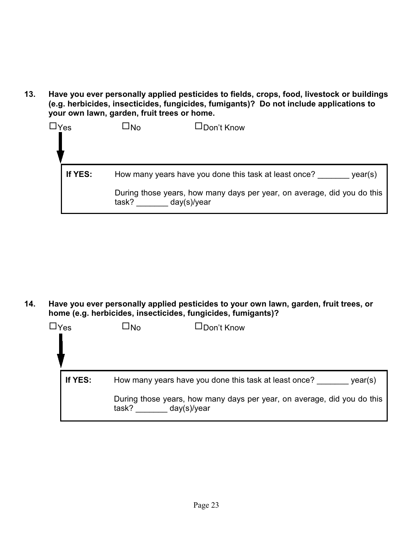**13. Have you ever personally applied pesticides to fields, crops, food, livestock or buildings (e.g. herbicides, insecticides, fungicides, fumigants)? Do not include applications to your own lawn, garden, fruit trees or home.**

| $\Box$ Yes | JNo   | JDon't Know                                                                            |
|------------|-------|----------------------------------------------------------------------------------------|
| If YES:    |       | How many years have you done this task at least once?<br>year(s)                       |
|            | task? | During those years, how many days per year, on average, did you do this<br>day(s)/year |

**14. Have you ever personally applied pesticides to your own lawn, garden, fruit trees, or home (e.g. herbicides, insecticides, fungicides, fumigants)?**

| $\Box$ Yes | JNo                  | $\square$ Don't Know                                                                                                                        |
|------------|----------------------|---------------------------------------------------------------------------------------------------------------------------------------------|
| If YES:    | task?<br>day(s)/year | How many years have you done this task at least once?<br>year(s)<br>During those years, how many days per year, on average, did you do this |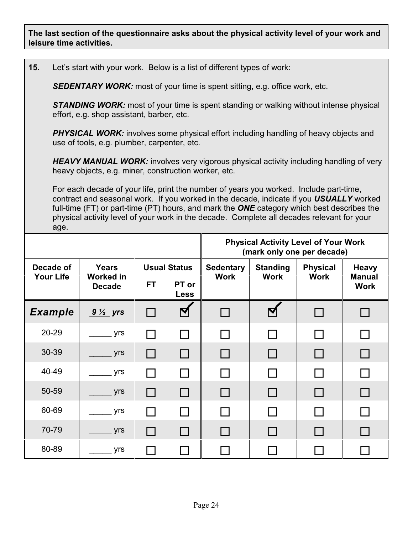**The last section of the questionnaire asks about the physical activity level of your work and leisure time activities.** 

**15.** Let's start with your work. Below is a list of different types of work:

*SEDENTARY WORK:* most of your time is spent sitting, e.g. office work, etc.

**STANDING WORK:** most of your time is spent standing or walking without intense physical effort, e.g. shop assistant, barber, etc.

**PHYSICAL WORK:** involves some physical effort including handling of heavy objects and use of tools, e.g. plumber, carpenter, etc.

**HEAVY MANUAL WORK:** involves very vigorous physical activity including handling of very heavy objects, e.g. miner, construction worker, etc.

For each decade of your life, print the number of years you worked. Include part-time, contract and seasonal work. If you worked in the decade, indicate if you *USUALLY* worked full-time (FT) or part-time (PT) hours, and mark the *ONE* category which best describes the physical activity level of your work in the decade. Complete all decades relevant for your age.

|                               |                                                   |           |                                             | <b>Physical Activity Level of Your Work</b><br>(mark only one per decade) |                                |                                |                                              |  |  |  |  |  |
|-------------------------------|---------------------------------------------------|-----------|---------------------------------------------|---------------------------------------------------------------------------|--------------------------------|--------------------------------|----------------------------------------------|--|--|--|--|--|
| Decade of<br><b>Your Life</b> | <b>Years</b><br><b>Worked in</b><br><b>Decade</b> | <b>FT</b> | <b>Usual Status</b><br>PT or<br><b>Less</b> | <b>Sedentary</b><br><b>Work</b>                                           | <b>Standing</b><br><b>Work</b> | <b>Physical</b><br><b>Work</b> | <b>Heavy</b><br><b>Manual</b><br><b>Work</b> |  |  |  |  |  |
| <b>Example</b>                | $9\frac{1}{2}$ yrs                                | $\Box$    |                                             |                                                                           |                                | $\Box$                         |                                              |  |  |  |  |  |
| 20-29                         | yrs                                               |           |                                             |                                                                           |                                |                                |                                              |  |  |  |  |  |
| 30-39                         | yrs                                               | $\Box$    | $\Box$                                      |                                                                           | $\mathsf{L}$                   | $\overline{\phantom{a}}$       |                                              |  |  |  |  |  |
| 40-49                         | yrs                                               |           |                                             |                                                                           |                                |                                |                                              |  |  |  |  |  |
| 50-59                         | yrs                                               | $\Box$    | $\Box$                                      |                                                                           | $\Box$                         | $\Box$                         |                                              |  |  |  |  |  |
| 60-69                         | yrs                                               |           |                                             |                                                                           |                                |                                |                                              |  |  |  |  |  |
| 70-79                         | yrs                                               | $\Box$    | $\mathsf{L}$                                |                                                                           |                                | $\Box$                         |                                              |  |  |  |  |  |
| 80-89                         | yrs                                               |           |                                             |                                                                           |                                |                                |                                              |  |  |  |  |  |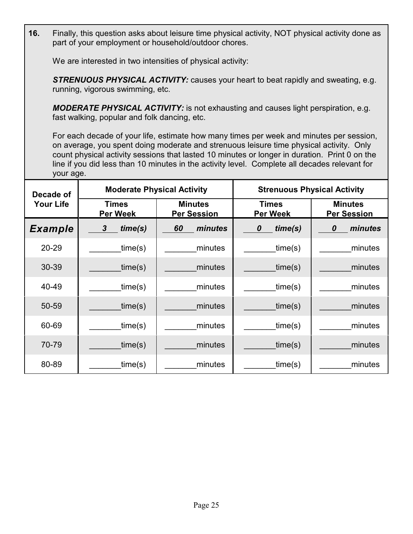**16.** Finally, this question asks about leisure time physical activity, NOT physical activity done as part of your employment or household/outdoor chores.

We are interested in two intensities of physical activity:

*STRENUOUS PHYSICAL ACTIVITY:* causes your heart to beat rapidly and sweating, e.g. running, vigorous swimming, etc.

*MODERATE PHYSICAL ACTIVITY:* is not exhausting and causes light perspiration, e.g. fast walking, popular and folk dancing, etc.

For each decade of your life, estimate how many times per week and minutes per session, on average, you spent doing moderate and strenuous leisure time physical activity. Only count physical activity sessions that lasted 10 minutes or longer in duration. Print 0 on the line if you did less than 10 minutes in the activity level. Complete all decades relevant for your age.

| Decade of        | <b>Moderate Physical Activity</b> |                                      | <b>Strenuous Physical Activity</b> |                                      |  |  |  |
|------------------|-----------------------------------|--------------------------------------|------------------------------------|--------------------------------------|--|--|--|
| <b>Your Life</b> | <b>Times</b><br><b>Per Week</b>   | <b>Minutes</b><br><b>Per Session</b> | <b>Times</b><br><b>Per Week</b>    | <b>Minutes</b><br><b>Per Session</b> |  |  |  |
| <b>Example</b>   | time(s)<br>$\boldsymbol{3}$       | 60<br>minutes                        | time(s)<br>0                       | minutes<br>0                         |  |  |  |
| 20-29            | time(s)                           | minutes                              | time(s)                            | minutes                              |  |  |  |
| 30-39            | time(s)                           | minutes                              | time(s)                            | minutes                              |  |  |  |
| 40-49            | time(s)                           | minutes                              | time(s)                            | minutes                              |  |  |  |
| 50-59            | time(s)                           | minutes                              | time(s)                            | minutes                              |  |  |  |
| 60-69            | time(s)                           | minutes                              | time(s)                            | minutes                              |  |  |  |
| 70-79            | time(s)                           | minutes                              | time(s)                            | minutes                              |  |  |  |
| 80-89            | time(s)                           | minutes                              | time(s)                            | minutes                              |  |  |  |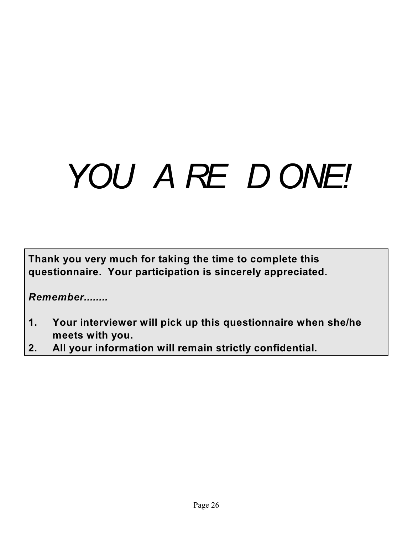## *YOU A RE D ONE!*

**Thank you very much for taking the time to complete this questionnaire. Your participation is sincerely appreciated.** 

*Remember........*

- **1. Your interviewer will pick up this questionnaire when she/he meets with you.**
- **2. All your information will remain strictly confidential.**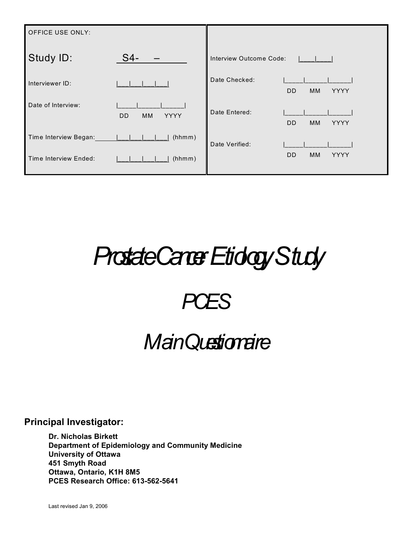| <b>OFFICE USE ONLY:</b> |                                     |                                          |
|-------------------------|-------------------------------------|------------------------------------------|
| Study ID:               | $S4-$                               | Interview Outcome Code:                  |
| Interviewer ID:         |                                     | Date Checked:<br>DD<br>MM<br><b>YYYY</b> |
| Date of Interview:      | <b>YYYY</b><br>D <sub>D</sub><br>МM | Date Entered:<br>YYYY<br><b>DD</b><br>MM |
| Time Interview Began:   | (hhmm)                              | Date Verified:                           |
| Time Interview Ended:   | (hhmm)                              | <b>DD</b><br>MM<br><b>YYYY</b>           |

## *Prostate Cancer Etiology Study*



### Main Questionaire

#### **Principal Investigator:**

**Dr. Nicholas Birkett Department of Epidemiology and Community Medicine University of Ottawa 451 Smyth Road Ottawa, Ontario, K1H 8M5 PCES Research Office: 613-562-5641**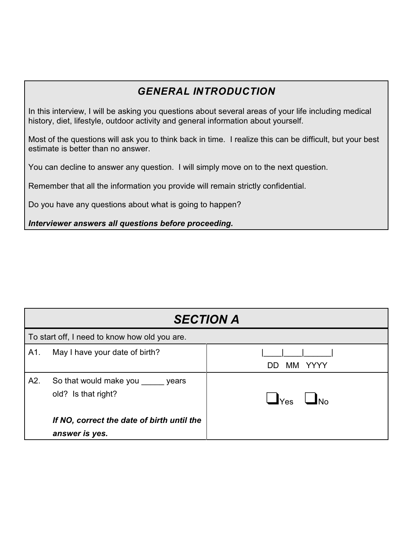#### *GENERAL INTRODUCTION*

In this interview, I will be asking you questions about several areas of your life including medical history, diet, lifestyle, outdoor activity and general information about yourself.

Most of the questions will ask you to think back in time. I realize this can be difficult, but your best estimate is better than no answer.

You can decline to answer any question. I will simply move on to the next question.

Remember that all the information you provide will remain strictly confidential.

Do you have any questions about what is going to happen?

*Interviewer answers all questions before proceeding.*

|     | <b>SECTION A</b>                                             |                             |  |  |  |  |  |
|-----|--------------------------------------------------------------|-----------------------------|--|--|--|--|--|
|     | To start off, I need to know how old you are.                |                             |  |  |  |  |  |
| A1. | May I have your date of birth?                               | MM YYYY<br>DD               |  |  |  |  |  |
| A2. | So that would make you years<br>old? Is that right?          | $\mathsf{L}_{\mathsf{Yes}}$ |  |  |  |  |  |
|     | If NO, correct the date of birth until the<br>answer is yes. |                             |  |  |  |  |  |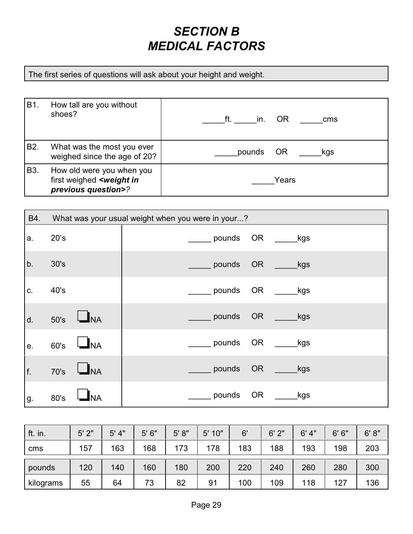#### *SECTION B MEDICAL FACTORS*

The first series of questions will ask about your height and weight.

| B1.              | How tall are you without<br>shoes?                                                          | ft.<br><b>OR</b><br>in.<br>cms |
|------------------|---------------------------------------------------------------------------------------------|--------------------------------|
| B <sub>2</sub> . | What was the most you ever<br>weighed since the age of 20?                                  | <b>OR</b><br>pounds<br>kgs     |
| B <sub>3</sub> . | How old were you when you<br>first weighed <weight in<br="">previous question&gt;?</weight> | Years                          |

| B4. | What was your usual weight when you were in your? |                            |  |  |  |  |  |  |  |
|-----|---------------------------------------------------|----------------------------|--|--|--|--|--|--|--|
| a.  | 20's                                              | pounds OR<br>_kgs          |  |  |  |  |  |  |  |
| b.  | 30's                                              | <b>OR</b><br>pounds<br>kgs |  |  |  |  |  |  |  |
| C.  | 40's                                              | pounds<br>OR.<br>_kgs      |  |  |  |  |  |  |  |
| d.  | $\mathbf{I}_{\mathsf{NA}}$<br>50's                | pounds<br><b>OR</b><br>kgs |  |  |  |  |  |  |  |
| е.  | JNA<br>60's                                       | pounds<br>ORNO<br>_kgs     |  |  |  |  |  |  |  |
| f.  | <b>NA</b><br>70's                                 | pounds<br>OR<br>kgs        |  |  |  |  |  |  |  |
| g.  | 80's                                              | pounds<br><b>OR</b><br>kgs |  |  |  |  |  |  |  |

| ft. in.   | 5'2" | 5' 4" | 5'6'' | 5' 8'' | 5' 10" | 6'  | 6'2" | 6' 4" | 6'6'' | 6' 8'' |
|-----------|------|-------|-------|--------|--------|-----|------|-------|-------|--------|
| cms       | 157  | 163   | 168   | 173    | 178    | 183 | 188  | 193   | 198   | 203    |
| pounds    | 120  | 140   | 160   | 180    | 200    | 220 | 240  | 260   | 280   | 300    |
| kilograms | 55   | 64    | 73    | 82     | 91     | 100 | 109  | 118   | 127   | 136    |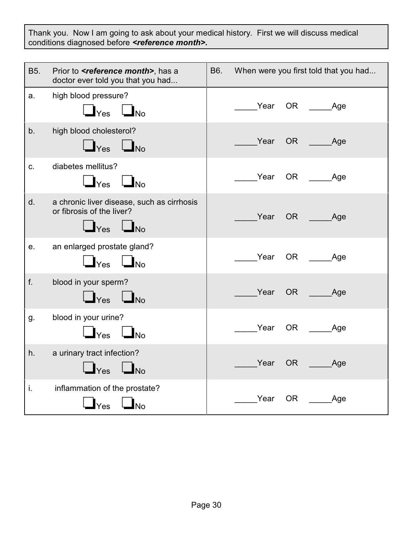Thank you. Now I am going to ask about your medical history. First we will discuss medical conditions diagnosed before *<reference month>***.**

| B5. | Prior to <b><i>sreference month</i></b> , has a<br>doctor ever told you that you had            | B6. |      |           | When were you first told that you had                                                                                                                                                                                                  |
|-----|-------------------------------------------------------------------------------------------------|-----|------|-----------|----------------------------------------------------------------------------------------------------------------------------------------------------------------------------------------------------------------------------------------|
| a.  | high blood pressure?<br>$\mathbf{I}_{\text{Yes}}$ $\mathbf{I}_{\text{No}}$                      |     | Year |           | OR <b>Samuel</b><br><b>Age</b>                                                                                                                                                                                                         |
| b.  | high blood cholesterol?<br>$\Box$ Yes $\Box$ No                                                 |     | Year | OR        | <b>Age</b>                                                                                                                                                                                                                             |
| C.  | diabetes mellitus?<br>$\Box$ Yes $\Box$ No                                                      |     | Year | OR        | Age                                                                                                                                                                                                                                    |
| d.  | a chronic liver disease, such as cirrhosis<br>or fibrosis of the liver?<br>$\Box$ Yes $\Box$ No |     | Year |           | OR the control of the control of the control of the control of the control of the control of the control of the control of the control of the control of the control of the control of the control of the control of the contr<br>_Age |
| е.  | an enlarged prostate gland?<br>$\Box$ Yes $\Box$ No                                             |     | Year |           | OR<br>_Age                                                                                                                                                                                                                             |
| f.  | blood in your sperm?<br>$\Box$ Yes $\Box$ No                                                    |     | Year | OR N      | Age                                                                                                                                                                                                                                    |
| g.  | blood in your urine?<br>$\Box$ $\mathsf{Yes}$ $\Box$ $\mathsf{No}$                              |     | Year | <b>OR</b> | <b>Age</b>                                                                                                                                                                                                                             |
| h.  | a urinary tract infection?<br>$\Box$ No<br>Yes                                                  |     | Year | OR        | _Age                                                                                                                                                                                                                                   |
| j.  | inflammation of the prostate?<br>$\blacksquare$ No<br>$ Y_{\mathsf{es}} $                       |     | Year | OR        | _Age                                                                                                                                                                                                                                   |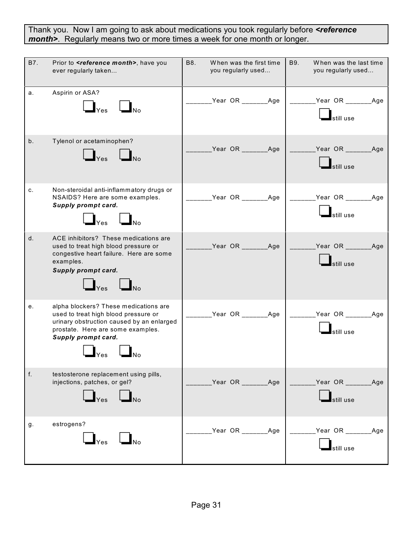Thank you. Now I am going to ask about medications you took regularly before *<reference month>*. Regularly means two or more times a week for one month or longer.

| B7.            | Prior to <b><reference month=""></reference></b> , have you<br>ever regularly taken                                                                                                                          | <b>B8.</b><br>When was the first time<br>you regularly used | <b>B9.</b><br>When was the last time<br>you regularly used                                 |
|----------------|--------------------------------------------------------------------------------------------------------------------------------------------------------------------------------------------------------------|-------------------------------------------------------------|--------------------------------------------------------------------------------------------|
| а.             | Aspirin or ASA?<br>$\Box_{\text{Yes}}$ $\Box_{\text{No}}$                                                                                                                                                    |                                                             | ______Year OR _______Age   _______Year OR _______Age<br>$\overline{\phantom{a}}$ still use |
| b <sub>1</sub> | Tylenol or acetaminophen?<br>$\Box_{\text{Yes}}$ $\Box_{\text{No}}$                                                                                                                                          |                                                             | _____Year OR _______Age   _______Year OR _______Age<br>still use                           |
| c.             | Non-steroidal anti-inflammatory drugs or<br>NSAIDS? Here are some examples.<br>Supply prompt card.<br>$\Box_{\mathsf{Yes}}$ $\Box_{\mathsf{No}}$                                                             |                                                             | _____Year OR _______Age   _______Year OR _______Age<br><u>l</u><br>still use               |
| d.             | ACE inhibitors? These medications are<br>used to treat high blood pressure or<br>congestive heart failure. Here are some<br>examples.<br>Supply prompt card.<br>$\Box$ $_{\text{Yes}}$ $\Box$ $_{\text{No}}$ | __Year OR ________Age                                       | _______Year OR ________Age<br>still use                                                    |
| е.             | alpha blockers? These medications are<br>used to treat high blood pressure or<br>urinary obstruction caused by an enlarged<br>prostate. Here are some examples.<br>Supply prompt card.<br>lNo                | _______Year OR ________Age   _______Year OR _______Age      | $\blacksquare$ still use                                                                   |
| f.             | testosterone replacement using pills,<br>injections, patches, or gel?<br>$\Box_{\text{Yes}}$ $\Box_{\text{No}}$                                                                                              | Year OR ________ Age                                        | Year OR _______ Age<br>still use                                                           |
| g.             | estrogens?<br>$\mathbf{I}_{\text{Yes}}$<br>$\mathbf{I}_{\text{No}}$                                                                                                                                          | Year OR ________ Age                                        | Year OR _______ Age<br>still use                                                           |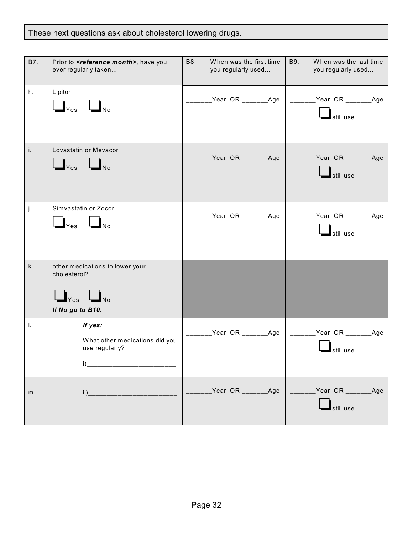#### These next questions ask about cholesterol lowering drugs.

| B7. | Prior to <b><reference< b=""> month&gt;, have you<br/>ever regularly taken</reference<></b>                               | B8.<br>When was the first time<br>you regularly used | B9.<br>When was the last time<br>you regularly used    |
|-----|---------------------------------------------------------------------------------------------------------------------------|------------------------------------------------------|--------------------------------------------------------|
| h.  | Lipitor<br>$\blacksquare$ Yes<br>$\Box$ No                                                                                | _______Year OR ________Age                           | ________Year OR ________Age<br>still use               |
| i.  | Lovastatin or Mevacor<br>$\Box_{\text{Yes}}$ $\Box_{\text{No}}$                                                           | _Year OR _______Age                                  | Year OR _________Age<br>still use                      |
| j.  | Simvastatin or Zocor<br>$\Box_{\text{Yes}}$ $\Box_{\text{No}}$                                                            | _Year OR _______Age                                  | _______Year OR ________Age<br>$\blacksquare$ still use |
| k.  | other medications to lower your<br>cholesterol?<br>$\bigsqcup_{\mathsf{Yes}} \bigsqcup_{\mathsf{No}}$<br>If No go to B10. |                                                      |                                                        |
| I.  | If yes:<br>What other medications did you<br>use regularly?<br>i)                                                         | _Year OR _______Age                                  | Year OR Age<br>still use                               |
| m.  |                                                                                                                           | Year OR ________Age                                  | Year OR ________Age<br>still use                       |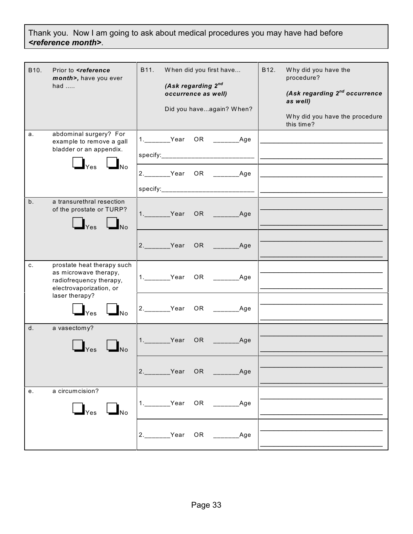Thank you. Now I am going to ask about medical procedures you may have had before *<reference month>*.

| B <sub>10</sub> . | Prior to <reference<br>month&gt;, have you ever<br/>had <math>\dots</math></reference<br>                                   | B11.<br>When did you first have<br>(Ask regarding 2nd<br>occurrence as well)<br>Did you haveagain? When? | B12.<br>Why did you have the<br>procedure?<br>(Ask regarding 2 <sup>nd</sup> occurrence<br>as well)<br>Why did you have the procedure<br>this time? |
|-------------------|-----------------------------------------------------------------------------------------------------------------------------|----------------------------------------------------------------------------------------------------------|-----------------------------------------------------------------------------------------------------------------------------------------------------|
| a.                | abdominal surgery? For<br>example to remove a gall<br>bladder or an appendix.<br>$\Box_{\mathsf{Yes}}$ $\Box_{\mathsf{No}}$ | 1. __________Year OR ________________Age                                                                 |                                                                                                                                                     |
|                   |                                                                                                                             | 2. Year OR ________Age                                                                                   |                                                                                                                                                     |
| b.                | a transurethral resection<br>of the prostate or TURP?<br>$\bigsqcup_{\mathsf{Yes}} \bigsqcup_{\mathsf{No}}$                 |                                                                                                          |                                                                                                                                                     |
|                   |                                                                                                                             | 2. Year OR Age                                                                                           |                                                                                                                                                     |
| C.                | prostate heat therapy such<br>as microwave therapy,<br>radiofrequency therapy,<br>electrovaporization, or                   | 1. Year OR ________Age                                                                                   |                                                                                                                                                     |
|                   | laser therapy?<br>$\Box_{\text{Yes}}$ $\Box_{\text{No}}$                                                                    | $\overline{\phantom{a}}$ Age                                                                             |                                                                                                                                                     |
| d.                | a vasectomy?                                                                                                                | 1.________Year OR ________Age                                                                            |                                                                                                                                                     |
|                   |                                                                                                                             | OR Age                                                                                                   |                                                                                                                                                     |
| е.                | a circumcision?<br>$\Box_{\text{Yes}}$ $\Box_{\text{No}}$                                                                   | 1. Year                                                                                                  |                                                                                                                                                     |
|                   |                                                                                                                             | OR ______<br>2.________Year<br>$\overline{\phantom{a}}$ Age                                              |                                                                                                                                                     |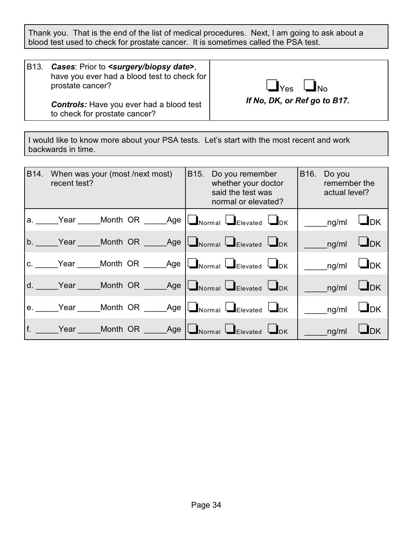Thank you. That is the end of the list of medical procedures. Next, I am going to ask about a blood test used to check for prostate cancer. It is sometimes called the PSA test.

B13*. Cases*: Prior to *<surgery/biopsy date***>**, have you ever had a blood test to check for prostate cancer?

 $\Box$ Yes  $\Box$ No

*Controls:* Have you ever had a blood test to check for prostate cancer?

*If No, DK, or Ref go to B17.* 

I would like to know more about your PSA tests. Let's start with the most recent and work backwards in time.

| B14. When was your (most /next most)<br>recent test? |  |  | B15. Do you remember<br>whether your doctor<br>said the test was<br>normal or elevated? |  |                                                                                                                           | B16. Do you<br>remember the<br>actual level? |                                                            |           |
|------------------------------------------------------|--|--|-----------------------------------------------------------------------------------------|--|---------------------------------------------------------------------------------------------------------------------------|----------------------------------------------|------------------------------------------------------------|-----------|
|                                                      |  |  |                                                                                         |  | a. Year _____Month OR _____Age   Normal LElevated LDK                                                                     |                                              | $\overline{\phantom{a}}$ ng/ml $\overline{\phantom{a}}$ DK |           |
|                                                      |  |  |                                                                                         |  | b. Year Month OR $\Box$ Age $\Box$ Normal $\Box$ Elevated $\Box$ DK                                                       |                                              | ng/ml                                                      | $L_{DK}$  |
|                                                      |  |  |                                                                                         |  | c. Vear _____Month OR _____Age $\Box$ Normal $\Box$ Elevated $\Box$ DK                                                    |                                              | ng/ml                                                      | $\Box$ DK |
|                                                      |  |  |                                                                                         |  | d. Year _____Month OR _____Age $\lfloor \blacksquare_{\text{Normal}} \lfloor \blacksquare_{\text{Elevated}} \rfloor$      |                                              | ng/ml                                                      | $L_{DK}$  |
|                                                      |  |  |                                                                                         |  | e. Year Month OR _____Age   Normal DElevated DDK                                                                          |                                              | ng/ml                                                      | $\Box$ DK |
|                                                      |  |  |                                                                                         |  | f. _____Year _____Month OR _____Age $\lfloor \blacksquare_{\text{Normal}} \lfloor \blacksquare_{\text{Elevated}} \rfloor$ |                                              | ng/ml                                                      | <b>DK</b> |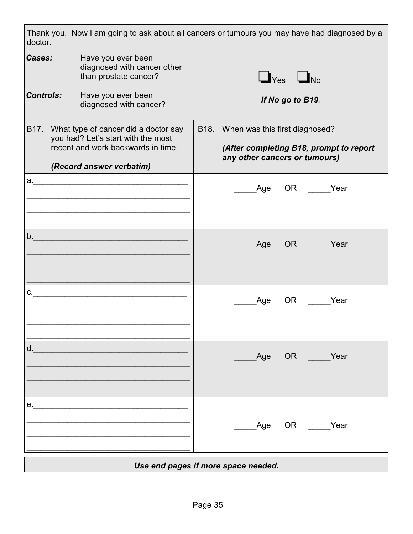| doctor.                                                                                                         | Thank you. Now I am going to ask about all cancers or tumours you may have had diagnosed by a                        |                                                                          |                                     |                      |             |  |  |
|-----------------------------------------------------------------------------------------------------------------|----------------------------------------------------------------------------------------------------------------------|--------------------------------------------------------------------------|-------------------------------------|----------------------|-------------|--|--|
| Cases:                                                                                                          | Have you ever been<br>diagnosed with cancer other<br>than prostate cancer?                                           |                                                                          |                                     | $\Box$ Yes $\Box$ No |             |  |  |
| <b>Controls:</b><br>Have you ever been<br>diagnosed with cancer?                                                |                                                                                                                      |                                                                          |                                     | If No go to B19.     |             |  |  |
|                                                                                                                 | B17. What type of cancer did a doctor say<br>you had? Let's start with the most                                      |                                                                          | B18. When was this first diagnosed? |                      |             |  |  |
|                                                                                                                 | recent and work backwards in time.                                                                                   | (After completing B18, prompt to report<br>any other cancers or tumours) |                                     |                      |             |  |  |
|                                                                                                                 | (Record answer verbatim)                                                                                             |                                                                          |                                     |                      |             |  |  |
| а.                                                                                                              | <u> 2001 - Januar Alexandria, mandatar personal di sebagai personal di sebagai personal di sebagai personal di s</u> |                                                                          | Age                                 |                      | OR Year     |  |  |
|                                                                                                                 |                                                                                                                      |                                                                          |                                     |                      |             |  |  |
| b.                                                                                                              | <u> 1989 - Johann Barbara, martxa alemaniar a</u>                                                                    |                                                                          | Age                                 |                      | OR Year     |  |  |
| C.                                                                                                              | <u> 1990 - Johann Barbara, martin d</u>                                                                              |                                                                          | Age                                 | OR                   | Year        |  |  |
| d. All and the state of the state of the state of the state of the state of the state of the state of the state |                                                                                                                      |                                                                          |                                     |                      |             |  |  |
|                                                                                                                 |                                                                                                                      |                                                                          |                                     |                      | Age OR Year |  |  |
| e.                                                                                                              |                                                                                                                      |                                                                          |                                     |                      | Age OR Year |  |  |
| Use end pages if more space needed.                                                                             |                                                                                                                      |                                                                          |                                     |                      |             |  |  |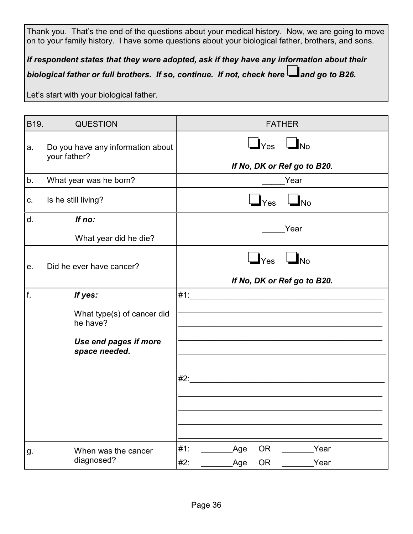Thank you. That's the end of the questions about your medical history. Now, we are going to move on to your family history. I have some questions about your biological father, brothers, and sons.

*If respondent states that they were adopted, ask if they have any information about their biological father or full brothers. If so, continue. If not, check here and go to B26.* 

Let's start with your biological father.

| B <sub>19</sub> . | <b>QUESTION</b>                                                                  | <b>FATHER</b>                                                                                                                |
|-------------------|----------------------------------------------------------------------------------|------------------------------------------------------------------------------------------------------------------------------|
| a.                | Do you have any information about<br>your father?                                | $\bigcup_{\text{Yes}}$ $\bigcup_{\text{No}}$<br>If No, DK or Ref go to B20.                                                  |
| b.                | What year was he born?                                                           | Year                                                                                                                         |
| C.                | Is he still living?                                                              | $\Box_{\mathsf{No}}$<br>$\mathbf{I}_{\text{Yes}}$                                                                            |
| d.                | If no:                                                                           |                                                                                                                              |
|                   | What year did he die?                                                            | Year                                                                                                                         |
| e.                | Did he ever have cancer?                                                         | $\Box_{\rm No}$<br>$\Box$ Yes<br>If No, DK or Ref go to B20.                                                                 |
| f.                | If yes:                                                                          | #1:<br><u> 2001 - Jan James James James James James James James James James James James James James James James James Ja</u> |
|                   | What type(s) of cancer did<br>he have?<br>Use end pages if more<br>space needed. |                                                                                                                              |
|                   |                                                                                  | #2:                                                                                                                          |
| g.                | When was the cancer<br>diagnosed?                                                | #1:<br><b>OR</b><br>Year<br>Age<br>OR<br>Year<br>#2:<br>Age                                                                  |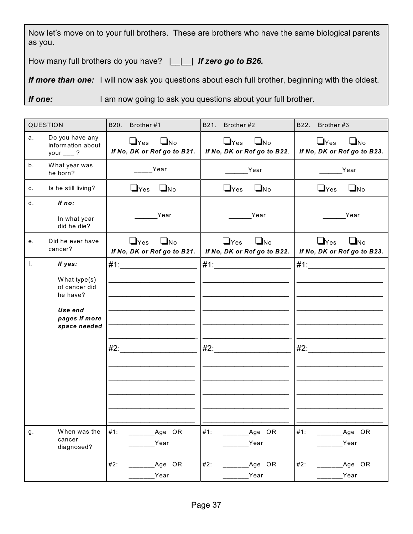Now let's move on to your full brothers. These are brothers who have the same biological parents as you.

How many full brothers do you have?  $\Box$  **If zero go to B26.** 

*If more than one:* I will now ask you questions about each full brother, beginning with the oldest.

**If one:** I am now going to ask you questions about your full brother.

| QUESTION |                                                                                                  | B20.<br>Brother #1                                                | B21.<br>Brother #2                                              | B22.<br>Brother #3                                     |  |
|----------|--------------------------------------------------------------------------------------------------|-------------------------------------------------------------------|-----------------------------------------------------------------|--------------------------------------------------------|--|
| a.       | Do you have any<br>information about<br>your $\frac{1}{2}$ ?                                     | $\Box$ Yes<br>$\Box_{\text{No}}$<br>If No, DK or Ref go to B21.   | $\Box$ Yes<br>$\Box$ No<br>If No, DK or Ref go to B22.          | $\Box$ Yes<br>$\Box$ No<br>If No, DK or Ref go to B23. |  |
| b.       | What year was<br>he born?                                                                        | Year                                                              | Year                                                            | Year                                                   |  |
| c.       | Is he still living?                                                                              | $\Box$ Yes<br>$\Box$ No                                           | $\Box$ Yes<br>$\Box$ No                                         | $\Box$ Yes<br>$\Box$ No                                |  |
| $d_{-}$  | If no:<br>In what year<br>did he die?                                                            | Year                                                              | Year                                                            | Year                                                   |  |
| e.       | Did he ever have<br>cancer?                                                                      | $\sqcup$ Yes<br>$\Box_{\text{No}}$<br>If No, DK or Ref go to B21. | $\Box$ Yes<br>$\Box_{\text{No}}$<br>If No, DK or Ref go to B22. | $\Box$ Yes<br>$\Box$ No<br>If No, DK or Ref go to B23. |  |
| f.       | If yes:<br>What type(s)<br>of cancer did<br>he have?<br>Use end<br>pages if more<br>space needed | #2:                                                               |                                                                 | $#1$ :<br>#2:                                          |  |
| g.       | When was the<br>cancer<br>diagnosed?                                                             | #1:<br>Age OR<br>Year<br>#2:<br>Age OR<br>Year                    | #1:<br>Age OR<br>Year<br>#2:<br>Age OR<br>Year                  | #1:<br>Age OR<br>Year<br>#2:<br>Age OR<br>Year         |  |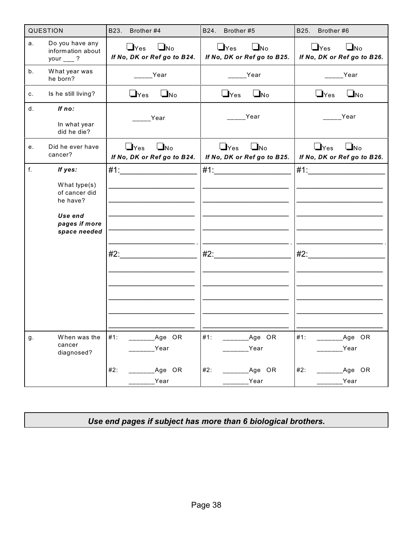|    | QUESTION                                                                                         | B23.<br>Brother #4                                     | B24.<br>Brother #5                                              | B25.<br>Brother #6                                                 |
|----|--------------------------------------------------------------------------------------------------|--------------------------------------------------------|-----------------------------------------------------------------|--------------------------------------------------------------------|
| a. | Do you have any<br>information about<br>your $\frac{ }{ }$ ?                                     | $\Box$ Yes<br>$\Box$ No<br>If No, DK or Ref go to B24. | $\Box$ No<br>$\Box$ Yes<br>If No, DK or Ref go to B25.          | $\Box$ Yes<br>$\Box$ No<br>If No, DK or Ref go to B26.             |
| b. | What year was<br>he born?                                                                        | Year                                                   | Year                                                            | Year                                                               |
| c. | Is he still living?                                                                              | $\Box$ Yes<br>$\Box_{\text{No}}$                       | $\Box$ No<br>$\Box$ Yes                                         | $\Box_{\text{No}}$<br>$\bigcup$ Yes                                |
| d. | If no:<br>In what year<br>did he die?                                                            | Year                                                   | Year                                                            | Year                                                               |
| е. | Did he ever have<br>cancer?                                                                      | $\Box$ Yes<br>$\Box$ No<br>If No, DK or Ref go to B24. | $\Box_{\text{No}}$<br>$\Box$ Yes<br>If No, DK or Ref go to B25. | $\Box$ Yes<br>$\square_{\text{No}}$<br>If No, DK or Ref go to B26. |
| f. | If yes:<br>What type(s)<br>of cancer did<br>he have?<br>Use end<br>pages if more<br>space needed |                                                        | #1:                                                             |                                                                    |
| g. | When was the<br>cancer<br>diagnosed?                                                             | #1:<br>Age OR<br>Year<br>#2:<br>Age OR<br>Year         | #1:<br>Age OR<br>Year<br>#2:<br>Age OR<br>Year                  | #1:<br>Age OR<br>Year<br>#2:<br>Age OR<br>Year                     |

*Use end pages if subject has more than 6 biological brothers.*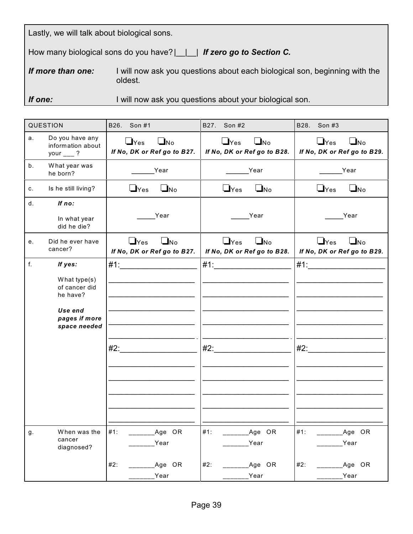|  |  | Lastly, we will talk about biological sons. |  |
|--|--|---------------------------------------------|--|
|  |  |                                             |  |

How many biological sons do you have? | | | | **If zero go to Section C.** 

**If more than one:** I will now ask you questions about each biological son, beginning with the oldest.

**If one:** I will now ask you questions about your biological son.

|    | QUESTION                                                     | B26. Son #1                                                     | B27.<br>Son #2                                                  | B28. Son #3                                                     |
|----|--------------------------------------------------------------|-----------------------------------------------------------------|-----------------------------------------------------------------|-----------------------------------------------------------------|
| a. | Do you have any<br>information about<br>your $\frac{ }{ }$ ? | $\Box_{\text{No}}$<br>$\Box$ Yes<br>If No, DK or Ref go to B27. | $\Box_{\text{No}}$<br>$\Box$ Yes<br>If No, DK or Ref go to B28. | $\Box$ Yes<br>$\Box_{\text{No}}$<br>If No, DK or Ref go to B29. |
| b. | What year was<br>he born?                                    | Year                                                            | Year                                                            | Year                                                            |
| c. | Is he still living?                                          | $\Box$ Yes<br>$\Box$ No                                         | $\Box$ Yes<br>$\Box$ No                                         | $\Box$ Yes<br>$\Box$ No                                         |
| d. | If no:                                                       |                                                                 |                                                                 |                                                                 |
|    | In what year<br>did he die?                                  | Year                                                            | Year                                                            | Year                                                            |
| е. | Did he ever have<br>cancer?                                  | $\Box$ Yes<br>$\Box$ No<br>If No, DK or Ref go to B27.          | $\Box$ Yes<br>$\Box_{\text{No}}$<br>If No, DK or Ref go to B28. | $\Box$ Yes<br>$\Box$ No<br>If No, DK or Ref go to B29.          |
| f. | If yes:                                                      | $\#1$ :                                                         | #1:                                                             | $#1$ :                                                          |
|    | What type(s)<br>of cancer did<br>he have?                    |                                                                 |                                                                 |                                                                 |
|    | Use end<br>pages if more<br>space needed                     |                                                                 |                                                                 |                                                                 |
|    |                                                              | #2:                                                             | #2:                                                             | #2:                                                             |
|    |                                                              |                                                                 |                                                                 |                                                                 |
|    |                                                              |                                                                 |                                                                 |                                                                 |
| g. | When was the<br>cancer<br>diagnosed?                         | #1:<br>Age OR<br>Year                                           | #1:<br>Age OR<br>Year                                           | $#1$ :<br>Age OR<br>Year                                        |
|    |                                                              | #2:<br>Age OR<br>Year                                           | #2:<br>Age OR<br>Year                                           | #2:<br>Age OR<br>Year                                           |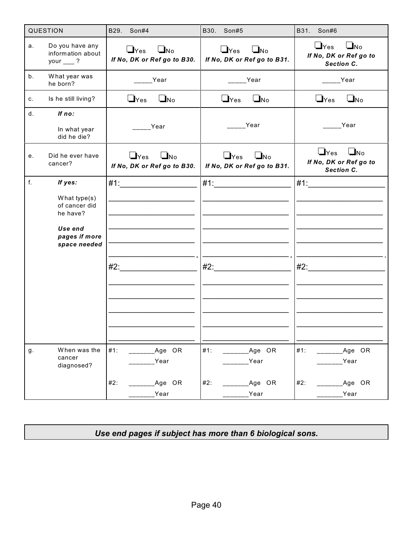|    | QUESTION                                                                                         | B29.<br>Son#4                                                   | B30.<br>Son#5                                                   | B31.<br>Son#6                                                            |
|----|--------------------------------------------------------------------------------------------------|-----------------------------------------------------------------|-----------------------------------------------------------------|--------------------------------------------------------------------------|
| a. | Do you have any<br>information about<br>your $\frac{ }{ }$ ?                                     | $\Box$ Yes<br>$\Box$ No<br>If No, DK or Ref go to B30.          | $\Box$ Yes<br>$\Box_{\text{No}}$<br>If No, DK or Ref go to B31. | $\Box$ Yes<br>$\Box_{\text{No}}$<br>If No, DK or Ref go to<br>Section C. |
| b. | What year was<br>he born?                                                                        | Year                                                            | Year                                                            | Year                                                                     |
| c. | Is he still living?                                                                              | $\Box$ No<br>$\mathsf{\mathsf{L}}$ Yes                          | $\Box$ Yes<br>$\Box$ No                                         | $\Box$ Yes<br>$\Box_{\text{No}}$                                         |
| d. | If no:                                                                                           | Year                                                            | <b>Proper</b> Year                                              | Year                                                                     |
|    | In what year<br>did he die?                                                                      |                                                                 |                                                                 |                                                                          |
| е. | Did he ever have<br>cancer?                                                                      | $\Box$ Yes<br>$\square_{\sf No}$<br>If No, DK or Ref go to B30. | $\Box$ Yes<br>$\blacksquare$ No<br>If No, DK or Ref go to B31.  | $\bigcup$ Yes<br>$\Box$ No<br>If No, DK or Ref go to<br>Section C.       |
| f. | If yes:<br>What type(s)<br>of cancer did<br>he have?<br>Use end<br>pages if more<br>space needed | $#2$ :                                                          |                                                                 | #2:                                                                      |
| g. | When was the<br>cancer<br>diagnosed?                                                             | #1:<br>Age OR<br>Year                                           | #1:<br>Age OR<br>Year                                           | #1:<br>Age OR<br>Year                                                    |
|    |                                                                                                  | #2:<br>Age OR<br>Year                                           | #2:<br>Age OR<br>Year                                           | #2:<br>Age OR<br>Year                                                    |

*Use end pages if subject has more than 6 biological sons.*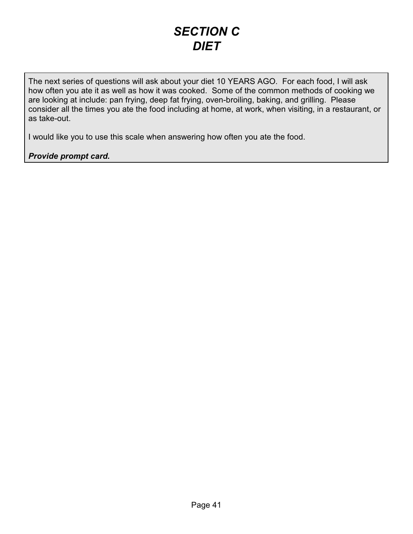#### *SECTION C DIET*

The next series of questions will ask about your diet 10 YEARS AGO. For each food, I will ask how often you ate it as well as how it was cooked. Some of the common methods of cooking we are looking at include: pan frying, deep fat frying, oven-broiling, baking, and grilling. Please consider all the times you ate the food including at home, at work, when visiting, in a restaurant, or as take-out.

I would like you to use this scale when answering how often you ate the food.

#### *Provide prompt card.*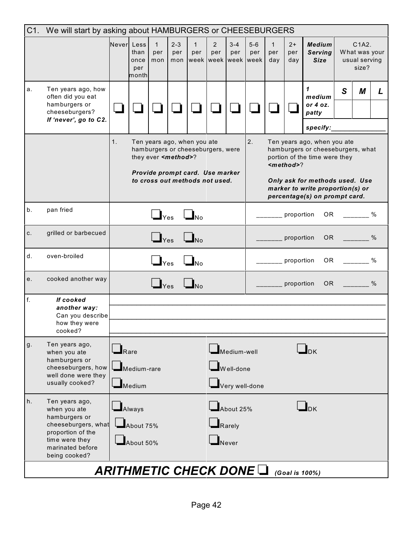| C1. | We will start by asking about HAMBURGERS or CHEESEBURGERS<br>Never Less                                                                            |             |                                         |                            |                              |                             |                                                                                                        |                                  |                |                            |                            |                                                                                                                                                                                                                      |   |                                                  |               |
|-----|----------------------------------------------------------------------------------------------------------------------------------------------------|-------------|-----------------------------------------|----------------------------|------------------------------|-----------------------------|--------------------------------------------------------------------------------------------------------|----------------------------------|----------------|----------------------------|----------------------------|----------------------------------------------------------------------------------------------------------------------------------------------------------------------------------------------------------------------|---|--------------------------------------------------|---------------|
|     |                                                                                                                                                    |             | than<br>once<br>per<br>month            | $\mathbf{1}$<br>per<br>mon | $2 - 3$<br>per<br>mon        | $\mathbf{1}$<br>per<br>week | 2<br>per                                                                                               | $3 - 4$<br>per<br>week week week | $5-6$<br>per   | $\mathbf{1}$<br>per<br>day | $2+$<br>per<br>day         | <b>Medium</b><br><b>Serving</b><br><b>Size</b>                                                                                                                                                                       |   | C1A2.<br>What was your<br>usual serving<br>size? |               |
| a.  | Ten years ago, how<br>often did you eat<br>hamburgers or                                                                                           |             |                                         |                            |                              |                             |                                                                                                        |                                  |                |                            |                            | 1<br>medium<br>or $4$ oz.                                                                                                                                                                                            | S | M                                                | L             |
|     | cheeseburgers?<br>If 'never', go to C2.                                                                                                            |             |                                         |                            |                              |                             |                                                                                                        |                                  |                |                            |                            | patty                                                                                                                                                                                                                |   |                                                  |               |
|     |                                                                                                                                                    | 1.          |                                         |                            | they ever <method>?</method> | Ten years ago, when you ate | hamburgers or cheeseburgers, were<br>Provide prompt card. Use marker<br>to cross out methods not used. |                                  | 2.             |                            | <method>?</method>         | specify:<br>Ten years ago, when you ate<br>hamburgers or cheeseburgers, what<br>portion of the time were they<br>Only ask for methods used. Use<br>marker to write proportion(s) or<br>percentage(s) on prompt card. |   |                                                  |               |
| b.  | pan fried                                                                                                                                          |             |                                         | $\Box$ Yes                 |                              | $\Box_{\text{No}}$          |                                                                                                        |                                  |                |                            | proportion                 | OR                                                                                                                                                                                                                   |   |                                                  | %             |
| C.  | grilled or barbecued                                                                                                                               |             |                                         | $\Box$ Yes                 |                              | $\Box_{\text{No}}$          |                                                                                                        |                                  |                |                            | proportion                 | <b>OR</b>                                                                                                                                                                                                            |   |                                                  | $\frac{0}{0}$ |
| d.  | oven-broiled                                                                                                                                       |             |                                         | $\Box$ Yes                 |                              | $\mathbf{I}_{\sf No}$       |                                                                                                        |                                  |                |                            | proportion                 | OR.                                                                                                                                                                                                                  |   |                                                  | $\%$          |
| е.  | cooked another way                                                                                                                                 |             |                                         | $\mathbf{I}_{\text{Yes}}$  |                              | $\Box$ No                   |                                                                                                        |                                  |                |                            | proportion                 | <b>OR</b>                                                                                                                                                                                                            |   |                                                  | %             |
| f.  | If cooked<br>another way:<br>Can you describe<br>how they were<br>cooked?                                                                          |             |                                         |                            |                              |                             |                                                                                                        |                                  |                |                            |                            |                                                                                                                                                                                                                      |   |                                                  |               |
| g.  | Ten years ago,<br>when you ate<br>hamburgers or<br>cheeseburgers, how<br>well done were they<br>usually cooked?                                    | $\Box$ Rare | Medium-rare<br>Medium                   |                            |                              |                             |                                                                                                        | Medium-well<br>$W$ ell-done      | Very well-done |                            |                            | $\blacksquare$ <sub>DK</sub>                                                                                                                                                                                         |   |                                                  |               |
| h.  | Ten years ago,<br>when you ate<br>hamburgers or<br>cheeseburgers, what<br>proportion of the<br>time were they<br>marinated before<br>being cooked? |             | $\Box$ Always<br>About 75%<br>About 50% |                            |                              |                             | $-$ About 25%<br>$\blacksquare$ Rarely<br>Never                                                        |                                  |                |                            | $\mathsf{L}_{\mathsf{DK}}$ |                                                                                                                                                                                                                      |   |                                                  |               |
|     |                                                                                                                                                    |             | ARITHMETIC CHECK DONE LI                |                            |                              |                             |                                                                                                        |                                  |                |                            |                            | (Goal is 100%)                                                                                                                                                                                                       |   |                                                  |               |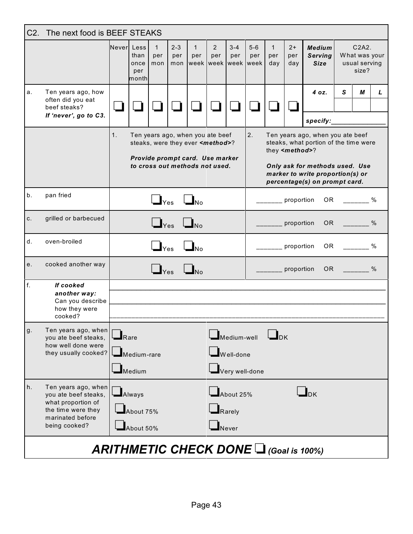| C2. | The next food is BEEF STEAKS<br>$2 - 3$<br>$\mathbf{1}$<br>$3 - 4$<br>$5-6$<br>$\mathbf{1}$<br>$2+$<br>C2A2.<br>Neverl Less<br>$\mathbf{1}$<br>$\overline{2}$<br><b>Medium</b> |                     |                                                     |                                              |                      |                                                                                                                                                      |               |                                   |                |                            |                         |                                                                                                                                                                                  |   |                                         |      |
|-----|--------------------------------------------------------------------------------------------------------------------------------------------------------------------------------|---------------------|-----------------------------------------------------|----------------------------------------------|----------------------|------------------------------------------------------------------------------------------------------------------------------------------------------|---------------|-----------------------------------|----------------|----------------------------|-------------------------|----------------------------------------------------------------------------------------------------------------------------------------------------------------------------------|---|-----------------------------------------|------|
|     |                                                                                                                                                                                |                     | than<br>once<br>per<br>month                        | per<br>mon                                   | per<br>mon           | per<br>week week week week                                                                                                                           | per           | per                               | per            | per<br>day                 | per<br>day              | <b>Serving</b><br><b>Size</b>                                                                                                                                                    |   | What was your<br>usual serving<br>size? |      |
| a.  | Ten years ago, how<br>often did you eat<br>beef steaks?<br>If 'never', go to C3.                                                                                               |                     |                                                     |                                              |                      |                                                                                                                                                      |               |                                   |                |                            |                         | 4 oz.<br>specify:                                                                                                                                                                | S | М                                       | L    |
|     |                                                                                                                                                                                | 1.                  |                                                     |                                              |                      | Ten years ago, when you ate beef<br>steaks, were they ever <method>?<br/>Provide prompt card. Use marker<br/>to cross out methods not used.</method> |               |                                   | 2.             |                            | they <method>?</method> | Ten years ago, when you ate beef<br>steaks, what portion of the time were<br>Only ask for methods used. Use<br>marker to write proportion(s) or<br>percentage(s) on prompt card. |   |                                         |      |
| b.  | pan fried                                                                                                                                                                      |                     |                                                     | $\bigcup_{\text{Yes}}$ $\bigcup_{\text{No}}$ |                      |                                                                                                                                                      |               | proportion                        | OR             |                            |                         | $\%$                                                                                                                                                                             |   |                                         |      |
| C.  | grilled or barbecued                                                                                                                                                           |                     |                                                     |                                              | $\Box$ Yes $\Box$ No |                                                                                                                                                      |               |                                   |                |                            | proportion              | OR D                                                                                                                                                                             |   |                                         | $\%$ |
| d.  | oven-broiled                                                                                                                                                                   |                     |                                                     | $\Box$ Yes                                   |                      | $\Box$ No                                                                                                                                            |               |                                   |                |                            | proportion              | OR.                                                                                                                                                                              |   | $\%$                                    |      |
| e.  | cooked another way                                                                                                                                                             |                     |                                                     | $\mathbf{I}_{\text{Yes}}$                    |                      |                                                                                                                                                      |               |                                   |                |                            | proportion              | OR.                                                                                                                                                                              |   |                                         | $\%$ |
| f.  | If cooked<br>another way:<br>Can you describe<br>how they were<br>cooked?                                                                                                      |                     |                                                     |                                              |                      |                                                                                                                                                      |               |                                   |                |                            |                         |                                                                                                                                                                                  |   |                                         |      |
| g.  | Ten years ago, when<br>you ate beef steaks,<br>how well done were<br>they usually cooked?                                                                                      | $\blacksquare$ Rare | $\blacksquare$ Medium-rare<br>$\blacksquare$ Medium |                                              |                      |                                                                                                                                                      |               | Medium-well<br>Well-done          | Very well-done | $\mathbf{I}_{\mathsf{DK}}$ |                         |                                                                                                                                                                                  |   |                                         |      |
| h.  | Ten years ago, when<br>you ate beef steaks,<br>what proportion of<br>the time were they<br>marinated before<br>being cooked?                                                   |                     | $\blacksquare$ Always<br>About 75%<br>About 50%     |                                              |                      |                                                                                                                                                      | $\Box$ Rarely | About 25%<br>$\blacksquare$ Never |                |                            |                         | $\mathbf{L}_{\text{DK}}$                                                                                                                                                         |   |                                         |      |
|     |                                                                                                                                                                                |                     |                                                     |                                              |                      |                                                                                                                                                      |               |                                   |                |                            |                         | <b>ARITHMETIC CHECK DONE <math>\Box</math> (Goal is 100%)</b>                                                                                                                    |   |                                         |      |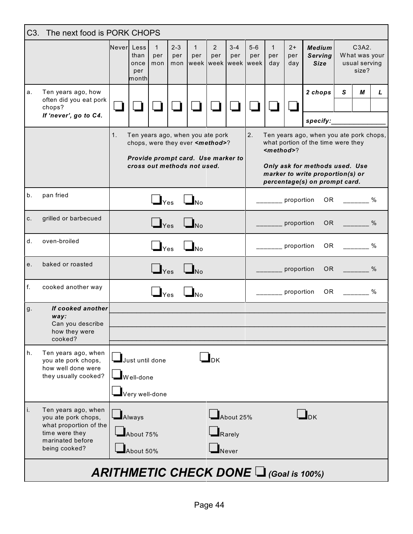|       | C <sub>3</sub> .<br>The next food is PORK CHOPS                                                                             |            |                                                |                                                |                       |                                                                                                                                                     |                                     |                                             |              |                            |                    |                                                                                                                                                                                      |              |                                                  |      |
|-------|-----------------------------------------------------------------------------------------------------------------------------|------------|------------------------------------------------|------------------------------------------------|-----------------------|-----------------------------------------------------------------------------------------------------------------------------------------------------|-------------------------------------|---------------------------------------------|--------------|----------------------------|--------------------|--------------------------------------------------------------------------------------------------------------------------------------------------------------------------------------|--------------|--------------------------------------------------|------|
|       |                                                                                                                             | Never Less | than<br>once<br>per<br>month                   | $\mathbf{1}$<br>per<br>mon                     | $2 - 3$<br>per<br>mon | $\mathbf{1}$<br>per                                                                                                                                 | $\overline{2}$<br>per               | $3 - 4$<br>per<br>week week week week       | $5-6$<br>per | $\mathbf{1}$<br>per<br>day | $2+$<br>per<br>day | <b>Medium</b><br><b>Serving</b><br><b>Size</b>                                                                                                                                       |              | C3A2.<br>What was your<br>usual serving<br>size? |      |
| a.    | Ten years ago, how<br>often did you eat pork<br>chops?<br>If 'never', go to C4.                                             |            |                                                |                                                |                       |                                                                                                                                                     |                                     |                                             |              |                            |                    | 2 chops<br>specify:                                                                                                                                                                  | $\mathbf{s}$ | М                                                | L    |
|       |                                                                                                                             | 1.         |                                                |                                                |                       | Ten years ago, when you ate pork<br>chops, were they ever <method>?<br/>Provide prompt card. Use marker to<br/>cross out methods not used.</method> |                                     |                                             | 2.           | $method>?$                 |                    | Ten years ago, when you ate pork chops,<br>what portion of the time were they<br>Only ask for methods used. Use<br>marker to write proportion(s) or<br>percentage(s) on prompt card. |              |                                                  |      |
| b.    | pan fried                                                                                                                   |            |                                                | $\Box$ Yes                                     |                       | $\Box$ No                                                                                                                                           |                                     |                                             |              |                            | proportion         | OR                                                                                                                                                                                   |              |                                                  | %    |
| $C$ . | grilled or barbecued                                                                                                        |            |                                                | $\Box$ Yes                                     |                       | $\Box_{\text{No}}$                                                                                                                                  |                                     |                                             |              |                            | proportion         | OR <sub>1</sub>                                                                                                                                                                      |              | $\%$                                             |      |
| d.    | oven-broiled                                                                                                                |            |                                                | $\Box$ Yes                                     |                       |                                                                                                                                                     |                                     |                                             |              |                            | proportion         | OR.                                                                                                                                                                                  |              | $\%$                                             |      |
| e.    | baked or roasted                                                                                                            |            |                                                | $\mathbf{\mathbf{\mathsf{\underline{I}}}}$ Yes |                       | $\mathbf{I}_{\mathsf{No}}$                                                                                                                          |                                     |                                             |              |                            | proportion         | OR .                                                                                                                                                                                 |              | $\sim$ $\sim$ $\sim$ $\sim$ $\sim$               |      |
| f.    | cooked another way                                                                                                          |            |                                                | $\mathbf{I}_{\text{Yes}}$                      |                       | $\mathbf{I}_{\sf No}$                                                                                                                               |                                     |                                             |              |                            | proportion         | OR                                                                                                                                                                                   |              |                                                  | $\%$ |
| g.    | If cooked another<br>way:<br>Can you describe<br>how they were<br>cooked?                                                   |            |                                                |                                                |                       |                                                                                                                                                     |                                     |                                             |              |                            |                    |                                                                                                                                                                                      |              |                                                  |      |
| h.    | Ten years ago, when<br>you ate pork chops,<br>how well done were<br>they usually cooked?                                    |            | Just until done<br>Well-done<br>Very well-done |                                                |                       |                                                                                                                                                     | $\mathsf{L}_{\mathsf{D}\mathsf{K}}$ |                                             |              |                            |                    |                                                                                                                                                                                      |              |                                                  |      |
| i.    | Ten years ago, when<br>you ate pork chops,<br>what proportion of the<br>time were they<br>marinated before<br>being cooked? |            | $\Box$ Always<br>About 75%<br>About 50%        |                                                |                       |                                                                                                                                                     |                                     | About 25%<br>Rarely<br>$\blacksquare$ Never |              |                            |                    | $\mathbf{L}_{\text{DK}}$                                                                                                                                                             |              |                                                  |      |
|       |                                                                                                                             |            |                                                |                                                |                       |                                                                                                                                                     |                                     |                                             |              |                            |                    | <b>ARITHMETIC CHECK DONE <math>\Box</math> (Goal is 100%)</b>                                                                                                                        |              |                                                  |      |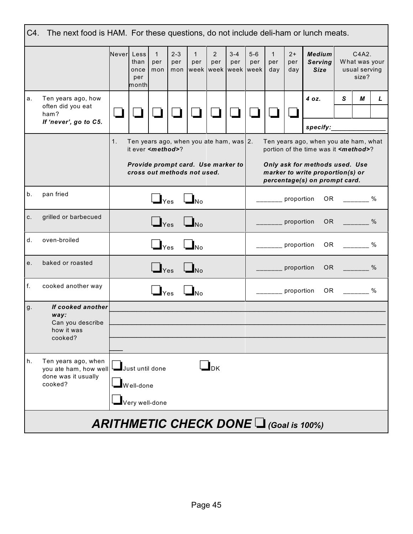| C4.   | The next food is HAM. For these questions, do not include deli-ham or lunch meats. |                                            |                              |                            |                       |                                                                   |                            |                |                                     |                            |                    |                                                                                                     |   |                                                  |   |
|-------|------------------------------------------------------------------------------------|--------------------------------------------|------------------------------|----------------------------|-----------------------|-------------------------------------------------------------------|----------------------------|----------------|-------------------------------------|----------------------------|--------------------|-----------------------------------------------------------------------------------------------------|---|--------------------------------------------------|---|
|       |                                                                                    | Never Less                                 | than<br>once<br>per<br>month | $\mathbf{1}$<br>per<br>mon | $2 - 3$<br>per<br>mon | $\mathbf{1}$<br>per                                               | $2^{\circ}$<br>per         | $3 - 4$<br>per | $5-6$<br>per<br>week week week week | $\mathbf{1}$<br>per<br>day | $2+$<br>per<br>day | <b>Medium</b><br><b>Serving</b><br><b>Size</b>                                                      |   | C4A2.<br>What was your<br>usual serving<br>size? |   |
| a.    | Ten years ago, how<br>often did you eat<br>ham?                                    |                                            |                              |                            |                       |                                                                   |                            |                |                                     |                            |                    | 4 oz.                                                                                               | S | М                                                | L |
|       | If 'never', go to C5.                                                              |                                            |                              |                            |                       |                                                                   |                            |                |                                     |                            |                    | specify:                                                                                            |   |                                                  |   |
|       |                                                                                    | 1.                                         |                              | it ever <method>?</method> |                       | Ten years ago, when you ate ham, was 2.                           |                            |                |                                     |                            |                    | Ten years ago, when you ate ham, what<br>portion of the time was it <method>?</method>              |   |                                                  |   |
|       |                                                                                    |                                            |                              |                            |                       | Provide prompt card. Use marker to<br>cross out methods not used. |                            |                |                                     |                            |                    | Only ask for methods used. Use<br>marker to write proportion(s) or<br>percentage(s) on prompt card. |   |                                                  |   |
| $b$ . | pan fried                                                                          |                                            |                              |                            | $\Box$ Yes $\Box$ No  |                                                                   |                            |                |                                     |                            | proportion         |                                                                                                     |   | OR %                                             |   |
| C.    | grilled or barbecued                                                               |                                            |                              | $\Box$ Yes                 |                       | $\Box_{\text{No}}$                                                |                            |                |                                     | ______ proportion          |                    |                                                                                                     |   | OR %                                             |   |
| d.    | oven-broiled                                                                       |                                            |                              | $\Box$ Yes                 |                       | $\Box_{\text{No}}$                                                |                            |                |                                     | ______ proportion          |                    | 0 <sub>R</sub>                                                                                      |   | $\%$                                             |   |
| е.    | baked or roasted                                                                   |                                            |                              | $\Box$ Yes                 |                       | $\Box_{\text{No}}$                                                |                            |                |                                     | _______ proportion         |                    |                                                                                                     |   | OR %                                             |   |
| f.    | cooked another way                                                                 |                                            |                              | $\Box$ Yes                 |                       |                                                                   |                            |                |                                     | proportion                 |                    |                                                                                                     |   | OR %                                             |   |
| g.    | If cooked another                                                                  |                                            |                              |                            |                       |                                                                   |                            |                |                                     |                            |                    |                                                                                                     |   |                                                  |   |
|       | way:<br>Can you describe                                                           |                                            |                              |                            |                       |                                                                   |                            |                |                                     |                            |                    |                                                                                                     |   |                                                  |   |
|       | how it was<br>cooked?                                                              |                                            |                              |                            |                       |                                                                   |                            |                |                                     |                            |                    |                                                                                                     |   |                                                  |   |
|       |                                                                                    |                                            |                              |                            |                       |                                                                   |                            |                |                                     |                            |                    |                                                                                                     |   |                                                  |   |
| h.    | Ten years ago, when<br>you ate ham, how well<br>done was it usually<br>cooked?     |                                            | Just until done              |                            |                       |                                                                   | $\mathbf{I}_{\mathrm{DK}}$ |                |                                     |                            |                    |                                                                                                     |   |                                                  |   |
|       |                                                                                    | $\blacksquare$ Well-done<br>Very well-done |                              |                            |                       |                                                                   |                            |                |                                     |                            |                    |                                                                                                     |   |                                                  |   |
|       |                                                                                    |                                            |                              |                            |                       |                                                                   |                            |                |                                     |                            |                    | <b>ARITHMETIC CHECK DONE</b> $\Box$ (Goal is 100%)                                                  |   |                                                  |   |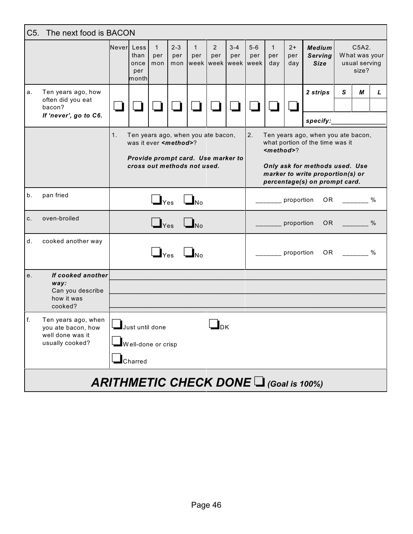| C <sub>5</sub> . | The next food is BACON                                                           |                                                                        |                                                                                                                                             |                            |                       |                     |                                              |                |                |                            |                    |                                                                                                                                                                              |   |                                                  |      |
|------------------|----------------------------------------------------------------------------------|------------------------------------------------------------------------|---------------------------------------------------------------------------------------------------------------------------------------------|----------------------------|-----------------------|---------------------|----------------------------------------------|----------------|----------------|----------------------------|--------------------|------------------------------------------------------------------------------------------------------------------------------------------------------------------------------|---|--------------------------------------------------|------|
|                  |                                                                                  | Neverl Less                                                            | than<br>once<br>per<br>month                                                                                                                | $\mathbf{1}$<br>per<br>mon | $2 - 3$<br>per<br>mon | $\mathbf{1}$<br>per | $\overline{2}$<br>per<br>week week week week | $3 - 4$<br>per | $5 - 6$<br>per | $\mathbf{1}$<br>per<br>day | $2+$<br>per<br>day | <b>Medium</b><br><b>Serving</b><br><b>Size</b>                                                                                                                               |   | C5A2.<br>What was your<br>usual serving<br>size? |      |
| a.               | Ten years ago, how<br>often did you eat<br>bacon?<br>If 'never', go to C6.       |                                                                        |                                                                                                                                             |                            |                       |                     |                                              |                |                |                            |                    | 2 strips<br>specify:                                                                                                                                                         | S | М                                                | L    |
|                  |                                                                                  | 1.                                                                     | Ten years ago, when you ate bacon,<br>was it ever <method>?<br/>Provide prompt card. Use marker to<br/>cross out methods not used.</method> |                            |                       |                     |                                              |                | 2.             | <method>?</method>         |                    | Ten years ago, when you ate bacon,<br>what portion of the time was it<br>Only ask for methods used. Use<br>marker to write proportion(s) or<br>percentage(s) on prompt card. |   |                                                  |      |
| b.               | pan fried                                                                        |                                                                        |                                                                                                                                             | $\Box$ Yes                 |                       | $\Box_{\text{No}}$  |                                              |                |                |                            | proportion         | OR.                                                                                                                                                                          |   |                                                  | $\%$ |
| C.               | oven-broiled                                                                     |                                                                        |                                                                                                                                             | $\Box$ Yes                 |                       | $\Box_{\rm No}$     |                                              |                |                |                            | proportion         | OR.                                                                                                                                                                          |   |                                                  | $\%$ |
| d.               | cooked another way                                                               |                                                                        |                                                                                                                                             | $\Box$ Yes                 |                       |                     |                                              |                |                |                            | proportion         | OR.                                                                                                                                                                          |   |                                                  | $\%$ |
| e.               | If cooked another<br>way:<br>Can you describe<br>how it was<br>cooked?           |                                                                        |                                                                                                                                             |                            |                       |                     |                                              |                |                |                            |                    |                                                                                                                                                                              |   |                                                  |      |
| f.               | Ten years ago, when<br>you ate bacon, how<br>well done was it<br>usually cooked? | Just until done<br>┛₯₭<br>$\blacksquare$ Well-done or crisp<br>Charred |                                                                                                                                             |                            |                       |                     |                                              |                |                |                            |                    |                                                                                                                                                                              |   |                                                  |      |
|                  |                                                                                  |                                                                        |                                                                                                                                             |                            |                       |                     |                                              |                |                |                            |                    | <b>ARITHMETIC CHECK DONE <math>\Box</math> (Goal is 100%)</b>                                                                                                                |   |                                                  |      |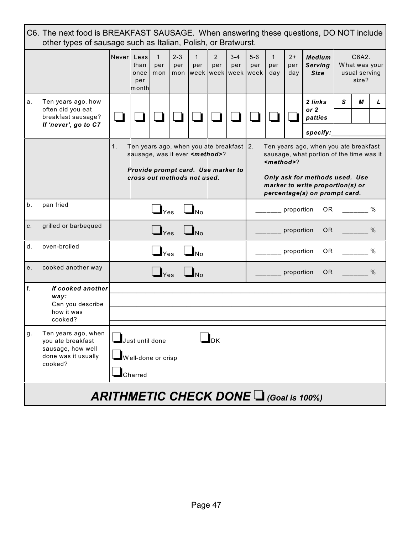| C6. The next food is BREAKFAST SAUSAGE. When answering these questions, DO NOT include<br>other types of sausage such as Italian, Polish, or Bratwurst. |                                                                                                 |                                               |                                                                                                                                                                                                                                                                                                                                                                                                |                            |                       |                     |                       |                |                                       |                            |                    |                                                   |   |                                                  |      |  |
|---------------------------------------------------------------------------------------------------------------------------------------------------------|-------------------------------------------------------------------------------------------------|-----------------------------------------------|------------------------------------------------------------------------------------------------------------------------------------------------------------------------------------------------------------------------------------------------------------------------------------------------------------------------------------------------------------------------------------------------|----------------------------|-----------------------|---------------------|-----------------------|----------------|---------------------------------------|----------------------------|--------------------|---------------------------------------------------|---|--------------------------------------------------|------|--|
|                                                                                                                                                         |                                                                                                 | Never <sup>1</sup>                            | Less<br>than<br>once<br>per<br>month                                                                                                                                                                                                                                                                                                                                                           | $\mathbf{1}$<br>per<br>mon | $2 - 3$<br>per<br>mon | $\mathbf{1}$<br>per | $\overline{2}$<br>per | $3 - 4$<br>per | $5 - 6$<br>per<br>week week week week | $\mathbf{1}$<br>per<br>day | $2+$<br>per<br>day | <b>Medium</b><br><b>Serving</b><br><b>Size</b>    |   | C6A2.<br>What was your<br>usual serving<br>size? |      |  |
| a.                                                                                                                                                      | Ten years ago, how<br>often did you eat<br>breakfast sausage?<br>If 'never', go to C7           |                                               |                                                                                                                                                                                                                                                                                                                                                                                                |                            |                       |                     |                       |                |                                       |                            |                    | 2 links<br>or <sub>2</sub><br>patties<br>specify: | S | М                                                | L    |  |
|                                                                                                                                                         |                                                                                                 | 1.                                            | Ten years ago, when you ate breakfast 2.<br>Ten years ago, when you ate breakfast<br>sausage, what portion of the time was it<br>sausage, was it ever <method>?<br/><math><math>method</math></math><br/>Provide prompt card. Use marker to<br/>cross out methods not used.<br/>Only ask for methods used. Use<br/>marker to write proportion(s) or<br/>percentage(s) on prompt card.</method> |                            |                       |                     |                       |                |                                       |                            |                    |                                                   |   |                                                  |      |  |
| b.                                                                                                                                                      | pan fried                                                                                       |                                               |                                                                                                                                                                                                                                                                                                                                                                                                | $\Box$ Yes                 |                       | $\Box$ No           |                       |                |                                       |                            | proportion         | OR.                                               |   |                                                  |      |  |
| C.                                                                                                                                                      | grilled or barbequed                                                                            |                                               |                                                                                                                                                                                                                                                                                                                                                                                                | $\Box$ Yes                 |                       |                     |                       |                |                                       |                            | proportion         | OR <sub>1</sub>                                   |   |                                                  | $\%$ |  |
| d.                                                                                                                                                      | oven-broiled                                                                                    |                                               |                                                                                                                                                                                                                                                                                                                                                                                                | $\mathbf{I}_{\text{Yes}}$  |                       |                     |                       |                |                                       |                            | proportion         | 0R                                                |   |                                                  | $\%$ |  |
| e.                                                                                                                                                      | cooked another way                                                                              |                                               |                                                                                                                                                                                                                                                                                                                                                                                                | <b>Yes</b>                 |                       |                     |                       |                |                                       |                            | proportion         | <b>OR</b>                                         |   |                                                  | $\%$ |  |
| f.                                                                                                                                                      | If cooked another<br>way:<br>Can you describe<br>how it was<br>cooked?                          |                                               |                                                                                                                                                                                                                                                                                                                                                                                                |                            |                       |                     |                       |                |                                       |                            |                    |                                                   |   |                                                  |      |  |
| g.                                                                                                                                                      | Ten years ago, when<br>you ate breakfast<br>sausage, how well<br>done was it usually<br>cooked? |                                               | Just until done<br>Well-done or crisp<br>Charred                                                                                                                                                                                                                                                                                                                                               |                            |                       |                     | $I_{\mathsf{DK}}$     |                |                                       |                            |                    |                                                   |   |                                                  |      |  |
|                                                                                                                                                         |                                                                                                 | <b>ARITHMETIC CHECK DONE I (Goal is 100%)</b> |                                                                                                                                                                                                                                                                                                                                                                                                |                            |                       |                     |                       |                |                                       |                            |                    |                                                   |   |                                                  |      |  |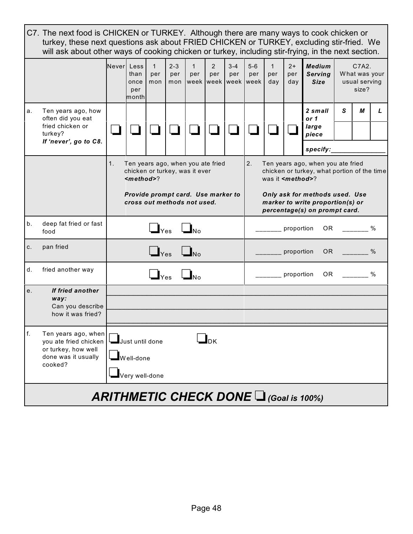|    |                                                                                                       |        | C7. The next food is CHICKEN or TURKEY. Although there are many ways to cook chicken or<br>turkey, these next questions ask about FRIED CHICKEN or TURKEY, excluding stir-fried. We<br>will ask about other ways of cooking chicken or turkey, including stir-frying, in the next section. |                                                  |                       |                     |                                    |                        |                        |                            |                    |                                                                                                                    |   |                                                                          |               |
|----|-------------------------------------------------------------------------------------------------------|--------|--------------------------------------------------------------------------------------------------------------------------------------------------------------------------------------------------------------------------------------------------------------------------------------------|--------------------------------------------------|-----------------------|---------------------|------------------------------------|------------------------|------------------------|----------------------------|--------------------|--------------------------------------------------------------------------------------------------------------------|---|--------------------------------------------------------------------------|---------------|
|    |                                                                                                       | Neverl | Less<br>than<br>once<br>per<br>month                                                                                                                                                                                                                                                       | $\mathbf{1}$<br>per<br>mon                       | $2 - 3$<br>per<br>mon | $\mathbf{1}$<br>per | $\overline{2}$<br>per<br>week week | $3 - 4$<br>per<br>week | $5 - 6$<br>per<br>week | $\mathbf{1}$<br>per<br>day | $2+$<br>per<br>day | <b>Medium</b><br><b>Serving</b><br><b>Size</b>                                                                     |   | C <sub>7</sub> A <sub>2</sub><br>What was your<br>usual serving<br>size? |               |
| а. | Ten years ago, how<br>often did you eat<br>fried chicken or<br>turkey?<br>If 'never', go to C8.       |        |                                                                                                                                                                                                                                                                                            |                                                  |                       |                     |                                    |                        |                        |                            |                    | 2 small<br>or 1<br>large<br>piece                                                                                  | S | М                                                                        | L             |
|    |                                                                                                       |        |                                                                                                                                                                                                                                                                                            |                                                  |                       |                     |                                    |                        |                        |                            |                    | specify:                                                                                                           |   |                                                                          |               |
|    |                                                                                                       | 1.     | Ten years ago, when you ate fried<br>chicken or turkey, was it ever<br>$method$<br>Provide prompt card. Use marker to                                                                                                                                                                      |                                                  |                       |                     |                                    |                        | 2.                     | was it <method>?</method>  |                    | Ten years ago, when you ate fried<br>chicken or turkey, what portion of the time<br>Only ask for methods used. Use |   |                                                                          |               |
|    |                                                                                                       |        | cross out methods not used.                                                                                                                                                                                                                                                                |                                                  |                       |                     |                                    |                        |                        |                            |                    | marker to write proportion(s) or<br>percentage(s) on prompt card.                                                  |   |                                                                          |               |
| b. | deep fat fried or fast<br>food                                                                        |        |                                                                                                                                                                                                                                                                                            | $\mathbf{\mathbf{\underline{I}}}_{\text{Yes}}$   |                       |                     |                                    |                        |                        |                            | proportion         | OR.                                                                                                                |   |                                                                          |               |
| C. | pan fried                                                                                             |        |                                                                                                                                                                                                                                                                                            | $\mathbf{\mathsf{\underline{I}}}_{\mathsf{Yes}}$ |                       |                     |                                    |                        |                        |                            | proportion         | OR.                                                                                                                |   |                                                                          | $\%$          |
| d. | fried another way                                                                                     |        |                                                                                                                                                                                                                                                                                            | $\mathbf{I}_{\text{Yes}}$                        |                       |                     |                                    |                        |                        |                            | proportion         | OR.                                                                                                                |   |                                                                          | $\frac{0}{0}$ |
| е. | If fried another                                                                                      |        |                                                                                                                                                                                                                                                                                            |                                                  |                       |                     |                                    |                        |                        |                            |                    |                                                                                                                    |   |                                                                          |               |
|    | way:<br>Can you describe                                                                              |        |                                                                                                                                                                                                                                                                                            |                                                  |                       |                     |                                    |                        |                        |                            |                    |                                                                                                                    |   |                                                                          |               |
|    | how it was fried?                                                                                     |        |                                                                                                                                                                                                                                                                                            |                                                  |                       |                     |                                    |                        |                        |                            |                    |                                                                                                                    |   |                                                                          |               |
| f. | Ten years ago, when<br>you ate fried chicken<br>or turkey, how well<br>done was it usually<br>cooked? |        | Just until done<br>Well-done<br>Very well-done                                                                                                                                                                                                                                             |                                                  |                       |                     | $I_{\mathsf{DK}}$                  |                        |                        |                            |                    |                                                                                                                    |   |                                                                          |               |
|    |                                                                                                       |        |                                                                                                                                                                                                                                                                                            |                                                  |                       |                     |                                    |                        |                        |                            |                    | <b>ARITHMETIC CHECK DONE LI (Goal is 100%)</b>                                                                     |   |                                                                          |               |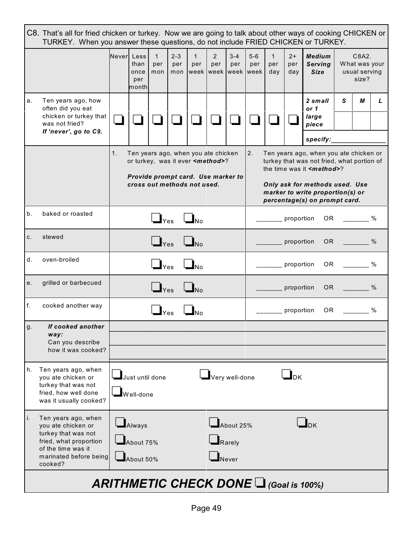| C8. That's all for fried chicken or turkey. Now we are going to talk about other ways of cooking CHICKEN or<br>TURKEY. When you answer these questions, do not include FRIED CHICKEN or TURKEY. |                                                                                                                                                       |    |                                                                                                                                                                                                                                                                                                                                                                                                                                                                       |                            |                       |                                                  |                               |                |              |                            |                          |                                                |                                                                                                                                                                                                                                |                                                  |      |  |
|-------------------------------------------------------------------------------------------------------------------------------------------------------------------------------------------------|-------------------------------------------------------------------------------------------------------------------------------------------------------|----|-----------------------------------------------------------------------------------------------------------------------------------------------------------------------------------------------------------------------------------------------------------------------------------------------------------------------------------------------------------------------------------------------------------------------------------------------------------------------|----------------------------|-----------------------|--------------------------------------------------|-------------------------------|----------------|--------------|----------------------------|--------------------------|------------------------------------------------|--------------------------------------------------------------------------------------------------------------------------------------------------------------------------------------------------------------------------------|--------------------------------------------------|------|--|
|                                                                                                                                                                                                 |                                                                                                                                                       |    | Never Less<br>than<br>once<br>per<br>monthl                                                                                                                                                                                                                                                                                                                                                                                                                           | $\mathbf{1}$<br>per<br>mon | $2 - 3$<br>per<br>mon | $\mathbf{1}$<br>per<br>week   week   week   week | $\overline{2}$<br>per         | $3 - 4$<br>per | $5-6$<br>per | $\mathbf{1}$<br>per<br>day | $2+$<br>per<br>day       | <b>Medium</b><br><b>Serving</b><br><b>Size</b> |                                                                                                                                                                                                                                | C8A2.<br>What was your<br>usual serving<br>size? |      |  |
| а.                                                                                                                                                                                              | Ten years ago, how<br>often did you eat<br>chicken or turkey that<br>was not fried?<br>If 'never', go to C9.                                          |    |                                                                                                                                                                                                                                                                                                                                                                                                                                                                       |                            |                       |                                                  |                               |                |              |                            |                          | 2 small<br>or 1<br>large<br>piece              | S                                                                                                                                                                                                                              | М                                                | L    |  |
|                                                                                                                                                                                                 |                                                                                                                                                       | 1. | specify:<br>2.<br>Ten years ago, when you ate chicken<br>Ten years ago, when you ate chicken or<br>turkey that was not fried, what portion of<br>or turkey, was it ever <method>?<br/>the time was it <b><i>smethod</i></b>?<br/>Provide prompt card. Use marker to<br/>cross out methods not used.<br/>Only ask for methods used. Use<br/>marker to write proportion(s) or<br/>percentage(s) on prompt card.<br/><math>\Box</math>Yes<br/>proportion<br/>OR</method> |                            |                       |                                                  |                               |                |              |                            |                          |                                                |                                                                                                                                                                                                                                |                                                  |      |  |
| b.                                                                                                                                                                                              | baked or roasted                                                                                                                                      |    |                                                                                                                                                                                                                                                                                                                                                                                                                                                                       |                            |                       | $\Box_{\text{No}}$                               |                               |                |              |                            |                          |                                                |                                                                                                                                                                                                                                |                                                  | $\%$ |  |
| c.                                                                                                                                                                                              | stewed                                                                                                                                                |    |                                                                                                                                                                                                                                                                                                                                                                                                                                                                       | $\Box$ Yes                 |                       | $\Box_{\text{No}}$                               |                               |                |              |                            | proportion               |                                                | OR the contract of the contract of the contract of the contract of the contract of the contract of the contract of the contract of the contract of the contract of the contract of the contract of the contract of the contrac |                                                  | $\%$ |  |
| d.                                                                                                                                                                                              | oven-broiled                                                                                                                                          |    |                                                                                                                                                                                                                                                                                                                                                                                                                                                                       | $\Box$ Yes                 |                       | $\Box_{\text{No}}$                               |                               |                |              |                            | proportion               |                                                | OR and the set of the set of the set of the set of the set of the set of the set of the set of the set of the                                                                                                                  |                                                  | $\%$ |  |
| е.                                                                                                                                                                                              | grilled or barbecued                                                                                                                                  |    |                                                                                                                                                                                                                                                                                                                                                                                                                                                                       | $\Box$ Yes                 |                       | $\mathbf{I}_{\mathsf{No}}$                       |                               |                |              |                            | proportion               | OR.                                            |                                                                                                                                                                                                                                |                                                  | $\%$ |  |
| f.                                                                                                                                                                                              | cooked another way                                                                                                                                    |    |                                                                                                                                                                                                                                                                                                                                                                                                                                                                       | $\mathbf{J}_{\text{Yes}}$  |                       | $\mathbf{I}_{\sf No}$                            |                               |                |              |                            | proportion               | OR.                                            |                                                                                                                                                                                                                                |                                                  | $\%$ |  |
| g.                                                                                                                                                                                              | If cooked another<br>way:<br>Can you describe<br>how it was cooked?                                                                                   |    |                                                                                                                                                                                                                                                                                                                                                                                                                                                                       |                            |                       |                                                  |                               |                |              |                            |                          |                                                |                                                                                                                                                                                                                                |                                                  |      |  |
| h.                                                                                                                                                                                              | Ten years ago, when<br>you ate chicken or<br>turkey that was not<br>fried, how well done<br>was it usually cooked?                                    |    | Just until done<br>$\blacksquare$ Well-done                                                                                                                                                                                                                                                                                                                                                                                                                           |                            |                       |                                                  | Very well-done                |                |              |                            | $\mathbf{L}_{\text{DK}}$ |                                                |                                                                                                                                                                                                                                |                                                  |      |  |
| i.                                                                                                                                                                                              | Ten years ago, when<br>you ate chicken or<br>turkey that was not<br>fried, what proportion<br>of the time was it<br>marinated before being<br>cooked? |    | $\Box$ Always<br>About 75%<br>About 50%                                                                                                                                                                                                                                                                                                                                                                                                                               |                            |                       |                                                  | $\Box$ Rarely<br>$\Box$ Never | About 25%      |              |                            |                          | $\mathbf{L}_{\mathrm{DK}}$                     |                                                                                                                                                                                                                                |                                                  |      |  |
|                                                                                                                                                                                                 |                                                                                                                                                       |    |                                                                                                                                                                                                                                                                                                                                                                                                                                                                       |                            |                       |                                                  |                               |                |              |                            |                          | <b>ARITHMETIC CHECK DONE I (Goal is 100%)</b>  |                                                                                                                                                                                                                                |                                                  |      |  |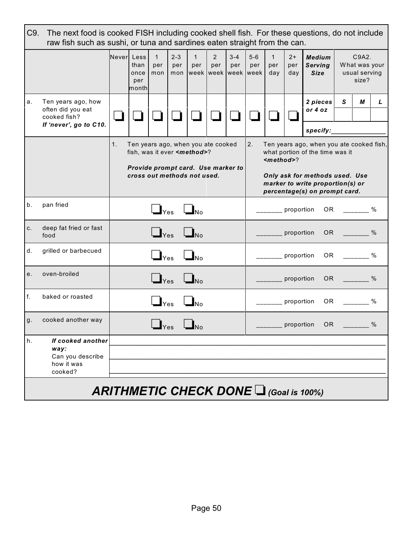|    | C9.<br>The next food is cooked FISH including cooked shell fish. For these questions, do not include<br>raw fish such as sushi, or tuna and sardines eaten straight from the can. |                                                                                                                                                                                                                                                                                                                                                                                                         |                              |                                                |                       |                                                  |                       |                |                |                            |                    |                                                               |              |                                                  |      |
|----|-----------------------------------------------------------------------------------------------------------------------------------------------------------------------------------|---------------------------------------------------------------------------------------------------------------------------------------------------------------------------------------------------------------------------------------------------------------------------------------------------------------------------------------------------------------------------------------------------------|------------------------------|------------------------------------------------|-----------------------|--------------------------------------------------|-----------------------|----------------|----------------|----------------------------|--------------------|---------------------------------------------------------------|--------------|--------------------------------------------------|------|
|    |                                                                                                                                                                                   | Never Less                                                                                                                                                                                                                                                                                                                                                                                              | than<br>once<br>per<br>month | $\mathbf{1}$<br>per<br>mon                     | $2 - 3$<br>per<br>mon | $\mathbf{1}$<br>per<br>week   week   week   week | $\overline{2}$<br>per | $3 - 4$<br>per | $5 - 6$<br>per | $\mathbf{1}$<br>per<br>day | $2+$<br>per<br>day | <b>Medium</b><br><b>Serving</b><br><b>Size</b>                |              | C9A2.<br>What was your<br>usual serving<br>size? |      |
| а. | Ten years ago, how<br>often did you eat<br>cooked fish?                                                                                                                           |                                                                                                                                                                                                                                                                                                                                                                                                         |                              |                                                |                       |                                                  |                       |                |                |                            |                    | 2 pieces<br>or 4 oz                                           | $\mathsf{s}$ | М                                                | L    |
|    | If 'never', go to C10.                                                                                                                                                            | specify:<br>2.<br>1.<br>Ten years ago, when you ate cooked<br>Ten years ago, when you ate cooked fish,<br>what portion of the time was it<br>fish, was it ever <method>?<br/><math><math>method</math></math><br/>Provide prompt card. Use marker to<br/>cross out methods not used.<br/>Only ask for methods used. Use<br/>marker to write proportion(s) or<br/>percentage(s) on prompt card.</method> |                              |                                                |                       |                                                  |                       |                |                |                            |                    |                                                               |              |                                                  |      |
| b. | pan fried                                                                                                                                                                         |                                                                                                                                                                                                                                                                                                                                                                                                         |                              | $\Box$ Yes                                     |                       | $\Box$ No                                        |                       |                |                |                            | proportion         | OR.                                                           |              |                                                  | $\%$ |
| C. | deep fat fried or fast<br>food                                                                                                                                                    |                                                                                                                                                                                                                                                                                                                                                                                                         |                              | $\Box$ Yes                                     |                       | $\Box_{\text{No}}$                               |                       |                |                |                            | proportion         | OR                                                            |              |                                                  | $\%$ |
| d. | grilled or barbecued                                                                                                                                                              |                                                                                                                                                                                                                                                                                                                                                                                                         |                              | $\Box$ Yes                                     |                       | $\Box_{\text{No}}$                               |                       |                |                |                            | proportion         | <b>OR</b>                                                     |              |                                                  | %    |
| e. | oven-broiled                                                                                                                                                                      |                                                                                                                                                                                                                                                                                                                                                                                                         |                              | $\Box$ Yes                                     |                       | $\mathbf{I}_{\text{No}}$                         |                       |                |                |                            | proportion         | OR.                                                           |              |                                                  | $\%$ |
| f. | baked or roasted                                                                                                                                                                  |                                                                                                                                                                                                                                                                                                                                                                                                         |                              | $\mathbf{\mathbf{\mathsf{\underline{J}}}}$ Yes |                       | $\mathbf{I}_{\sf No}$                            |                       |                |                |                            | proportion         | 0R                                                            |              |                                                  | $\%$ |
| g. | cooked another way                                                                                                                                                                |                                                                                                                                                                                                                                                                                                                                                                                                         |                              | $\mathbf{I}_{\text{Yes}}$                      |                       | $\Box$ No                                        |                       |                |                |                            | _ proportion       | 0R                                                            |              |                                                  | %    |
| h. | If cooked another<br>way:<br>Can you describe<br>how it was<br>cooked?                                                                                                            |                                                                                                                                                                                                                                                                                                                                                                                                         |                              |                                                |                       |                                                  |                       |                |                |                            |                    |                                                               |              |                                                  |      |
|    |                                                                                                                                                                                   |                                                                                                                                                                                                                                                                                                                                                                                                         |                              |                                                |                       |                                                  |                       |                |                |                            |                    | <b>ARITHMETIC CHECK DONE <math>\Box</math> (Goal is 100%)</b> |              |                                                  |      |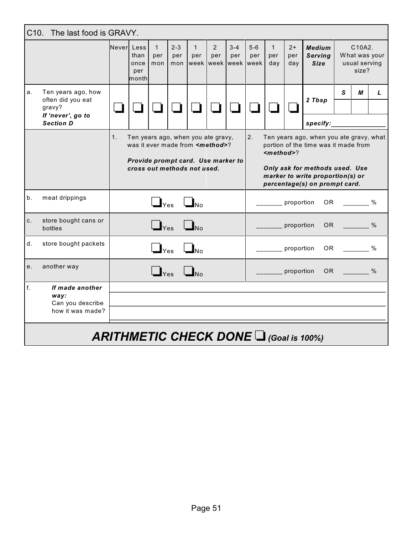|       | C10. The last food is GRAVY.                                           |                |                                                                                                                                                       |                             |                                                        |                                                 |                                                                                                                                                                                                                      |                |                                     |                            |                    |                                                               |                 |                                                                                                                                                                                                                                |      |
|-------|------------------------------------------------------------------------|----------------|-------------------------------------------------------------------------------------------------------------------------------------------------------|-----------------------------|--------------------------------------------------------|-------------------------------------------------|----------------------------------------------------------------------------------------------------------------------------------------------------------------------------------------------------------------------|----------------|-------------------------------------|----------------------------|--------------------|---------------------------------------------------------------|-----------------|--------------------------------------------------------------------------------------------------------------------------------------------------------------------------------------------------------------------------------|------|
|       |                                                                        | Neverl Less    | than<br>once<br>per<br>monthl                                                                                                                         | $\mathbf{1}$<br>per<br>mon  | $2 - 3$<br>per<br>mon                                  | $\mathbf{1}$<br>per                             | $\overline{2}$<br>per                                                                                                                                                                                                | $3 - 4$<br>per | $5-6$<br>per<br>week week week week | $\mathbf{1}$<br>per<br>day | $2+$<br>per<br>day | <b>Medium</b><br><b>Serving</b><br><b>Size</b>                |                 | C10A2.<br>What was your<br>usual serving<br>size?                                                                                                                                                                              |      |
| a.    | Ten years ago, how<br>often did you eat<br>gravy?<br>If 'never', go to |                |                                                                                                                                                       |                             |                                                        |                                                 |                                                                                                                                                                                                                      |                |                                     |                            |                    | 2 Tbsp                                                        | S               | М                                                                                                                                                                                                                              | L    |
|       | <b>Section D</b>                                                       | 1 <sub>1</sub> | Ten years ago, when you ate gravy,<br>was it ever made from <method>?<br/>Provide prompt card. Use marker to<br/>cross out methods not used.</method> |                             |                                                        |                                                 | specify:<br>2.<br>Ten years ago, when you ate gravy, what<br>portion of the time was it made from<br>$method$<br>Only ask for methods used. Use<br>marker to write proportion(s) or<br>percentage(s) on prompt card. |                |                                     |                            |                    |                                                               |                 |                                                                                                                                                                                                                                |      |
| $b$ . | meat drippings                                                         |                |                                                                                                                                                       |                             | $\mathbf{J}_{\mathsf{Yes}}$ $\mathbf{J}_{\mathsf{No}}$ |                                                 |                                                                                                                                                                                                                      |                |                                     | proportion                 |                    |                                                               |                 | OR %                                                                                                                                                                                                                           |      |
| C.    | store bought cans or<br>bottles                                        |                |                                                                                                                                                       | $\Box$ Yes                  |                                                        | $\Box_{\text{No}}$                              |                                                                                                                                                                                                                      |                |                                     |                            | proportion         |                                                               |                 | OR Design and the control of the control of the control of the control of the control of the control of the control of the control of the control of the control of the control of the control of the control of the control o | $\%$ |
| d.    | store bought packets                                                   |                |                                                                                                                                                       | $\mathbf{I}_{\text{Yes}}$   |                                                        | $\mathbf{\mathbf{\underline{I}}}_{\mathsf{No}}$ |                                                                                                                                                                                                                      |                |                                     | proportion                 |                    | OR .                                                          |                 | $\%$                                                                                                                                                                                                                           |      |
| e.    | another way                                                            |                |                                                                                                                                                       | $\mathbf{I}_{\mathsf{Yes}}$ |                                                        |                                                 |                                                                                                                                                                                                                      |                |                                     |                            | proportion         |                                                               | OR <sub>2</sub> |                                                                                                                                                                                                                                | $\%$ |
| f.    | If made another<br>way:<br>Can you describe<br>how it was made?        |                |                                                                                                                                                       |                             |                                                        |                                                 |                                                                                                                                                                                                                      |                |                                     |                            |                    |                                                               |                 |                                                                                                                                                                                                                                |      |
|       |                                                                        |                |                                                                                                                                                       |                             |                                                        |                                                 |                                                                                                                                                                                                                      |                |                                     |                            |                    | <b>ARITHMETIC CHECK DONE <math>\Box</math> (Goal is 100%)</b> |                 |                                                                                                                                                                                                                                |      |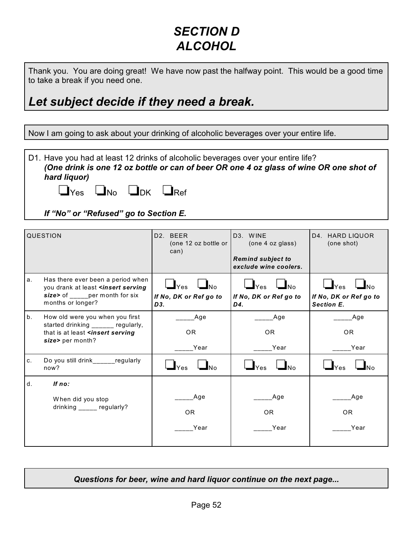#### *SECTION D ALCOHOL*

Thank you. You are doing great! We have now past the halfway point. This would be a good time to take a break if you need one.

#### *Let subject decide if they need a break.*

Now I am going to ask about your drinking of alcoholic beverages over your entire life.

D1. Have you had at least 12 drinks of alcoholic beverages over your entire life? *(One drink is one 12 oz bottle or can of beer OR one 4 oz glass of wine OR one shot of hard liquor)* 

|  | $\Box$ Yes $\Box$ No $\Box$ DK $\Box$ Ref |  |
|--|-------------------------------------------|--|
|  |                                           |  |

*If "No" or "Refused" go to Section E.*

| <b>QUESTION</b> |                                                                                                                                              | D <sub>2</sub> . BEER<br>(one 12 oz bottle or<br>can)           | D <sub>3</sub> . WINE<br>(one 4 oz glass)<br><b>Remind subject to</b><br>exclude wine coolers. | D4. HARD LIQUOR<br>(one shot)                                          |  |
|-----------------|----------------------------------------------------------------------------------------------------------------------------------------------|-----------------------------------------------------------------|------------------------------------------------------------------------------------------------|------------------------------------------------------------------------|--|
| a.              | Has there ever been a period when<br>you drank at least <insert serving<br="">size&gt; of per month for six<br/>months or longer?</insert>   | $\Box$ $_{Yes}$ $\Box$ $_{No}$<br>If No, DK or Ref go to<br>D3. | $\Box$ Yes $\Box$ No<br>If No, DK or Ref go to<br>D4.                                          | $\Box$ Yes<br>$\Box$ No<br>If No, DK or Ref go to<br><b>Section E.</b> |  |
| b.              | How old were you when you first<br>started drinking ______ regularly,<br>that is at least <insert serving<br="">size&gt; per month?</insert> | Age<br>OR.<br>Year                                              | Age<br>OR.<br>Year                                                                             | Age<br>OR.<br>Year                                                     |  |
| C.              | Do you still drink_____regularly<br>now?                                                                                                     | $\mathbf{I}_{\text{Yes}}$<br><b>No</b>                          | $\Box$ Yes<br>No                                                                               | $\mathbf{L}_{\text{Yes}}$                                              |  |
| d.              | If no:<br>When did you stop<br>drinking _____ regularly?                                                                                     | Age<br><b>OR</b><br>Year                                        | Age<br>OR.<br>Year                                                                             | Age<br>OR.<br>Year                                                     |  |

*Questions for beer, wine and hard liquor continue on the next page...*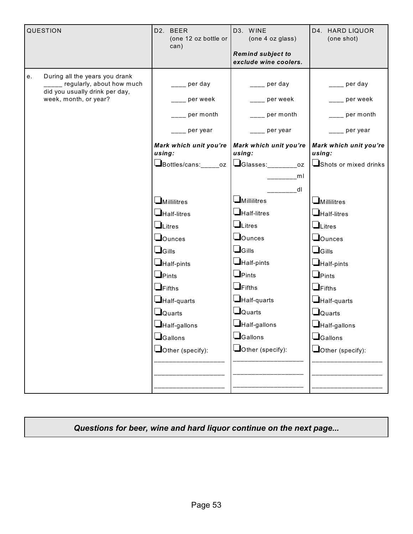| QUESTION                                                                                                                          | D2. BEER<br>(one 12 oz bottle or<br>can)                                                                                                                                                                                                         | D3. WINE<br>D4. HARD LIQUOR<br>(one 4 oz glass)<br><b>Remind subject to</b><br>exclude wine coolers.                                                                                                                                                                  |                                                                                                                                                                                                                                                        |
|-----------------------------------------------------------------------------------------------------------------------------------|--------------------------------------------------------------------------------------------------------------------------------------------------------------------------------------------------------------------------------------------------|-----------------------------------------------------------------------------------------------------------------------------------------------------------------------------------------------------------------------------------------------------------------------|--------------------------------------------------------------------------------------------------------------------------------------------------------------------------------------------------------------------------------------------------------|
| During all the years you drank<br>е.<br>____ regularly, about how much<br>did you usually drink per day,<br>week, month, or year? | per day<br>per week<br>per month<br>per year<br>Mark which unit you're<br>using:<br>Bottles/cans:_____oz                                                                                                                                         | _ per day<br>per week<br>per month<br>per year<br>Mark which unit you're<br>using:<br>$\Box$ Glasses:<br>$\overline{\text{OZ}}$                                                                                                                                       | per day<br>per week<br>per month<br>per year<br>Mark which unit you're<br>using:<br>Shots or mixed drinks                                                                                                                                              |
|                                                                                                                                   | $\square$ Millilitres<br>$\Box$ Half-litres<br>$\Box$ Litres<br>$\Box$ Ounces<br>$\Box$ Gills<br>Half-pints<br>$\Box$ Pints<br>$\Box$ Fifths<br>Half-quarts<br>$\Box$ Quarts<br>$\Box$ Half-gallons<br>$\Box$ Gallons<br>$\Box$ Other (specify): | ml<br>dl<br>$\Box$ Millilitres<br>$\Box$ Half-litres<br>$L$ itres<br>$\Box$ Ounces<br>$\Box$ Gills<br>$\Box$ Half-pints<br>$\Box$ Pints<br>$\Box$ Fifths<br>$\Box$ Half-quarts<br>$\Box$ Quarts<br>$\Box$ Half-gallons<br><b>S</b> Gallons<br>$\Box$ Other (specify): | $\Box$ Millilitres<br>$\Box$ Half-litres<br>$\Box$ Litres<br>$\Box$ Ounces<br>$\Box$ Gills<br>$\Box$ Half-pints<br>$\Box$ Pints<br>$\Box$ Fifths<br>$\Box$ Half-quarts<br>$\Box$ Quarts<br>Half-gallons<br><b>L</b> Gallons<br>$\Box$ Other (specify): |

*Questions for beer, wine and hard liquor continue on the next page...*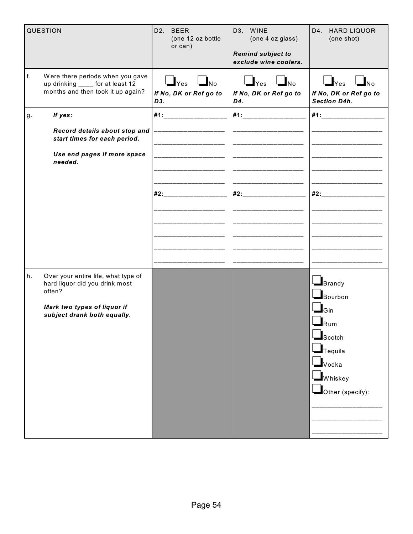|    | QUESTION                                                                                                                                      | D2. BEER<br>(one 12 oz bottle<br>or can)                                      | D3. WINE<br>(one 4 oz glass)<br><b>Remind subject to</b><br>exclude wine coolers. | D4. HARD LIQUOR<br>(one shot)                                                                                                                                                                                                                                             |
|----|-----------------------------------------------------------------------------------------------------------------------------------------------|-------------------------------------------------------------------------------|-----------------------------------------------------------------------------------|---------------------------------------------------------------------------------------------------------------------------------------------------------------------------------------------------------------------------------------------------------------------------|
| f. | Were there periods when you gave<br>up drinking ____ for at least 12<br>months and then took it up again?                                     | $\bigcup_{\text{Yes}}$ $\bigcup_{\text{No}}$<br>If No, DK or Ref go to<br>D3. | $\Box$ Yes $\Box$ No<br>If No, DK or Ref go to<br>D4.                             | $\Box$ Yes $\Box$ No<br>If No, DK or Ref go to<br><b>Section D4h.</b>                                                                                                                                                                                                     |
| g. | If yes:                                                                                                                                       | #1:_____________________                                                      | #1:____________________                                                           | #1:____________________                                                                                                                                                                                                                                                   |
|    | Record details about stop and<br>start times for each period.                                                                                 |                                                                               |                                                                                   |                                                                                                                                                                                                                                                                           |
|    | Use end pages if more space<br>needed.                                                                                                        |                                                                               |                                                                                   |                                                                                                                                                                                                                                                                           |
|    |                                                                                                                                               | #2:                                                                           | #2:______                                                                         | #2:                                                                                                                                                                                                                                                                       |
|    |                                                                                                                                               |                                                                               |                                                                                   |                                                                                                                                                                                                                                                                           |
|    |                                                                                                                                               |                                                                               |                                                                                   |                                                                                                                                                                                                                                                                           |
| h. | Over your entire life, what type of<br>hard liquor did you drink most<br>often?<br>Mark two types of liquor if<br>subject drank both equally. |                                                                               |                                                                                   | $\mathbf{I}_{\text{Brandy}}$<br>$\blacksquare$ Bourbon<br>$\mathbf{\mathbf{\underline{I}}}_{\mathsf{Gin}}$<br>$\mathbf{l}_{\mathsf{Rum}}$<br>$\blacksquare$ Scotch<br>$\blacksquare$ Tequila<br>$\blacksquare$ Vodka<br>$\blacksquare$ Whiskey<br>$\Box$ Other (specify): |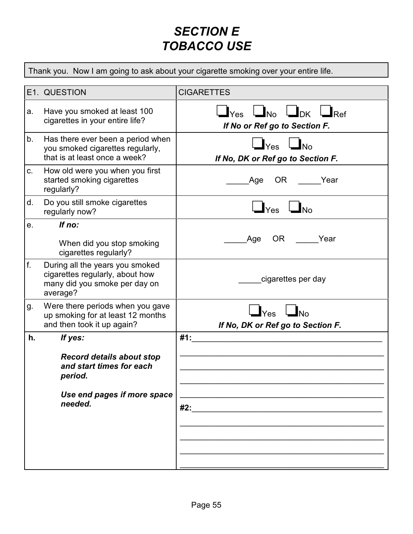#### *SECTION E TOBACCO USE*

Thank you. Now I am going to ask about your cigarette smoking over your entire life.

|    | E1. QUESTION                                                                                                                 | <b>CIGARETTES</b>                                                                       |
|----|------------------------------------------------------------------------------------------------------------------------------|-----------------------------------------------------------------------------------------|
| a. | Have you smoked at least 100<br>cigarettes in your entire life?                                                              | $\Box$ Yes $\Box$ No $\Box$ DK $\Box$ Ref<br>If No or Ref go to Section F.              |
| b. | Has there ever been a period when<br>you smoked cigarettes regularly,<br>that is at least once a week?                       | $\bigcup_{\text{Yes}}$ $\bigcup_{\text{No}}$<br>If No, DK or Ref go to Section F.       |
| C. | How old were you when you first<br>started smoking cigarettes<br>regularly?                                                  | OR Year<br>Age                                                                          |
| d. | Do you still smoke cigarettes<br>regularly now?                                                                              | $\mathbf{\mathbf{\perp}}$ Yes<br>$\Box_{\mathsf{No}}$                                   |
| e. | If no:<br>When did you stop smoking<br>cigarettes regularly?                                                                 | OR Year<br>Age                                                                          |
| f. | During all the years you smoked<br>cigarettes regularly, about how<br>many did you smoke per day on<br>average?              | cigarettes per day                                                                      |
| g. | Were there periods when you gave<br>up smoking for at least 12 months<br>and then took it up again?                          | $\mathbf{I}_{\text{Yes}}$ $\mathbf{I}_{\text{No}}$<br>If No, DK or Ref go to Section F. |
| h. | If yes:<br><b>Record details about stop</b><br>and start times for each<br>period.<br>Use end pages if more space<br>needed. | #1:<br>#2:                                                                              |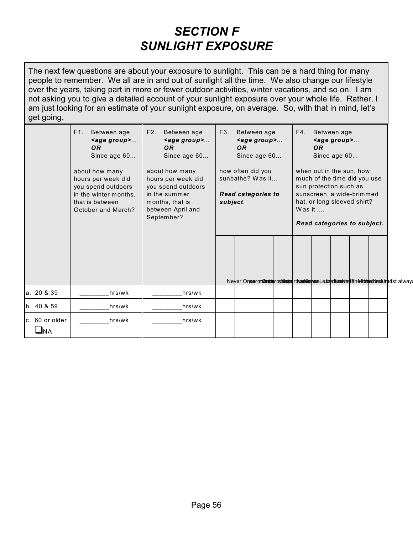#### *SECTION F SUNLIGHT EXPOSURE*

The next few questions are about your exposure to sunlight. This can be a hard thing for many people to remember. We all are in and out of sunlight all the time. We also change our lifestyle over the years, taking part in more or fewer outdoor activities, winter vacations, and so on. I am not asking you to give a detailed account of your sunlight exposure over your whole life. Rather, I am just looking for an estimate of your sunlight exposure, on average. So, with that in mind, let's get going.

|                       | F1.<br>Between age<br><age group=""><br/><b>OR</b><br/>Since age 60<br/>about how many<br/>hours per week did<br/>you spend outdoors<br/>in the winter months,<br/>that is between<br/>October and March?</age> | F2.<br>Between age<br><age group=""><br/>OR.<br/>Since age 60<br/>about how many<br/>hours per week did<br/>you spend outdoors<br/>in the summer<br/>months, that is<br/>between April and<br/>September?</age> | F3. | Between age<br>$\leq$ age group><br>OR.<br>Since age 60<br>how often did you<br>sunbathe? Was it<br><b>Read categories to</b><br>subject. |  |  | F4.<br>Between age<br><age group=""><br/><b>OR</b><br/>Since age 60<br/>when out in the sun, how<br/>much of the time did you use<br/>sun protection such as<br/>sunscreen, a wide-brimmed<br/>hat, or long sleeved shirt?<br/>Was it <math>\dots</math><br/>Read categories to subject.</age> |  |  |  |  |                                                                                                       |
|-----------------------|-----------------------------------------------------------------------------------------------------------------------------------------------------------------------------------------------------------------|-----------------------------------------------------------------------------------------------------------------------------------------------------------------------------------------------------------------|-----|-------------------------------------------------------------------------------------------------------------------------------------------|--|--|------------------------------------------------------------------------------------------------------------------------------------------------------------------------------------------------------------------------------------------------------------------------------------------------|--|--|--|--|-------------------------------------------------------------------------------------------------------|
|                       |                                                                                                                                                                                                                 |                                                                                                                                                                                                                 |     |                                                                                                                                           |  |  |                                                                                                                                                                                                                                                                                                |  |  |  |  | Never Onper on Constant on Wester the abile here Lesset hannel add fth Municipal translate of a lways |
| a. 20 & 39            | hrs/wk                                                                                                                                                                                                          | hrs/wk                                                                                                                                                                                                          |     |                                                                                                                                           |  |  |                                                                                                                                                                                                                                                                                                |  |  |  |  |                                                                                                       |
| b. 40 & 59            | hrs/wk                                                                                                                                                                                                          | hrs/wk                                                                                                                                                                                                          |     |                                                                                                                                           |  |  |                                                                                                                                                                                                                                                                                                |  |  |  |  |                                                                                                       |
| c. 60 or older<br>JNA | hrs/wk                                                                                                                                                                                                          | hrs/wk                                                                                                                                                                                                          |     |                                                                                                                                           |  |  |                                                                                                                                                                                                                                                                                                |  |  |  |  |                                                                                                       |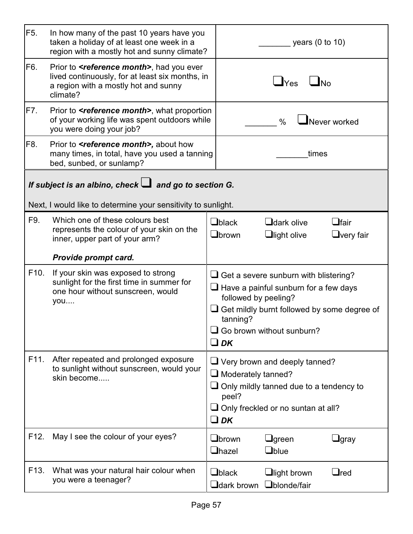| F <sub>5</sub> .  | In how many of the past 10 years have you<br>taken a holiday of at least one week in a<br>region with a mostly hot and sunny climate?                         | years $(0 \text{ to } 10)$                                                                                                                                                                                                       |
|-------------------|---------------------------------------------------------------------------------------------------------------------------------------------------------------|----------------------------------------------------------------------------------------------------------------------------------------------------------------------------------------------------------------------------------|
| F6.               | Prior to <b><i>sreference month</i></b> , had you ever<br>lived continuously, for at least six months, in<br>a region with a mostly hot and sunny<br>climate? | $\Box$ No<br>$\mathbf{\mathsf{\underline{J}}}$ Yes                                                                                                                                                                               |
| F7.               | Prior to <b><i>seference month</i></b> , what proportion<br>of your working life was spent outdoors while<br>you were doing your job?                         | $\blacksquare$ Never worked<br>$\frac{0}{0}$                                                                                                                                                                                     |
| F8.               | Prior to <b><i>sreference month&gt;</i></b> , about how<br>many times, in total, have you used a tanning<br>bed, sunbed, or sunlamp?                          | times                                                                                                                                                                                                                            |
|                   | If subject is an albino, check $\Box$ and go to section G.<br>Next, I would like to determine your sensitivity to sunlight.                                   |                                                                                                                                                                                                                                  |
| F9.               | Which one of these colours best<br>represents the colour of your skin on the<br>inner, upper part of your arm?                                                | $\Box$ black<br>$\Box$ dark olive<br>$\Box$ fair<br>Obrown<br>$\Box$ light olive<br>$\Box$ very fair                                                                                                                             |
|                   | Provide prompt card.                                                                                                                                          |                                                                                                                                                                                                                                  |
| F <sub>10</sub> . | If your skin was exposed to strong<br>sunlight for the first time in summer for<br>one hour without sunscreen, would<br>you                                   | $\Box$ Get a severe sunburn with blistering?<br>$\Box$ Have a painful sunburn for a few days<br>followed by peeling?<br>Get mildly burnt followed by some degree of<br>tanning?<br>$\Box$ Go brown without sunburn?<br>$\Box$ DK |
| F11.              | After repeated and prolonged exposure<br>to sunlight without sunscreen, would your<br>skin become                                                             | $\Box$ Very brown and deeply tanned?<br>$\Box$ Moderately tanned?<br>$\Box$ Only mildly tanned due to a tendency to<br>peel?<br>$\Box$ Only freckled or no suntan at all?<br>$\Box$ DK                                           |
| F12.              | May I see the colour of your eyes?                                                                                                                            | $\Box$ brown<br>$\Box$ green<br>$\Box$ gray<br>$\Box$ hazel<br>$\Box$ blue                                                                                                                                                       |
| F <sub>13</sub> . | What was your natural hair colour when<br>you were a teenager?                                                                                                | $\Box$ black<br>$\sqcup$ red<br>$\Box$ light brown<br>$\mathop{\mathsf{J}}$ dark brown<br>Ublonde/fair                                                                                                                           |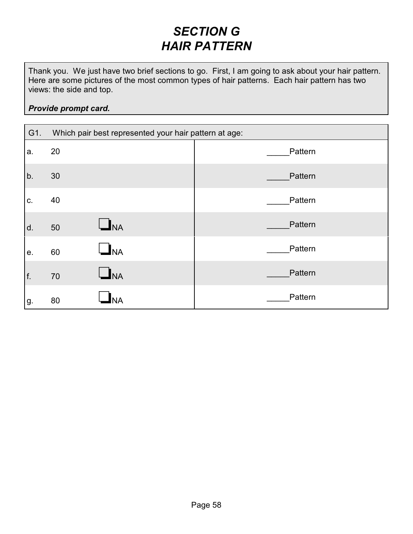#### *SECTION G HAIR PATTERN*

Thank you. We just have two brief sections to go. First, I am going to ask about your hair pattern. Here are some pictures of the most common types of hair patterns. Each hair pattern has two views: the side and top.

#### *Provide prompt card.*

| G1. | Which pair best represented your hair pattern at age: |         |  |  |  |  |
|-----|-------------------------------------------------------|---------|--|--|--|--|
| a.  | 20                                                    | Pattern |  |  |  |  |
| b.  | 30                                                    | Pattern |  |  |  |  |
| C.  | 40                                                    | Pattern |  |  |  |  |
| d.  | $\mathbf{L}_{\mathsf{NA}}$<br>50                      | Pattern |  |  |  |  |
| е.  | <b>J</b> NA<br>60                                     | Pattern |  |  |  |  |
| f.  | $\mathbf{I}_{\mathsf{NA}}$<br>70                      | Pattern |  |  |  |  |
| g.  | 80                                                    | Pattern |  |  |  |  |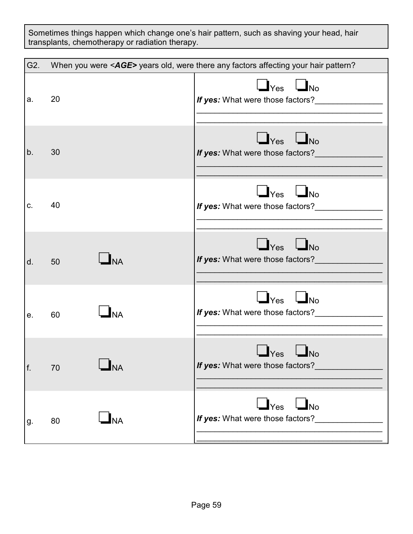Sometimes things happen which change one's hair pattern, such as shaving your head, hair transplants, chemotherapy or radiation therapy.

| G2. |                                            | When you were <age> years old, were there any factors affecting your hair pattern?</age> |
|-----|--------------------------------------------|------------------------------------------------------------------------------------------|
| a.  | 20                                         | $\Box$ Yes $\Box$ No<br>If yes: What were those factors?                                 |
| b.  | 30                                         | $\Box$ Yes $\Box$ No<br>If yes: What were those factors?_                                |
| C.  | 40                                         | $\Box$ Yes $\Box$ No<br>If yes: What were those factors?                                 |
| d.  | $\Box_{\text{NA}}$<br>50                   | $\Box$ Yes $\Box$ No<br>If yes: What were those factors?                                 |
| е.  | $\mathbf{I}_{\mathsf{NA}}$<br>60           | $\Box$ Yes $\Box$ No<br>If yes: What were those factors?                                 |
| f.  | <b>NA</b><br>70                            | $\mathsf{Yes}$<br>$\Box$ No<br>If yes: What were those factors?__________                |
| g.  | $\mathbf{\mathsf{\underline{I}}}$ NA<br>80 | $\Box$ Yes $\Box$ No<br>If yes: What were those factors?                                 |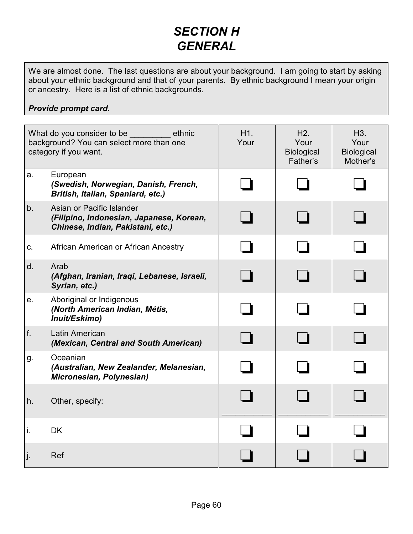#### *SECTION H GENERAL*

We are almost done. The last questions are about your background. I am going to start by asking about your ethnic background and that of your parents. By ethnic background I mean your origin or ancestry. Here is a list of ethnic backgrounds.

#### *Provide prompt card.*

| What do you consider to be<br>ethnic<br>background? You can select more than one<br>category if you want. |                                                                                                            | H <sub>1</sub> .<br>Your | H2.<br>Your<br>Biological<br>Father's | H <sub>3</sub> .<br>Your<br><b>Biological</b><br>Mother's |
|-----------------------------------------------------------------------------------------------------------|------------------------------------------------------------------------------------------------------------|--------------------------|---------------------------------------|-----------------------------------------------------------|
| a.                                                                                                        | European<br>(Swedish, Norwegian, Danish, French,<br>British, Italian, Spaniard, etc.)                      |                          |                                       |                                                           |
| b.                                                                                                        | Asian or Pacific Islander<br>(Filipino, Indonesian, Japanese, Korean,<br>Chinese, Indian, Pakistani, etc.) |                          |                                       |                                                           |
| C.                                                                                                        | African American or African Ancestry                                                                       |                          |                                       |                                                           |
| d.                                                                                                        | Arab<br>(Afghan, Iranian, Iraqi, Lebanese, Israeli,<br>Syrian, etc.)                                       |                          |                                       |                                                           |
| е.                                                                                                        | Aboriginal or Indigenous<br>(North American Indian, Métis,<br>Inuit/Eskimo)                                |                          |                                       |                                                           |
| f.                                                                                                        | Latin American<br>(Mexican, Central and South American)                                                    |                          |                                       |                                                           |
| g.                                                                                                        | Oceanian<br>(Australian, New Zealander, Melanesian,<br>Micronesian, Polynesian)                            |                          |                                       |                                                           |
| h.                                                                                                        | Other, specify:                                                                                            |                          |                                       |                                                           |
| i.                                                                                                        | <b>DK</b>                                                                                                  |                          |                                       |                                                           |
| j.                                                                                                        | Ref                                                                                                        |                          |                                       |                                                           |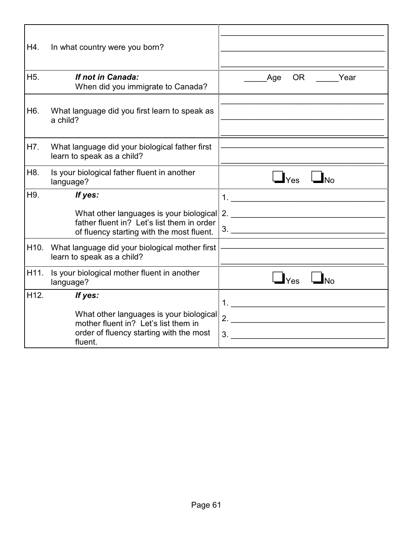| H4.               | In what country were you born?                                                                                                        |                                                               |
|-------------------|---------------------------------------------------------------------------------------------------------------------------------------|---------------------------------------------------------------|
| H <sub>5</sub> .  | If not in Canada:<br>When did you immigrate to Canada?                                                                                | OR Year<br>Age                                                |
| H <sub>6</sub> .  | What language did you first learn to speak as<br>a child?                                                                             |                                                               |
| H7.               | What language did your biological father first<br>learn to speak as a child?                                                          |                                                               |
| H <sub>8</sub> .  | Is your biological father fluent in another<br>language?                                                                              | $\mathbf{I}_{\text{Yes}}$<br><b>No</b>                        |
| H <sub>9</sub> .  | If yes:                                                                                                                               |                                                               |
|                   | What other languages is your biological<br>father fluent in? Let's list them in order<br>of fluency starting with the most fluent.    | 2.                                                            |
| H10.              | What language did your biological mother first<br>learn to speak as a child?                                                          |                                                               |
| H <sub>11</sub> . | Is your biological mother fluent in another<br>language?                                                                              | $\mathbf{I}_{\text{Yes}}$<br><b>No</b>                        |
| H <sub>12</sub> . | If yes:                                                                                                                               |                                                               |
|                   | What other languages is your biological<br>mother fluent in? Let's list them in<br>order of fluency starting with the most<br>fluent. | 3.<br><u> 1980 - Jan Barbara, martxa al II-lea (h. 1980).</u> |